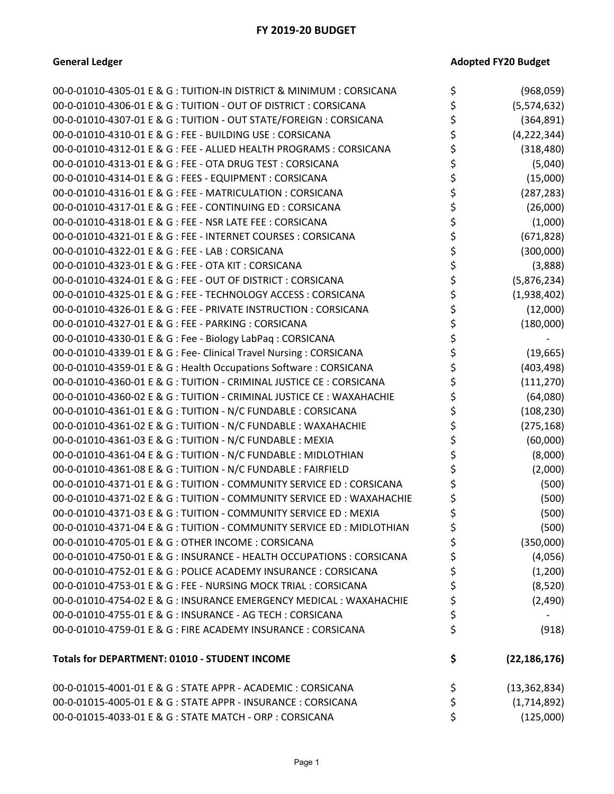# **General Ledger Contract Contract Contract Contract Contract Contract Contract Contract Contract Contract Contract Contract Contract Contract Contract Contract Contract Contract Contract Contract Contract Contract Contra**

| 00-0-01010-4305-01 E & G : TUITION-IN DISTRICT & MINIMUM : CORSICANA   | \$<br>(968, 059)     |
|------------------------------------------------------------------------|----------------------|
| 00-0-01010-4306-01 E & G : TUITION - OUT OF DISTRICT : CORSICANA       | \$<br>(5,574,632)    |
| 00-0-01010-4307-01 E & G : TUITION - OUT STATE/FOREIGN : CORSICANA     | \$<br>(364, 891)     |
| 00-0-01010-4310-01 E & G : FEE - BUILDING USE : CORSICANA              | \$<br>(4, 222, 344)  |
| 00-0-01010-4312-01 E & G : FEE - ALLIED HEALTH PROGRAMS : CORSICANA    | \$<br>(318, 480)     |
| 00-0-01010-4313-01 E & G : FEE - OTA DRUG TEST : CORSICANA             | \$<br>(5,040)        |
| 00-0-01010-4314-01 E & G : FEES - EQUIPMENT : CORSICANA                | \$<br>(15,000)       |
| 00-0-01010-4316-01 E & G : FEE - MATRICULATION : CORSICANA             | \$<br>(287, 283)     |
| 00-0-01010-4317-01 E & G : FEE - CONTINUING ED : CORSICANA             | \$<br>(26,000)       |
| 00-0-01010-4318-01 E & G : FEE - NSR LATE FEE : CORSICANA              | \$<br>(1,000)        |
| 00-0-01010-4321-01 E & G : FEE - INTERNET COURSES : CORSICANA          | \$<br>(671, 828)     |
| 00-0-01010-4322-01 E & G : FEE - LAB : CORSICANA                       | \$<br>(300,000)      |
| 00-0-01010-4323-01 E & G : FEE - OTA KIT : CORSICANA                   | \$<br>(3,888)        |
| 00-0-01010-4324-01 E & G : FEE - OUT OF DISTRICT : CORSICANA           | \$<br>(5,876,234)    |
| 00-0-01010-4325-01 E & G : FEE - TECHNOLOGY ACCESS : CORSICANA         | \$<br>(1,938,402)    |
| 00-0-01010-4326-01 E & G : FEE - PRIVATE INSTRUCTION : CORSICANA       | \$<br>(12,000)       |
| 00-0-01010-4327-01 E & G : FEE - PARKING : CORSICANA                   | \$<br>(180,000)      |
| 00-0-01010-4330-01 E & G : Fee - Biology LabPaq : CORSICANA            | \$                   |
| 00-0-01010-4339-01 E & G : Fee- Clinical Travel Nursing : CORSICANA    | \$<br>(19, 665)      |
| 00-0-01010-4359-01 E & G : Health Occupations Software : CORSICANA     | \$<br>(403, 498)     |
| 00-0-01010-4360-01 E & G : TUITION - CRIMINAL JUSTICE CE : CORSICANA   | \$<br>(111, 270)     |
| 00-0-01010-4360-02 E & G : TUITION - CRIMINAL JUSTICE CE : WAXAHACHIE  | \$<br>(64,080)       |
| 00-0-01010-4361-01 E & G : TUITION - N/C FUNDABLE : CORSICANA          | \$<br>(108, 230)     |
| 00-0-01010-4361-02 E & G : TUITION - N/C FUNDABLE : WAXAHACHIE         | \$<br>(275, 168)     |
| 00-0-01010-4361-03 E & G : TUITION - N/C FUNDABLE : MEXIA              | \$<br>(60,000)       |
| 00-0-01010-4361-04 E & G : TUITION - N/C FUNDABLE : MIDLOTHIAN         | \$<br>(8,000)        |
| 00-0-01010-4361-08 E & G : TUITION - N/C FUNDABLE : FAIRFIELD          | \$<br>(2,000)        |
| 00-0-01010-4371-01 E & G : TUITION - COMMUNITY SERVICE ED : CORSICANA  | \$<br>(500)          |
| 00-0-01010-4371-02 E & G : TUITION - COMMUNITY SERVICE ED : WAXAHACHIE | \$<br>(500)          |
| 00-0-01010-4371-03 E & G : TUITION - COMMUNITY SERVICE ED : MEXIA      | \$<br>(500)          |
| 00-0-01010-4371-04 E & G : TUITION - COMMUNITY SERVICE ED : MIDLOTHIAN | \$<br>(500)          |
| 00-0-01010-4705-01 E & G : OTHER INCOME : CORSICANA                    | \$<br>(350,000)      |
| 00-0-01010-4750-01 E & G: INSURANCE - HEALTH OCCUPATIONS: CORSICANA    | \$<br>(4,056)        |
| 00-0-01010-4752-01 E & G : POLICE ACADEMY INSURANCE : CORSICANA        | \$<br>(1,200)        |
| 00-0-01010-4753-01 E & G : FEE - NURSING MOCK TRIAL : CORSICANA        | \$<br>(8,520)        |
| 00-0-01010-4754-02 E & G : INSURANCE EMERGENCY MEDICAL : WAXAHACHIE    | \$<br>(2,490)        |
| 00-0-01010-4755-01 E & G : INSURANCE - AG TECH : CORSICANA             | \$                   |
| 00-0-01010-4759-01 E & G : FIRE ACADEMY INSURANCE : CORSICANA          | \$<br>(918)          |
| Totals for DEPARTMENT: 01010 - STUDENT INCOME                          | \$<br>(22, 186, 176) |
| 00-0-01015-4001-01 E & G : STATE APPR - ACADEMIC : CORSICANA           | \$<br>(13, 362, 834) |
| 00-0-01015-4005-01 E & G : STATE APPR - INSURANCE : CORSICANA          | \$<br>(1,714,892)    |
| 00-0-01015-4033-01 E & G : STATE MATCH - ORP : CORSICANA               | \$<br>(125,000)      |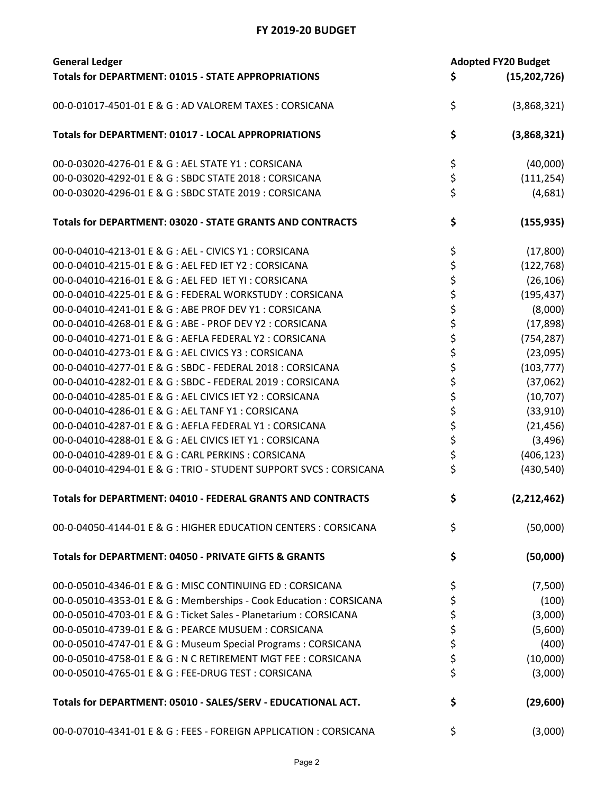| <b>General Ledger</b>                                               | <b>Adopted FY20 Budget</b> |                |
|---------------------------------------------------------------------|----------------------------|----------------|
| <b>Totals for DEPARTMENT: 01015 - STATE APPROPRIATIONS</b>          | \$                         | (15, 202, 726) |
| 00-0-01017-4501-01 E & G : AD VALOREM TAXES : CORSICANA             | \$                         | (3,868,321)    |
| Totals for DEPARTMENT: 01017 - LOCAL APPROPRIATIONS                 | \$                         | (3,868,321)    |
| 00-0-03020-4276-01 E & G : AEL STATE Y1 : CORSICANA                 | \$                         | (40,000)       |
| 00-0-03020-4292-01 E & G : SBDC STATE 2018 : CORSICANA              | \$                         | (111, 254)     |
| 00-0-03020-4296-01 E & G : SBDC STATE 2019 : CORSICANA              | \$                         | (4,681)        |
| Totals for DEPARTMENT: 03020 - STATE GRANTS AND CONTRACTS           | \$                         | (155, 935)     |
| 00-0-04010-4213-01 E & G : AEL - CIVICS Y1 : CORSICANA              | \$                         | (17, 800)      |
| 00-0-04010-4215-01 E & G : AEL FED IET Y2 : CORSICANA               | \$                         | (122, 768)     |
| 00-0-04010-4216-01 E & G : AEL FED IET YI : CORSICANA               |                            | (26, 106)      |
| 00-0-04010-4225-01 E & G : FEDERAL WORKSTUDY : CORSICANA            | \$<br>\$                   | (195, 437)     |
| 00-0-04010-4241-01 E & G : ABE PROF DEV Y1 : CORSICANA              |                            | (8,000)        |
| 00-0-04010-4268-01 E & G : ABE - PROF DEV Y2 : CORSICANA            | \$\$\$                     | (17, 898)      |
| 00-0-04010-4271-01 E & G : AEFLA FEDERAL Y2 : CORSICANA             |                            | (754, 287)     |
| 00-0-04010-4273-01 E & G : AEL CIVICS Y3 : CORSICANA                | \$                         | (23,095)       |
| 00-0-04010-4277-01 E & G : SBDC - FEDERAL 2018 : CORSICANA          | \$                         | (103, 777)     |
| 00-0-04010-4282-01 E & G : SBDC - FEDERAL 2019 : CORSICANA          | \$                         | (37,062)       |
| 00-0-04010-4285-01 E & G : AEL CIVICS IET Y2 : CORSICANA            |                            | (10, 707)      |
| 00-0-04010-4286-01 E & G : AEL TANF Y1 : CORSICANA                  | \$<br>\$                   | (33,910)       |
| 00-0-04010-4287-01 E & G : AEFLA FEDERAL Y1 : CORSICANA             |                            | (21, 456)      |
| 00-0-04010-4288-01 E & G : AEL CIVICS IET Y1 : CORSICANA            | \$<br>\$                   | (3, 496)       |
| 00-0-04010-4289-01 E & G : CARL PERKINS : CORSICANA                 | \$                         | (406, 123)     |
| 00-0-04010-4294-01 E & G: TRIO - STUDENT SUPPORT SVCS: CORSICANA    | \$                         | (430, 540)     |
| Totals for DEPARTMENT: 04010 - FEDERAL GRANTS AND CONTRACTS         | Ś                          | (2,212,462)    |
| 00-0-04050-4144-01 E & G : HIGHER EDUCATION CENTERS : CORSICANA     | \$                         | (50,000)       |
| Totals for DEPARTMENT: 04050 - PRIVATE GIFTS & GRANTS               | \$                         | (50,000)       |
| 00-0-05010-4346-01 E & G : MISC CONTINUING ED : CORSICANA           | \$                         | (7,500)        |
| 00-0-05010-4353-01 E & G : Memberships - Cook Education : CORSICANA | \$                         | (100)          |
| 00-0-05010-4703-01 E & G : Ticket Sales - Planetarium : CORSICANA   | \$                         | (3,000)        |
| 00-0-05010-4739-01 E & G : PEARCE MUSUEM : CORSICANA                | \$                         | (5,600)        |
| 00-0-05010-4747-01 E & G : Museum Special Programs : CORSICANA      | \$                         | (400)          |
| 00-0-05010-4758-01 E & G : N C RETIREMENT MGT FEE : CORSICANA       | \$                         | (10,000)       |
| 00-0-05010-4765-01 E & G : FEE-DRUG TEST : CORSICANA                | \$                         | (3,000)        |
| Totals for DEPARTMENT: 05010 - SALES/SERV - EDUCATIONAL ACT.        | \$                         | (29,600)       |
| 00-0-07010-4341-01 E & G : FEES - FOREIGN APPLICATION : CORSICANA   | \$                         | (3,000)        |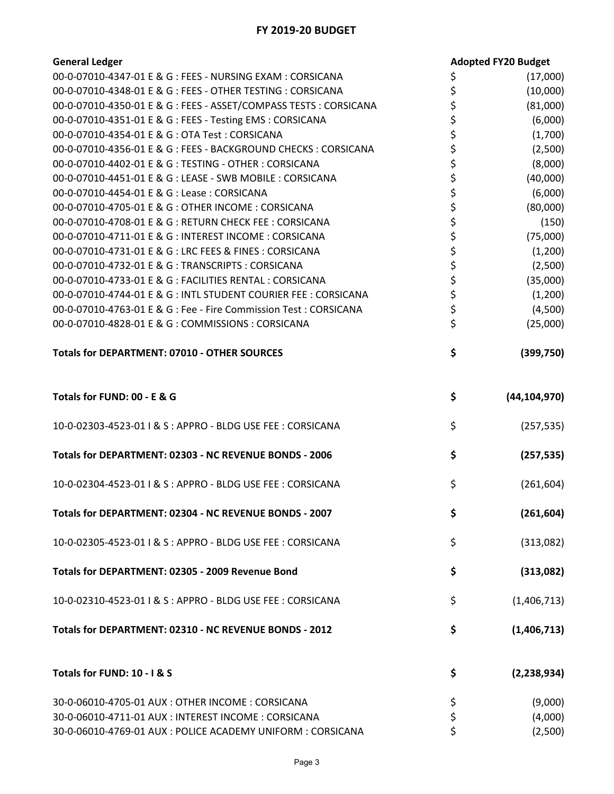| <b>General Ledger</b>                                             |          | <b>Adopted FY20 Budget</b> |
|-------------------------------------------------------------------|----------|----------------------------|
| 00-0-07010-4347-01 E & G : FEES - NURSING EXAM : CORSICANA        | \$       | (17,000)                   |
| 00-0-07010-4348-01 E & G : FEES - OTHER TESTING : CORSICANA       | \$       | (10,000)                   |
| 00-0-07010-4350-01 E & G : FEES - ASSET/COMPASS TESTS : CORSICANA | \$       | (81,000)                   |
| 00-0-07010-4351-01 E & G : FEES - Testing EMS : CORSICANA         | \$       | (6,000)                    |
| 00-0-07010-4354-01 E & G : OTA Test : CORSICANA                   | \$       | (1,700)                    |
| 00-0-07010-4356-01 E & G: FEES - BACKGROUND CHECKS: CORSICANA     | \$       | (2,500)                    |
| 00-0-07010-4402-01 E & G : TESTING - OTHER : CORSICANA            | \$       | (8,000)                    |
| 00-0-07010-4451-01 E & G : LEASE - SWB MOBILE : CORSICANA         | \$       | (40,000)                   |
| 00-0-07010-4454-01 E & G : Lease : CORSICANA                      | \$       | (6,000)                    |
| 00-0-07010-4705-01 E & G : OTHER INCOME : CORSICANA               | \$       | (80,000)                   |
| 00-0-07010-4708-01 E & G : RETURN CHECK FEE : CORSICANA           | \$       | (150)                      |
| 00-0-07010-4711-01 E & G : INTEREST INCOME : CORSICANA            | \$       | (75,000)                   |
| 00-0-07010-4731-01 E & G : LRC FEES & FINES : CORSICANA           | \$       | (1,200)                    |
| 00-0-07010-4732-01 E & G : TRANSCRIPTS : CORSICANA                | \$       | (2,500)                    |
| 00-0-07010-4733-01 E & G : FACILITIES RENTAL : CORSICANA          |          | (35,000)                   |
| 00-0-07010-4744-01 E & G : INTL STUDENT COURIER FEE : CORSICANA   | \$<br>\$ | (1,200)                    |
| 00-0-07010-4763-01 E & G : Fee - Fire Commission Test : CORSICANA | \$       | (4,500)                    |
| 00-0-07010-4828-01 E & G : COMMISSIONS : CORSICANA                | \$       | (25,000)                   |
|                                                                   |          |                            |
| <b>Totals for DEPARTMENT: 07010 - OTHER SOURCES</b>               | \$       | (399,750)                  |
| Totals for FUND: 00 - E & G                                       | \$       | (44, 104, 970)             |
| 10-0-02303-4523-01   & S : APPRO - BLDG USE FEE : CORSICANA       | \$       | (257, 535)                 |
| Totals for DEPARTMENT: 02303 - NC REVENUE BONDS - 2006            | \$       | (257, 535)                 |
| 10-0-02304-4523-01   & S : APPRO - BLDG USE FEE : CORSICANA       | \$       | (261, 604)                 |
| Totals for DEPARTMENT: 02304 - NC REVENUE BONDS - 2007            | \$       | (261, 604)                 |
| 10-0-02305-4523-01   & S : APPRO - BLDG USE FEE : CORSICANA       | \$       | (313,082)                  |
| Totals for DEPARTMENT: 02305 - 2009 Revenue Bond                  | \$       | (313,082)                  |
| 10-0-02310-4523-01   & S : APPRO - BLDG USE FEE : CORSICANA       | \$       | (1,406,713)                |
| Totals for DEPARTMENT: 02310 - NC REVENUE BONDS - 2012            | \$       | (1,406,713)                |
| Totals for FUND: 10 - I & S                                       | \$       | (2, 238, 934)              |
| 30-0-06010-4705-01 AUX: OTHER INCOME: CORSICANA                   | \$       | (9,000)                    |
| 30-0-06010-4711-01 AUX : INTEREST INCOME : CORSICANA              | \$       | (4,000)                    |
| 30-0-06010-4769-01 AUX : POLICE ACADEMY UNIFORM : CORSICANA       | \$       | (2,500)                    |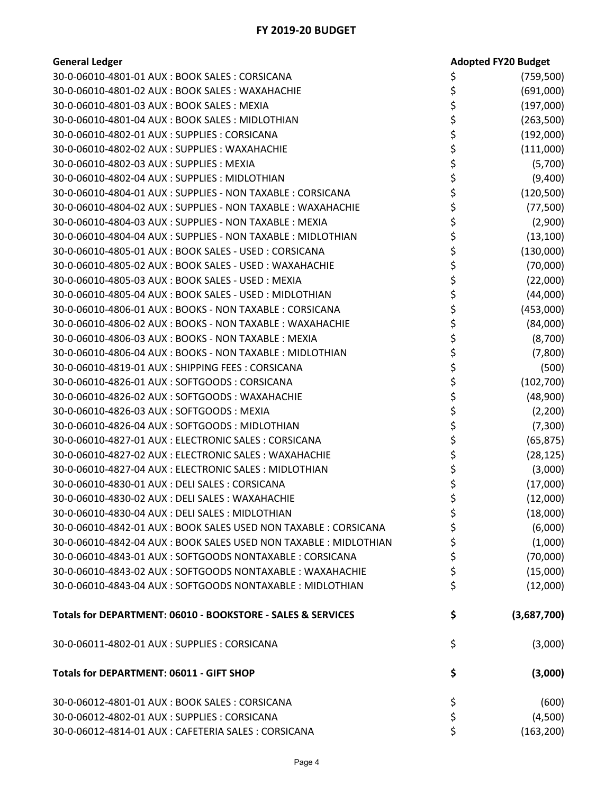| <b>General Ledger</b>                                             | <b>Adopted FY20 Budget</b> |
|-------------------------------------------------------------------|----------------------------|
| 30-0-06010-4801-01 AUX: BOOK SALES: CORSICANA                     | (759, 500)                 |
| 30-0-06010-4801-02 AUX: BOOK SALES: WAXAHACHIE                    | \$<br>(691,000)            |
| 30-0-06010-4801-03 AUX: BOOK SALES: MEXIA                         | (197,000)                  |
| 30-0-06010-4801-04 AUX: BOOK SALES: MIDLOTHIAN                    | \$<br>(263,500)            |
| 30-0-06010-4802-01 AUX: SUPPLIES: CORSICANA                       | \$<br>(192,000)            |
| 30-0-06010-4802-02 AUX: SUPPLIES: WAXAHACHIE                      | (111,000)                  |
| 30-0-06010-4802-03 AUX: SUPPLIES: MEXIA                           | \$<br>(5,700)              |
| 30-0-06010-4802-04 AUX: SUPPLIES: MIDLOTHIAN                      | \$<br>(9,400)              |
| 30-0-06010-4804-01 AUX : SUPPLIES - NON TAXABLE : CORSICANA       | \$<br>(120, 500)           |
| 30-0-06010-4804-02 AUX : SUPPLIES - NON TAXABLE : WAXAHACHIE      | \$<br>(77,500)             |
| 30-0-06010-4804-03 AUX : SUPPLIES - NON TAXABLE : MEXIA           | \$<br>(2,900)              |
| 30-0-06010-4804-04 AUX : SUPPLIES - NON TAXABLE : MIDLOTHIAN      | \$<br>(13, 100)            |
| 30-0-06010-4805-01 AUX : BOOK SALES - USED : CORSICANA            | \$<br>(130,000)            |
| 30-0-06010-4805-02 AUX : BOOK SALES - USED : WAXAHACHIE           | \$<br>(70,000)             |
| 30-0-06010-4805-03 AUX: BOOK SALES - USED: MEXIA                  | \$<br>(22,000)             |
| 30-0-06010-4805-04 AUX : BOOK SALES - USED : MIDLOTHIAN           | \$<br>(44,000)             |
| 30-0-06010-4806-01 AUX: BOOKS - NON TAXABLE: CORSICANA            | \$<br>(453,000)            |
| 30-0-06010-4806-02 AUX : BOOKS - NON TAXABLE : WAXAHACHIE         | \$<br>(84,000)             |
| 30-0-06010-4806-03 AUX: BOOKS - NON TAXABLE: MEXIA                | \$<br>(8,700)              |
| 30-0-06010-4806-04 AUX: BOOKS - NON TAXABLE: MIDLOTHIAN           | \$<br>(7,800)              |
| 30-0-06010-4819-01 AUX: SHIPPING FEES: CORSICANA                  | \$<br>(500)                |
| 30-0-06010-4826-01 AUX: SOFTGOODS: CORSICANA                      | \$<br>(102,700)            |
| 30-0-06010-4826-02 AUX: SOFTGOODS: WAXAHACHIE                     | \$<br>(48,900)             |
| 30-0-06010-4826-03 AUX: SOFTGOODS: MEXIA                          | \$<br>(2,200)              |
| 30-0-06010-4826-04 AUX: SOFTGOODS: MIDLOTHIAN                     | \$<br>(7,300)              |
| 30-0-06010-4827-01 AUX : ELECTRONIC SALES : CORSICANA             | \$<br>(65, 875)            |
| 30-0-06010-4827-02 AUX : ELECTRONIC SALES : WAXAHACHIE            | \$<br>(28, 125)            |
| 30-0-06010-4827-04 AUX : ELECTRONIC SALES : MIDLOTHIAN            | \$<br>(3,000)              |
| 30-0-06010-4830-01 AUX: DELI SALES: CORSICANA                     | \$<br>(17,000)             |
| 30-0-06010-4830-02 AUX : DELI SALES : WAXAHACHIE                  | \$<br>(12,000)             |
| 30-0-06010-4830-04 AUX : DELI SALES : MIDLOTHIAN                  | \$<br>(18,000)             |
| 30-0-06010-4842-01 AUX : BOOK SALES USED NON TAXABLE : CORSICANA  | \$<br>(6,000)              |
| 30-0-06010-4842-04 AUX : BOOK SALES USED NON TAXABLE : MIDLOTHIAN | \$<br>(1,000)              |
| 30-0-06010-4843-01 AUX : SOFTGOODS NONTAXABLE : CORSICANA         | \$<br>(70,000)             |
| 30-0-06010-4843-02 AUX : SOFTGOODS NONTAXABLE : WAXAHACHIE        | \$<br>(15,000)             |
| 30-0-06010-4843-04 AUX: SOFTGOODS NONTAXABLE: MIDLOTHIAN          | \$<br>(12,000)             |
| Totals for DEPARTMENT: 06010 - BOOKSTORE - SALES & SERVICES       | \$<br>(3,687,700)          |
| 30-0-06011-4802-01 AUX: SUPPLIES: CORSICANA                       | \$<br>(3,000)              |
| <b>Totals for DEPARTMENT: 06011 - GIFT SHOP</b>                   | \$<br>(3,000)              |
| 30-0-06012-4801-01 AUX: BOOK SALES: CORSICANA                     | \$<br>(600)                |
| 30-0-06012-4802-01 AUX: SUPPLIES: CORSICANA                       | \$<br>(4,500)              |
| 30-0-06012-4814-01 AUX: CAFETERIA SALES: CORSICANA                | \$<br>(163, 200)           |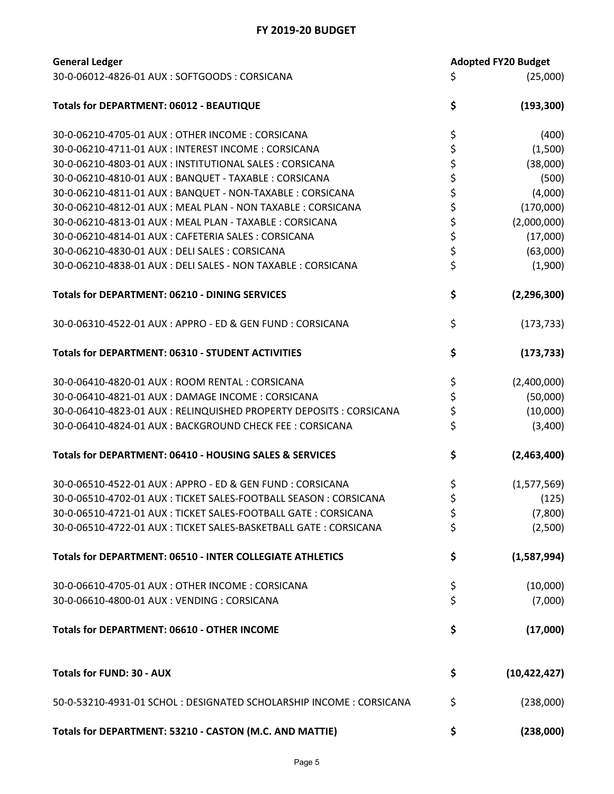| <b>General Ledger</b>                                               |          | <b>Adopted FY20 Budget</b> |
|---------------------------------------------------------------------|----------|----------------------------|
| 30-0-06012-4826-01 AUX: SOFTGOODS: CORSICANA                        | \$       | (25,000)                   |
| <b>Totals for DEPARTMENT: 06012 - BEAUTIQUE</b>                     | \$       | (193, 300)                 |
| 30-0-06210-4705-01 AUX: OTHER INCOME: CORSICANA                     | \$       | (400)                      |
| 30-0-06210-4711-01 AUX : INTEREST INCOME : CORSICANA                | \$       | (1,500)                    |
| 30-0-06210-4803-01 AUX : INSTITUTIONAL SALES : CORSICANA            |          | (38,000)                   |
| 30-0-06210-4810-01 AUX: BANQUET - TAXABLE: CORSICANA                | \$<br>\$ | (500)                      |
| 30-0-06210-4811-01 AUX: BANQUET - NON-TAXABLE: CORSICANA            | \$       | (4,000)                    |
| 30-0-06210-4812-01 AUX : MEAL PLAN - NON TAXABLE : CORSICANA        | \$       | (170,000)                  |
| 30-0-06210-4813-01 AUX: MEAL PLAN - TAXABLE: CORSICANA              |          | (2,000,000)                |
| 30-0-06210-4814-01 AUX: CAFETERIA SALES: CORSICANA                  | \$<br>\$ | (17,000)                   |
| 30-0-06210-4830-01 AUX: DELI SALES: CORSICANA                       |          | (63,000)                   |
| 30-0-06210-4838-01 AUX : DELI SALES - NON TAXABLE : CORSICANA       | \$<br>\$ | (1,900)                    |
| <b>Totals for DEPARTMENT: 06210 - DINING SERVICES</b>               | \$       | (2, 296, 300)              |
| 30-0-06310-4522-01 AUX: APPRO - ED & GEN FUND: CORSICANA            | \$       | (173, 733)                 |
| Totals for DEPARTMENT: 06310 - STUDENT ACTIVITIES                   | \$       | (173, 733)                 |
| 30-0-06410-4820-01 AUX: ROOM RENTAL: CORSICANA                      | \$       | (2,400,000)                |
| 30-0-06410-4821-01 AUX: DAMAGE INCOME: CORSICANA                    | \$       | (50,000)                   |
| 30-0-06410-4823-01 AUX : RELINQUISHED PROPERTY DEPOSITS : CORSICANA | \$       | (10,000)                   |
| 30-0-06410-4824-01 AUX: BACKGROUND CHECK FEE: CORSICANA             | \$       | (3,400)                    |
| Totals for DEPARTMENT: 06410 - HOUSING SALES & SERVICES             | \$       | (2,463,400)                |
| 30-0-06510-4522-01 AUX : APPRO - ED & GEN FUND : CORSICANA          | \$       | (1,577,569)                |
| 30-0-06510-4702-01 AUX : TICKET SALES-FOOTBALL SEASON : CORSICANA   | \$       | (125)                      |
| 30-0-06510-4721-01 AUX : TICKET SALES-FOOTBALL GATE : CORSICANA     | \$       | (7,800)                    |
| 30-0-06510-4722-01 AUX : TICKET SALES-BASKETBALL GATE : CORSICANA   | \$       | (2,500)                    |
| Totals for DEPARTMENT: 06510 - INTER COLLEGIATE ATHLETICS           | \$       | (1,587,994)                |
| 30-0-06610-4705-01 AUX: OTHER INCOME: CORSICANA                     | \$       | (10,000)                   |
| 30-0-06610-4800-01 AUX: VENDING: CORSICANA                          | \$       | (7,000)                    |
| <b>Totals for DEPARTMENT: 06610 - OTHER INCOME</b>                  | \$       | (17,000)                   |
| <b>Totals for FUND: 30 - AUX</b>                                    | \$       | (10, 422, 427)             |
| 50-0-53210-4931-01 SCHOL: DESIGNATED SCHOLARSHIP INCOME: CORSICANA  | \$       | (238,000)                  |
| Totals for DEPARTMENT: 53210 - CASTON (M.C. AND MATTIE)             | \$       | (238,000)                  |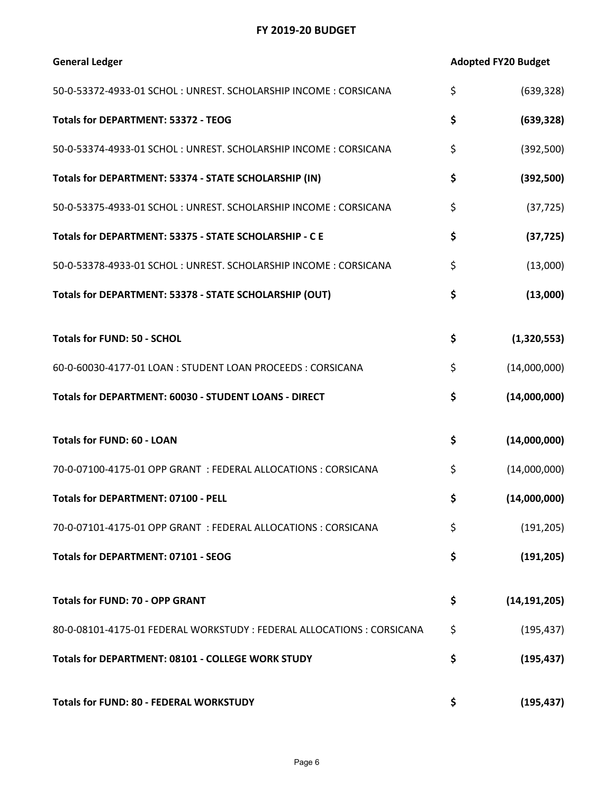| <b>General Ledger</b>                                                  | <b>Adopted FY20 Budget</b> |
|------------------------------------------------------------------------|----------------------------|
| 50-0-53372-4933-01 SCHOL: UNREST. SCHOLARSHIP INCOME: CORSICANA        | \$<br>(639, 328)           |
| <b>Totals for DEPARTMENT: 53372 - TEOG</b>                             | \$<br>(639, 328)           |
| 50-0-53374-4933-01 SCHOL: UNREST. SCHOLARSHIP INCOME: CORSICANA        | \$<br>(392,500)            |
| Totals for DEPARTMENT: 53374 - STATE SCHOLARSHIP (IN)                  | \$<br>(392, 500)           |
| 50-0-53375-4933-01 SCHOL: UNREST. SCHOLARSHIP INCOME: CORSICANA        | \$<br>(37, 725)            |
| Totals for DEPARTMENT: 53375 - STATE SCHOLARSHIP - C E                 | \$<br>(37, 725)            |
| 50-0-53378-4933-01 SCHOL: UNREST. SCHOLARSHIP INCOME: CORSICANA        | \$<br>(13,000)             |
| Totals for DEPARTMENT: 53378 - STATE SCHOLARSHIP (OUT)                 | \$<br>(13,000)             |
|                                                                        |                            |
| <b>Totals for FUND: 50 - SCHOL</b>                                     | \$<br>(1,320,553)          |
| 60-0-60030-4177-01 LOAN: STUDENT LOAN PROCEEDS: CORSICANA              | \$<br>(14,000,000)         |
| Totals for DEPARTMENT: 60030 - STUDENT LOANS - DIRECT                  | \$<br>(14,000,000)         |
| <b>Totals for FUND: 60 - LOAN</b>                                      | \$<br>(14,000,000)         |
| 70-0-07100-4175-01 OPP GRANT: FEDERAL ALLOCATIONS: CORSICANA           | \$<br>(14,000,000)         |
| <b>Totals for DEPARTMENT: 07100 - PELL</b>                             | \$<br>(14,000,000)         |
| 70-0-07101-4175-01 OPP GRANT: FEDERAL ALLOCATIONS: CORSICANA           | \$<br>(191, 205)           |
| <b>Totals for DEPARTMENT: 07101 - SEOG</b>                             | \$<br>(191, 205)           |
| <b>Totals for FUND: 70 - OPP GRANT</b>                                 | \$<br>(14, 191, 205)       |
| 80-0-08101-4175-01 FEDERAL WORKSTUDY : FEDERAL ALLOCATIONS : CORSICANA | \$<br>(195, 437)           |
| Totals for DEPARTMENT: 08101 - COLLEGE WORK STUDY                      | \$<br>(195, 437)           |
| <b>Totals for FUND: 80 - FEDERAL WORKSTUDY</b>                         | \$<br>(195, 437)           |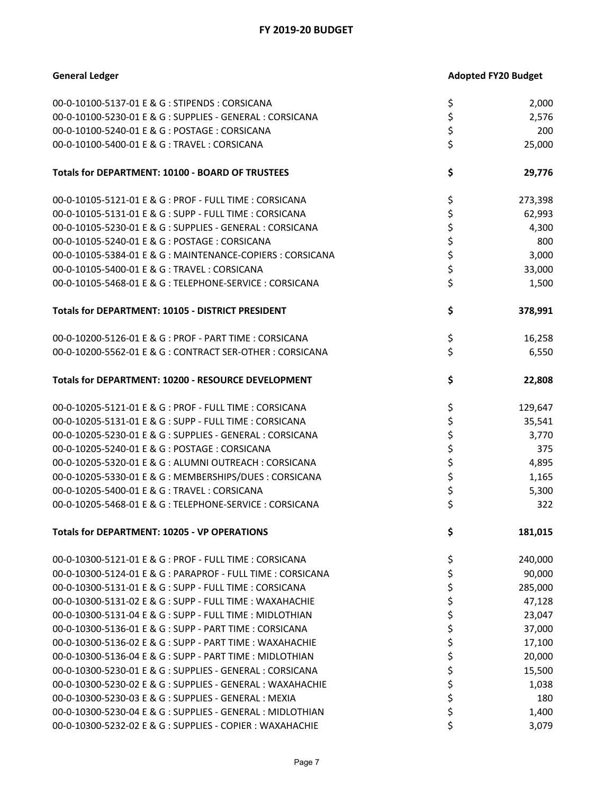| <b>General Ledger</b>                                       |          | <b>Adopted FY20 Budget</b> |
|-------------------------------------------------------------|----------|----------------------------|
| 00-0-10100-5137-01 E & G : STIPENDS : CORSICANA             | \$       | 2,000                      |
| 00-0-10100-5230-01 E & G : SUPPLIES - GENERAL : CORSICANA   | \$       | 2,576                      |
| 00-0-10100-5240-01 E & G : POSTAGE : CORSICANA              | \$       | 200                        |
| 00-0-10100-5400-01 E & G: TRAVEL: CORSICANA                 | \$       | 25,000                     |
| Totals for DEPARTMENT: 10100 - BOARD OF TRUSTEES            | \$       | 29,776                     |
| 00-0-10105-5121-01 E & G : PROF - FULL TIME : CORSICANA     | \$       | 273,398                    |
| 00-0-10105-5131-01 E & G : SUPP - FULL TIME : CORSICANA     | \$       | 62,993                     |
| 00-0-10105-5230-01 E & G : SUPPLIES - GENERAL : CORSICANA   | \$       | 4,300                      |
| 00-0-10105-5240-01 E & G : POSTAGE : CORSICANA              | \$       | 800                        |
| 00-0-10105-5384-01 E & G : MAINTENANCE-COPIERS : CORSICANA  | \$       | 3,000                      |
| 00-0-10105-5400-01 E & G: TRAVEL: CORSICANA                 | \$       | 33,000                     |
| 00-0-10105-5468-01 E & G : TELEPHONE-SERVICE : CORSICANA    | \$       | 1,500                      |
| Totals for DEPARTMENT: 10105 - DISTRICT PRESIDENT           | \$       | 378,991                    |
| 00-0-10200-5126-01 E & G : PROF - PART TIME : CORSICANA     | \$       | 16,258                     |
| 00-0-10200-5562-01 E & G : CONTRACT SER-OTHER : CORSICANA   | \$       | 6,550                      |
| Totals for DEPARTMENT: 10200 - RESOURCE DEVELOPMENT         | \$       | 22,808                     |
| 00-0-10205-5121-01 E & G : PROF - FULL TIME : CORSICANA     | \$       | 129,647                    |
| 00-0-10205-5131-01 E & G : SUPP - FULL TIME : CORSICANA     | \$       | 35,541                     |
| 00-0-10205-5230-01 E & G : SUPPLIES - GENERAL : CORSICANA   | \$       | 3,770                      |
| 00-0-10205-5240-01 E & G : POSTAGE : CORSICANA              | \$       | 375                        |
| 00-0-10205-5320-01 E & G : ALUMNI OUTREACH : CORSICANA      | \$       | 4,895                      |
| 00-0-10205-5330-01 E & G : MEMBERSHIPS/DUES : CORSICANA     | \$       | 1,165                      |
| 00-0-10205-5400-01 E & G : TRAVEL : CORSICANA               |          | 5,300                      |
| 00-0-10205-5468-01 E & G : TELEPHONE-SERVICE : CORSICANA    | \$<br>\$ | 322                        |
| <b>Totals for DEPARTMENT: 10205 - VP OPERATIONS</b>         | \$       | 181,015                    |
| 00-0-10300-5121-01 E & G : PROF - FULL TIME : CORSICANA     | \$       | 240,000                    |
| 00-0-10300-5124-01 E & G : PARAPROF - FULL TIME : CORSICANA | \$       | 90,000                     |
| 00-0-10300-5131-01 E & G : SUPP - FULL TIME : CORSICANA     | \$       | 285,000                    |
| 00-0-10300-5131-02 E & G : SUPP - FULL TIME : WAXAHACHIE    | \$       | 47,128                     |
| 00-0-10300-5131-04 E & G : SUPP - FULL TIME : MIDLOTHIAN    | \$       | 23,047                     |
| 00-0-10300-5136-01 E & G : SUPP - PART TIME : CORSICANA     | \$       | 37,000                     |
| 00-0-10300-5136-02 E & G : SUPP - PART TIME : WAXAHACHIE    | \$       | 17,100                     |
| 00-0-10300-5136-04 E & G : SUPP - PART TIME : MIDLOTHIAN    | \$       | 20,000                     |
| 00-0-10300-5230-01 E & G : SUPPLIES - GENERAL : CORSICANA   | \$       | 15,500                     |
| 00-0-10300-5230-02 E & G : SUPPLIES - GENERAL : WAXAHACHIE  | \$       | 1,038                      |
| 00-0-10300-5230-03 E & G : SUPPLIES - GENERAL : MEXIA       | \$       | 180                        |
| 00-0-10300-5230-04 E & G : SUPPLIES - GENERAL : MIDLOTHIAN  | \$       | 1,400                      |
| 00-0-10300-5232-02 E & G : SUPPLIES - COPIER : WAXAHACHIE   | \$       | 3,079                      |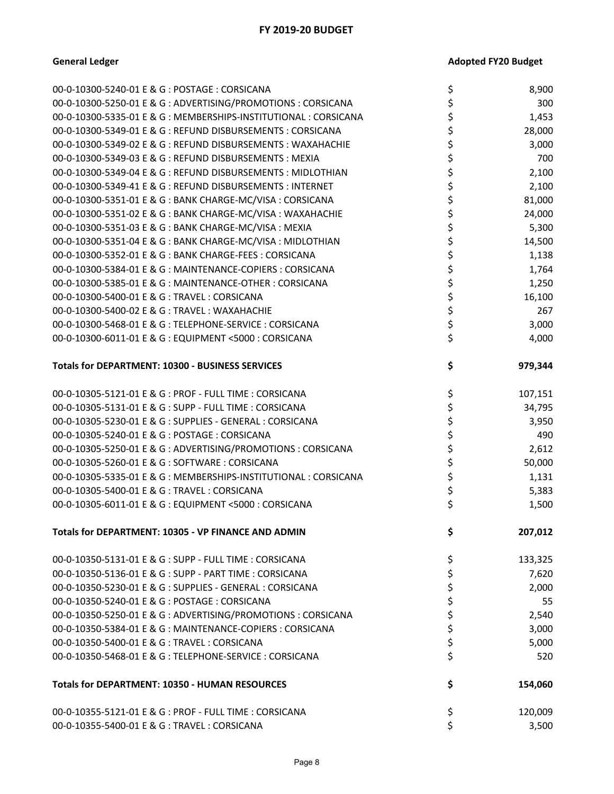| 00-0-10300-5240-01 E & G : POSTAGE : CORSICANA                   | \$<br>8,900   |
|------------------------------------------------------------------|---------------|
| 00-0-10300-5250-01 E & G : ADVERTISING/PROMOTIONS : CORSICANA    | \$<br>300     |
| 00-0-10300-5335-01 E & G : MEMBERSHIPS-INSTITUTIONAL : CORSICANA | \$<br>1,453   |
| 00-0-10300-5349-01 E & G: REFUND DISBURSEMENTS: CORSICANA        | \$<br>28,000  |
| 00-0-10300-5349-02 E & G : REFUND DISBURSEMENTS : WAXAHACHIE     | \$<br>3,000   |
| 00-0-10300-5349-03 E & G : REFUND DISBURSEMENTS : MEXIA          | 700           |
| 00-0-10300-5349-04 E & G : REFUND DISBURSEMENTS : MIDLOTHIAN     | \$<br>2,100   |
| 00-0-10300-5349-41 E & G : REFUND DISBURSEMENTS : INTERNET       | \$<br>2,100   |
| 00-0-10300-5351-01 E & G : BANK CHARGE-MC/VISA : CORSICANA       | \$<br>81,000  |
| 00-0-10300-5351-02 E & G : BANK CHARGE-MC/VISA : WAXAHACHIE      | \$<br>24,000  |
| 00-0-10300-5351-03 E & G : BANK CHARGE-MC/VISA : MEXIA           | \$<br>5,300   |
| 00-0-10300-5351-04 E & G : BANK CHARGE-MC/VISA : MIDLOTHIAN      | \$<br>14,500  |
| 00-0-10300-5352-01 E & G : BANK CHARGE-FEES : CORSICANA          | \$<br>1,138   |
| 00-0-10300-5384-01 E & G : MAINTENANCE-COPIERS : CORSICANA       | \$<br>1,764   |
| 00-0-10300-5385-01 E & G : MAINTENANCE-OTHER : CORSICANA         | \$<br>1,250   |
| 00-0-10300-5400-01 E & G : TRAVEL : CORSICANA                    | \$<br>16,100  |
| 00-0-10300-5400-02 E & G : TRAVEL : WAXAHACHIE                   | \$<br>267     |
| 00-0-10300-5468-01 E & G : TELEPHONE-SERVICE : CORSICANA         | \$<br>3,000   |
| 00-0-10300-6011-01 E & G : EQUIPMENT <5000 : CORSICANA           | \$<br>4,000   |
| Totals for DEPARTMENT: 10300 - BUSINESS SERVICES                 | \$<br>979,344 |
| 00-0-10305-5121-01 E & G : PROF - FULL TIME : CORSICANA          | \$<br>107,151 |
| 00-0-10305-5131-01 E & G : SUPP - FULL TIME : CORSICANA          | \$<br>34,795  |
| 00-0-10305-5230-01 E & G : SUPPLIES - GENERAL : CORSICANA        | \$<br>3,950   |
| 00-0-10305-5240-01 E & G : POSTAGE : CORSICANA                   | \$<br>490     |
| 00-0-10305-5250-01 E & G : ADVERTISING/PROMOTIONS : CORSICANA    | \$<br>2,612   |
| 00-0-10305-5260-01 E & G: SOFTWARE: CORSICANA                    | \$<br>50,000  |
| 00-0-10305-5335-01 E & G: MEMBERSHIPS-INSTITUTIONAL: CORSICANA   | \$<br>1,131   |
| 00-0-10305-5400-01 E & G: TRAVEL: CORSICANA                      | \$<br>5,383   |
| 00-0-10305-6011-01 E & G : EQUIPMENT <5000 : CORSICANA           | \$<br>1,500   |
| Totals for DEPARTMENT: 10305 - VP FINANCE AND ADMIN              | \$<br>207,012 |
| 00-0-10350-5131-01 E & G : SUPP - FULL TIME : CORSICANA          | \$<br>133,325 |
| 00-0-10350-5136-01 E & G : SUPP - PART TIME : CORSICANA          | \$<br>7,620   |
| 00-0-10350-5230-01 E & G : SUPPLIES - GENERAL : CORSICANA        | \$<br>2,000   |
| 00-0-10350-5240-01 E & G : POSTAGE : CORSICANA                   | \$<br>55      |
| 00-0-10350-5250-01 E & G : ADVERTISING/PROMOTIONS : CORSICANA    | \$<br>2,540   |
| 00-0-10350-5384-01 E & G : MAINTENANCE-COPIERS : CORSICANA       | \$<br>3,000   |
| 00-0-10350-5400-01 E & G: TRAVEL: CORSICANA                      | \$<br>5,000   |
| 00-0-10350-5468-01 E & G : TELEPHONE-SERVICE : CORSICANA         | \$<br>520     |
| <b>Totals for DEPARTMENT: 10350 - HUMAN RESOURCES</b>            | \$<br>154,060 |
| 00-0-10355-5121-01 E & G : PROF - FULL TIME : CORSICANA          | \$<br>120,009 |
| 00-0-10355-5400-01 E & G: TRAVEL: CORSICANA                      | \$<br>3,500   |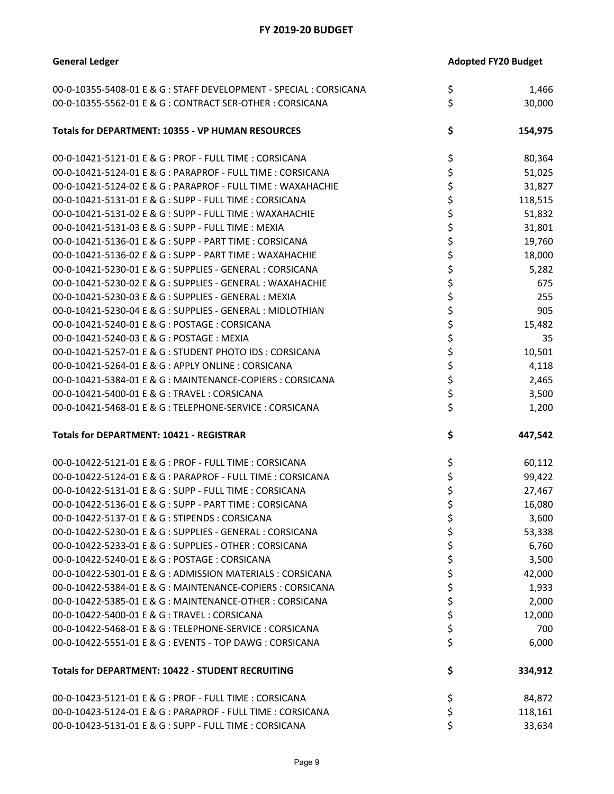| <b>General Ledger</b>                                              | <b>Adopted FY20 Budget</b> |         |
|--------------------------------------------------------------------|----------------------------|---------|
| 00-0-10355-5408-01 E & G : STAFF DEVELOPMENT - SPECIAL : CORSICANA | \$                         | 1,466   |
| 00-0-10355-5562-01 E & G: CONTRACT SER-OTHER: CORSICANA            | \$                         | 30,000  |
| Totals for DEPARTMENT: 10355 - VP HUMAN RESOURCES                  | \$                         | 154,975 |
| 00-0-10421-5121-01 E & G : PROF - FULL TIME : CORSICANA            | \$                         | 80,364  |
| 00-0-10421-5124-01 E & G : PARAPROF - FULL TIME : CORSICANA        | \$                         | 51,025  |
| 00-0-10421-5124-02 E & G : PARAPROF - FULL TIME : WAXAHACHIE       | \$                         | 31,827  |
| 00-0-10421-5131-01 E & G : SUPP - FULL TIME : CORSICANA            | \$                         | 118,515 |
| 00-0-10421-5131-02 E & G : SUPP - FULL TIME : WAXAHACHIE           | \$                         | 51,832  |
| 00-0-10421-5131-03 E & G : SUPP - FULL TIME : MEXIA                | \$                         | 31,801  |
| 00-0-10421-5136-01 E & G : SUPP - PART TIME : CORSICANA            | \$                         | 19,760  |
| 00-0-10421-5136-02 E & G : SUPP - PART TIME : WAXAHACHIE           | \$                         | 18,000  |
| 00-0-10421-5230-01 E & G : SUPPLIES - GENERAL : CORSICANA          | \$                         | 5,282   |
| 00-0-10421-5230-02 E & G : SUPPLIES - GENERAL : WAXAHACHIE         | \$                         | 675     |
| 00-0-10421-5230-03 E & G : SUPPLIES - GENERAL : MEXIA              | \$                         | 255     |
| 00-0-10421-5230-04 E & G : SUPPLIES - GENERAL : MIDLOTHIAN         | \$                         | 905     |
| 00-0-10421-5240-01 E & G : POSTAGE : CORSICANA                     | \$                         | 15,482  |
| 00-0-10421-5240-03 E & G: POSTAGE: MEXIA                           | \$                         | 35      |
| 00-0-10421-5257-01 E & G: STUDENT PHOTO IDS: CORSICANA             | \$                         | 10,501  |
| 00-0-10421-5264-01 E & G : APPLY ONLINE : CORSICANA                | \$                         | 4,118   |
| 00-0-10421-5384-01 E & G : MAINTENANCE-COPIERS : CORSICANA         | \$                         | 2,465   |
| 00-0-10421-5400-01 E & G: TRAVEL: CORSICANA                        | \$                         | 3,500   |
| 00-0-10421-5468-01 E & G: TELEPHONE-SERVICE: CORSICANA             | \$                         | 1,200   |
| <b>Totals for DEPARTMENT: 10421 - REGISTRAR</b>                    | \$                         | 447,542 |
|                                                                    |                            |         |
| 00-0-10422-5121-01 E & G : PROF - FULL TIME : CORSICANA            | \$                         | 60,112  |
| 00-0-10422-5124-01 E & G : PARAPROF - FULL TIME : CORSICANA        | \$                         | 99,422  |
| 00-0-10422-5131-01 E & G : SUPP - FULL TIME : CORSICANA            | \$                         | 27,467  |
| 00-0-10422-5136-01 E & G : SUPP - PART TIME : CORSICANA            | \$                         | 16,080  |
| 00-0-10422-5137-01 E & G: STIPENDS: CORSICANA                      | \$                         | 3,600   |
| 00-0-10422-5230-01 E & G : SUPPLIES - GENERAL : CORSICANA          | \$                         | 53,338  |
| 00-0-10422-5233-01 E & G : SUPPLIES - OTHER : CORSICANA            | \$                         | 6,760   |
| 00-0-10422-5240-01 E & G : POSTAGE : CORSICANA                     | \$                         | 3,500   |
| 00-0-10422-5301-01 E & G : ADMISSION MATERIALS : CORSICANA         | \$                         | 42,000  |
| 00-0-10422-5384-01 E & G : MAINTENANCE-COPIERS : CORSICANA         | \$                         | 1,933   |
| 00-0-10422-5385-01 E & G : MAINTENANCE-OTHER : CORSICANA           | \$                         | 2,000   |
| 00-0-10422-5400-01 E & G : TRAVEL : CORSICANA                      | \$                         | 12,000  |
| 00-0-10422-5468-01 E & G : TELEPHONE-SERVICE : CORSICANA           | \$                         | 700     |
| 00-0-10422-5551-01 E & G : EVENTS - TOP DAWG : CORSICANA           | \$                         | 6,000   |
| Totals for DEPARTMENT: 10422 - STUDENT RECRUITING                  | \$                         | 334,912 |
| 00-0-10423-5121-01 E & G : PROF - FULL TIME : CORSICANA            | \$                         | 84,872  |
| 00-0-10423-5124-01 E & G : PARAPROF - FULL TIME : CORSICANA        | \$                         | 118,161 |
| 00-0-10423-5131-01 E & G : SUPP - FULL TIME : CORSICANA            | \$                         | 33,634  |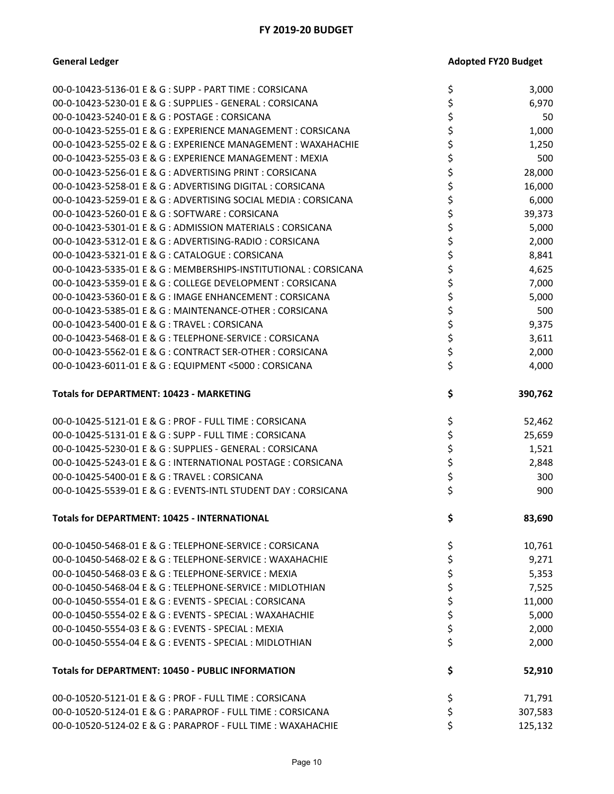| 00-0-10423-5136-01 E & G : SUPP - PART TIME : CORSICANA          | \$       | 3,000   |
|------------------------------------------------------------------|----------|---------|
| 00-0-10423-5230-01 E & G : SUPPLIES - GENERAL : CORSICANA        | \$       | 6,970   |
| 00-0-10423-5240-01 E & G : POSTAGE : CORSICANA                   | \$       | 50      |
| 00-0-10423-5255-01 E & G : EXPERIENCE MANAGEMENT : CORSICANA     | \$       | 1,000   |
| 00-0-10423-5255-02 E & G : EXPERIENCE MANAGEMENT : WAXAHACHIE    | \$       | 1,250   |
| 00-0-10423-5255-03 E & G : EXPERIENCE MANAGEMENT : MEXIA         | \$       | 500     |
| 00-0-10423-5256-01 E & G : ADVERTISING PRINT : CORSICANA         | \$       | 28,000  |
| 00-0-10423-5258-01 E & G : ADVERTISING DIGITAL : CORSICANA       | \$       | 16,000  |
| 00-0-10423-5259-01 E & G : ADVERTISING SOCIAL MEDIA : CORSICANA  | \$       | 6,000   |
| 00-0-10423-5260-01 E & G : SOFTWARE : CORSICANA                  | \$       | 39,373  |
| 00-0-10423-5301-01 E & G : ADMISSION MATERIALS : CORSICANA       | \$       | 5,000   |
| 00-0-10423-5312-01 E & G : ADVERTISING-RADIO : CORSICANA         | \$       | 2,000   |
| 00-0-10423-5321-01 E & G : CATALOGUE : CORSICANA                 | \$       | 8,841   |
| 00-0-10423-5335-01 E & G : MEMBERSHIPS-INSTITUTIONAL : CORSICANA | \$       | 4,625   |
| 00-0-10423-5359-01 E & G : COLLEGE DEVELOPMENT : CORSICANA       | \$       | 7,000   |
| 00-0-10423-5360-01 E & G: IMAGE ENHANCEMENT: CORSICANA           | \$       | 5,000   |
| 00-0-10423-5385-01 E & G : MAINTENANCE-OTHER : CORSICANA         | \$       | 500     |
| 00-0-10423-5400-01 E & G: TRAVEL: CORSICANA                      | \$       | 9,375   |
| 00-0-10423-5468-01 E & G : TELEPHONE-SERVICE : CORSICANA         | \$       | 3,611   |
| 00-0-10423-5562-01 E & G : CONTRACT SER-OTHER : CORSICANA        | \$       | 2,000   |
| 00-0-10423-6011-01 E & G : EQUIPMENT <5000 : CORSICANA           | \$       | 4,000   |
| <b>Totals for DEPARTMENT: 10423 - MARKETING</b>                  | \$       | 390,762 |
|                                                                  |          |         |
| 00-0-10425-5121-01 E & G : PROF - FULL TIME : CORSICANA          | \$       | 52,462  |
| 00-0-10425-5131-01 E & G : SUPP - FULL TIME : CORSICANA          | \$       | 25,659  |
| 00-0-10425-5230-01 E & G : SUPPLIES - GENERAL : CORSICANA        | \$       | 1,521   |
| 00-0-10425-5243-01 E & G : INTERNATIONAL POSTAGE : CORSICANA     | \$       | 2,848   |
| 00-0-10425-5400-01 E & G: TRAVEL: CORSICANA                      | \$       | 300     |
| 00-0-10425-5539-01 E & G : EVENTS-INTL STUDENT DAY : CORSICANA   | \$       | 900     |
| <b>Totals for DEPARTMENT: 10425 - INTERNATIONAL</b>              | \$       | 83,690  |
| 00-0-10450-5468-01 E & G : TELEPHONE-SERVICE : CORSICANA         | \$       | 10,761  |
| 00-0-10450-5468-02 E & G : TELEPHONE-SERVICE : WAXAHACHIE        | \$       | 9,271   |
| 00-0-10450-5468-03 E & G: TELEPHONE-SERVICE: MEXIA               | \$       | 5,353   |
| 00-0-10450-5468-04 E & G : TELEPHONE-SERVICE : MIDLOTHIAN        | \$       | 7,525   |
| 00-0-10450-5554-01 E & G : EVENTS - SPECIAL : CORSICANA          | \$       | 11,000  |
| 00-0-10450-5554-02 E & G : EVENTS - SPECIAL : WAXAHACHIE         | \$       | 5,000   |
| 00-0-10450-5554-03 E & G : EVENTS - SPECIAL : MEXIA              | \$       | 2,000   |
| 00-0-10450-5554-04 E & G : EVENTS - SPECIAL : MIDLOTHIAN         | \$       | 2,000   |
| <b>Totals for DEPARTMENT: 10450 - PUBLIC INFORMATION</b>         | \$       | 52,910  |
| 00-0-10520-5121-01 E & G : PROF - FULL TIME : CORSICANA          | \$       | 71,791  |
| 00-0-10520-5124-01 E & G : PARAPROF - FULL TIME : CORSICANA      | \$<br>\$ | 307,583 |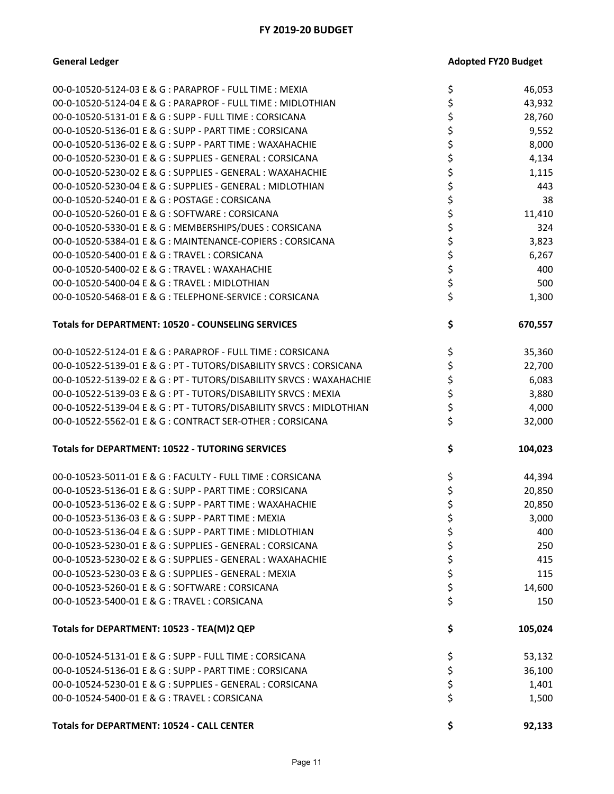| 00-0-10520-5124-03 E & G : PARAPROF - FULL TIME : MEXIA            | \$ | 46,053  |
|--------------------------------------------------------------------|----|---------|
| 00-0-10520-5124-04 E & G : PARAPROF - FULL TIME : MIDLOTHIAN       | \$ | 43,932  |
| 00-0-10520-5131-01 E & G : SUPP - FULL TIME : CORSICANA            | \$ | 28,760  |
| 00-0-10520-5136-01 E & G : SUPP - PART TIME : CORSICANA            | \$ | 9,552   |
| 00-0-10520-5136-02 E & G : SUPP - PART TIME : WAXAHACHIE           | \$ | 8,000   |
| 00-0-10520-5230-01 E & G : SUPPLIES - GENERAL : CORSICANA          | \$ | 4,134   |
| 00-0-10520-5230-02 E & G : SUPPLIES - GENERAL : WAXAHACHIE         | \$ | 1,115   |
| 00-0-10520-5230-04 E & G : SUPPLIES - GENERAL : MIDLOTHIAN         | \$ | 443     |
| 00-0-10520-5240-01 E & G : POSTAGE : CORSICANA                     | \$ | 38      |
| 00-0-10520-5260-01 E & G: SOFTWARE: CORSICANA                      | \$ | 11,410  |
| 00-0-10520-5330-01 E & G : MEMBERSHIPS/DUES : CORSICANA            | \$ | 324     |
| 00-0-10520-5384-01 E & G : MAINTENANCE-COPIERS : CORSICANA         | \$ | 3,823   |
| 00-0-10520-5400-01 E & G: TRAVEL: CORSICANA                        | \$ | 6,267   |
| 00-0-10520-5400-02 E & G : TRAVEL : WAXAHACHIE                     | \$ | 400     |
| 00-0-10520-5400-04 E & G : TRAVEL : MIDLOTHIAN                     | \$ | 500     |
| 00-0-10520-5468-01 E & G : TELEPHONE-SERVICE : CORSICANA           | \$ | 1,300   |
|                                                                    |    |         |
| <b>Totals for DEPARTMENT: 10520 - COUNSELING SERVICES</b>          | \$ | 670,557 |
|                                                                    |    |         |
| 00-0-10522-5124-01 E & G : PARAPROF - FULL TIME : CORSICANA        | \$ | 35,360  |
| 00-0-10522-5139-01 E & G: PT - TUTORS/DISABILITY SRVCS: CORSICANA  | \$ | 22,700  |
| 00-0-10522-5139-02 E & G: PT - TUTORS/DISABILITY SRVCS: WAXAHACHIE | \$ | 6,083   |
| 00-0-10522-5139-03 E & G : PT - TUTORS/DISABILITY SRVCS : MEXIA    | \$ | 3,880   |
| 00-0-10522-5139-04 E & G: PT - TUTORS/DISABILITY SRVCS: MIDLOTHIAN | \$ | 4,000   |
| 00-0-10522-5562-01 E & G : CONTRACT SER-OTHER : CORSICANA          | \$ | 32,000  |
| <b>Totals for DEPARTMENT: 10522 - TUTORING SERVICES</b>            | \$ | 104,023 |
|                                                                    |    |         |
| 00-0-10523-5011-01 E & G : FACULTY - FULL TIME : CORSICANA         | \$ | 44,394  |
| 00-0-10523-5136-01 E & G : SUPP - PART TIME : CORSICANA            | \$ | 20,850  |
| 00-0-10523-5136-02 E & G : SUPP - PART TIME : WAXAHACHIE           | \$ | 20,850  |
| 00-0-10523-5136-03 E & G: SUPP - PART TIME: MEXIA                  | \$ | 3,000   |
| 00-0-10523-5136-04 E & G : SUPP - PART TIME : MIDLOTHIAN           | ς  | 400     |
| 00-0-10523-5230-01 E & G : SUPPLIES - GENERAL : CORSICANA          | \$ | 250     |
| 00-0-10523-5230-02 E & G : SUPPLIES - GENERAL : WAXAHACHIE         | \$ | 415     |
| 00-0-10523-5230-03 E & G : SUPPLIES - GENERAL : MEXIA              | \$ | 115     |
| 00-0-10523-5260-01 E & G : SOFTWARE : CORSICANA                    | \$ | 14,600  |
| 00-0-10523-5400-01 E & G: TRAVEL: CORSICANA                        | \$ | 150     |
| Totals for DEPARTMENT: 10523 - TEA(M)2 QEP                         | \$ | 105,024 |
|                                                                    |    |         |
| 00-0-10524-5131-01 E & G : SUPP - FULL TIME : CORSICANA            | \$ | 53,132  |
| 00-0-10524-5136-01 E & G : SUPP - PART TIME : CORSICANA            | \$ | 36,100  |
| 00-0-10524-5230-01 E & G : SUPPLIES - GENERAL : CORSICANA          | \$ | 1,401   |
| 00-0-10524-5400-01 E & G: TRAVEL: CORSICANA                        | \$ | 1,500   |
| <b>Totals for DEPARTMENT: 10524 - CALL CENTER</b>                  | \$ | 92,133  |
|                                                                    |    |         |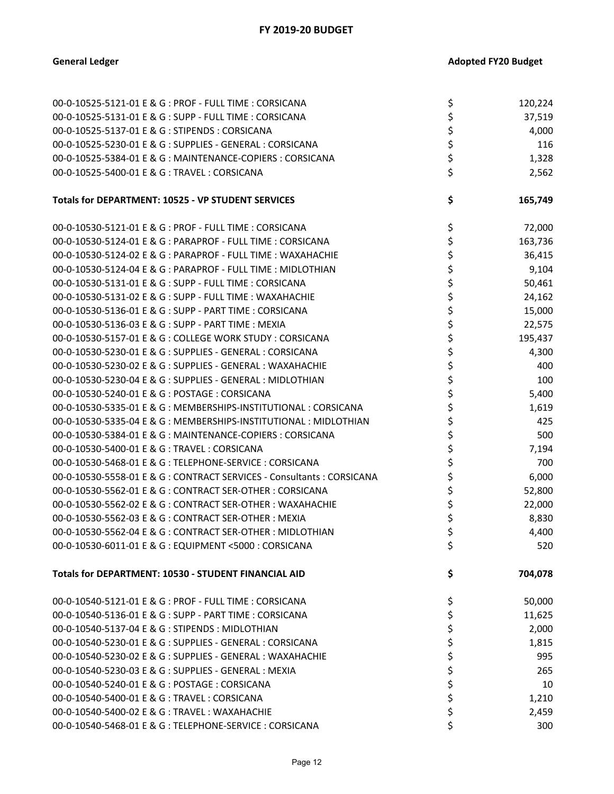| 00-0-10525-5121-01 E & G : PROF - FULL TIME : CORSICANA                | \$<br>120,224 |
|------------------------------------------------------------------------|---------------|
| 00-0-10525-5131-01 E & G : SUPP - FULL TIME : CORSICANA                | \$<br>37,519  |
| 00-0-10525-5137-01 E & G : STIPENDS : CORSICANA                        | 4,000         |
| 00-0-10525-5230-01 E & G : SUPPLIES - GENERAL : CORSICANA              | \$<br>116     |
| 00-0-10525-5384-01 E & G : MAINTENANCE-COPIERS : CORSICANA             | \$<br>1,328   |
| 00-0-10525-5400-01 E & G : TRAVEL : CORSICANA                          | \$<br>2,562   |
|                                                                        |               |
| Totals for DEPARTMENT: 10525 - VP STUDENT SERVICES                     | \$<br>165,749 |
| 00-0-10530-5121-01 E & G : PROF - FULL TIME : CORSICANA                | \$<br>72,000  |
| 00-0-10530-5124-01 E & G : PARAPROF - FULL TIME : CORSICANA            | \$<br>163,736 |
| 00-0-10530-5124-02 E & G : PARAPROF - FULL TIME : WAXAHACHIE           | \$<br>36,415  |
| 00-0-10530-5124-04 E & G : PARAPROF - FULL TIME : MIDLOTHIAN           | 9,104         |
| 00-0-10530-5131-01 E & G : SUPP - FULL TIME : CORSICANA                | \$<br>50,461  |
| 00-0-10530-5131-02 E & G : SUPP - FULL TIME : WAXAHACHIE               | \$<br>24,162  |
| 00-0-10530-5136-01 E & G : SUPP - PART TIME : CORSICANA                | \$<br>15,000  |
| 00-0-10530-5136-03 E & G : SUPP - PART TIME : MEXIA                    | \$<br>22,575  |
| 00-0-10530-5157-01 E & G : COLLEGE WORK STUDY : CORSICANA              | \$<br>195,437 |
| 00-0-10530-5230-01 E & G : SUPPLIES - GENERAL : CORSICANA              | \$<br>4,300   |
| 00-0-10530-5230-02 E & G : SUPPLIES - GENERAL : WAXAHACHIE             | \$<br>400     |
| 00-0-10530-5230-04 E & G : SUPPLIES - GENERAL : MIDLOTHIAN             | \$<br>100     |
| 00-0-10530-5240-01 E & G: POSTAGE: CORSICANA                           | \$<br>5,400   |
| 00-0-10530-5335-01 E & G : MEMBERSHIPS-INSTITUTIONAL : CORSICANA       | \$<br>1,619   |
| 00-0-10530-5335-04 E & G : MEMBERSHIPS-INSTITUTIONAL : MIDLOTHIAN      | \$<br>425     |
| 00-0-10530-5384-01 E & G : MAINTENANCE-COPIERS : CORSICANA             | \$<br>500     |
| 00-0-10530-5400-01 E & G: TRAVEL: CORSICANA                            | \$<br>7,194   |
| 00-0-10530-5468-01 E & G : TELEPHONE-SERVICE : CORSICANA               | \$<br>700     |
| 00-0-10530-5558-01 E & G : CONTRACT SERVICES - Consultants : CORSICANA | \$<br>6,000   |
| 00-0-10530-5562-01 E & G : CONTRACT SER-OTHER : CORSICANA              | \$<br>52,800  |
| 00-0-10530-5562-02 E & G : CONTRACT SER-OTHER : WAXAHACHIE             | 22,000        |
| 00-0-10530-5562-03 E & G : CONTRACT SER-OTHER : MEXIA                  | \$<br>8,830   |
| 00-0-10530-5562-04 E & G : CONTRACT SER-OTHER : MIDLOTHIAN             | \$<br>4,400   |
| 00-0-10530-6011-01 E & G : EQUIPMENT <5000 : CORSICANA                 | 520           |
| Totals for DEPARTMENT: 10530 - STUDENT FINANCIAL AID                   | \$<br>704,078 |
| 00-0-10540-5121-01 E & G : PROF - FULL TIME : CORSICANA                | \$<br>50,000  |
| 00-0-10540-5136-01 E & G : SUPP - PART TIME : CORSICANA                | \$<br>11,625  |
| 00-0-10540-5137-04 E & G : STIPENDS : MIDLOTHIAN                       | \$<br>2,000   |
| 00-0-10540-5230-01 E & G : SUPPLIES - GENERAL : CORSICANA              | \$<br>1,815   |
| 00-0-10540-5230-02 E & G : SUPPLIES - GENERAL : WAXAHACHIE             | \$<br>995     |
| 00-0-10540-5230-03 E & G : SUPPLIES - GENERAL : MEXIA                  | \$<br>265     |
| 00-0-10540-5240-01 E & G : POSTAGE : CORSICANA                         | \$<br>10      |
| 00-0-10540-5400-01 E & G : TRAVEL : CORSICANA                          | \$<br>1,210   |
| 00-0-10540-5400-02 E & G : TRAVEL : WAXAHACHIE                         | \$<br>2,459   |
| 00-0-10540-5468-01 E & G : TELEPHONE-SERVICE : CORSICANA               | \$<br>300     |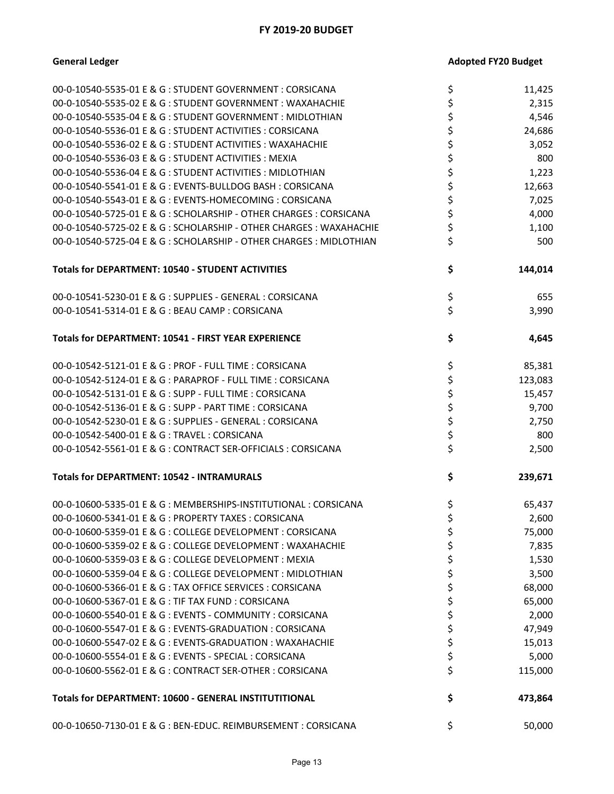**General Ledger** 

|  | <b>Adopted FY20 Budget</b> |  |
|--|----------------------------|--|
|  |                            |  |

| 00-0-10540-5535-01 E & G : STUDENT GOVERNMENT : CORSICANA           | \$<br>11,425  |
|---------------------------------------------------------------------|---------------|
| 00-0-10540-5535-02 E & G: STUDENT GOVERNMENT: WAXAHACHIE            | \$<br>2,315   |
| 00-0-10540-5535-04 E & G: STUDENT GOVERNMENT: MIDLOTHIAN            | \$<br>4,546   |
| 00-0-10540-5536-01 E & G: STUDENT ACTIVITIES: CORSICANA             | \$<br>24,686  |
| 00-0-10540-5536-02 E & G : STUDENT ACTIVITIES : WAXAHACHIE          | \$<br>3,052   |
| 00-0-10540-5536-03 E & G: STUDENT ACTIVITIES: MEXIA                 | \$<br>800     |
| 00-0-10540-5536-04 E & G : STUDENT ACTIVITIES : MIDLOTHIAN          | \$<br>1,223   |
| 00-0-10540-5541-01 E & G : EVENTS-BULLDOG BASH : CORSICANA          | \$<br>12,663  |
| 00-0-10540-5543-01 E & G : EVENTS-HOMECOMING : CORSICANA            | \$<br>7,025   |
| 00-0-10540-5725-01 E & G : SCHOLARSHIP - OTHER CHARGES : CORSICANA  | \$<br>4,000   |
| 00-0-10540-5725-02 E & G : SCHOLARSHIP - OTHER CHARGES : WAXAHACHIE | \$<br>1,100   |
| 00-0-10540-5725-04 E & G : SCHOLARSHIP - OTHER CHARGES : MIDLOTHIAN | \$<br>500     |
| Totals for DEPARTMENT: 10540 - STUDENT ACTIVITIES                   | \$<br>144,014 |
| 00-0-10541-5230-01 E & G : SUPPLIES - GENERAL : CORSICANA           | \$<br>655     |
| 00-0-10541-5314-01 E & G : BEAU CAMP : CORSICANA                    | \$<br>3,990   |
| Totals for DEPARTMENT: 10541 - FIRST YEAR EXPERIENCE                | \$<br>4,645   |
| 00-0-10542-5121-01 E & G : PROF - FULL TIME : CORSICANA             | \$<br>85,381  |
| 00-0-10542-5124-01 E & G : PARAPROF - FULL TIME : CORSICANA         | \$<br>123,083 |
| 00-0-10542-5131-01 E & G : SUPP - FULL TIME : CORSICANA             | \$<br>15,457  |
| 00-0-10542-5136-01 E & G : SUPP - PART TIME : CORSICANA             | \$<br>9,700   |
| 00-0-10542-5230-01 E & G : SUPPLIES - GENERAL : CORSICANA           | \$<br>2,750   |
| 00-0-10542-5400-01 E & G: TRAVEL: CORSICANA                         | \$<br>800     |
| 00-0-10542-5561-01 E & G : CONTRACT SER-OFFICIALS : CORSICANA       | \$<br>2,500   |
| <b>Totals for DEPARTMENT: 10542 - INTRAMURALS</b>                   | \$<br>239,671 |
| 00-0-10600-5335-01 E & G : MEMBERSHIPS-INSTITUTIONAL : CORSICANA    | \$<br>65,437  |
| 00-0-10600-5341-01 E & G : PROPERTY TAXES : CORSICANA               | \$<br>2,600   |
| 00-0-10600-5359-01 E & G : COLLEGE DEVELOPMENT : CORSICANA          | \$<br>75,000  |
| 00-0-10600-5359-02 E & G : COLLEGE DEVELOPMENT : WAXAHACHIE         | \$<br>7,835   |
| 00-0-10600-5359-03 E & G : COLLEGE DEVELOPMENT : MEXIA              | \$<br>1,530   |
| 00-0-10600-5359-04 E & G : COLLEGE DEVELOPMENT : MIDLOTHIAN         | \$<br>3,500   |
| 00-0-10600-5366-01 E & G: TAX OFFICE SERVICES: CORSICANA            | \$<br>68,000  |
| 00-0-10600-5367-01 E & G : TIF TAX FUND : CORSICANA                 | \$<br>65,000  |
| 00-0-10600-5540-01 E & G : EVENTS - COMMUNITY : CORSICANA           | \$<br>2,000   |
| 00-0-10600-5547-01 E & G : EVENTS-GRADUATION : CORSICANA            | \$<br>47,949  |
| 00-0-10600-5547-02 E & G : EVENTS-GRADUATION : WAXAHACHIE           | \$<br>15,013  |
| 00-0-10600-5554-01 E & G : EVENTS - SPECIAL : CORSICANA             | \$<br>5,000   |
| 00-0-10600-5562-01 E & G : CONTRACT SER-OTHER : CORSICANA           | \$<br>115,000 |
| Totals for DEPARTMENT: 10600 - GENERAL INSTITUTITIONAL              | \$<br>473,864 |
| 00-0-10650-7130-01 E & G : BEN-EDUC. REIMBURSEMENT : CORSICANA      | \$<br>50,000  |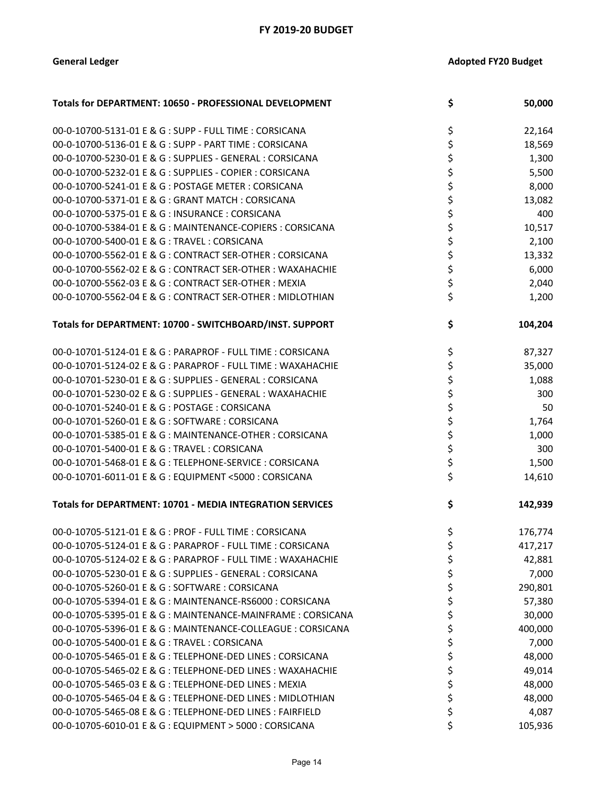| Totals for DEPARTMENT: 10650 - PROFESSIONAL DEVELOPMENT      | \$<br>50,000  |
|--------------------------------------------------------------|---------------|
| 00-0-10700-5131-01 E & G : SUPP - FULL TIME : CORSICANA      | \$<br>22,164  |
| 00-0-10700-5136-01 E & G : SUPP - PART TIME : CORSICANA      | \$<br>18,569  |
| 00-0-10700-5230-01 E & G : SUPPLIES - GENERAL : CORSICANA    | \$<br>1,300   |
| 00-0-10700-5232-01 E & G : SUPPLIES - COPIER : CORSICANA     | \$<br>5,500   |
| 00-0-10700-5241-01 E & G : POSTAGE METER : CORSICANA         | \$<br>8,000   |
| 00-0-10700-5371-01 E & G : GRANT MATCH : CORSICANA           | \$<br>13,082  |
| 00-0-10700-5375-01 E & G : INSURANCE : CORSICANA             | \$<br>400     |
| 00-0-10700-5384-01 E & G : MAINTENANCE-COPIERS : CORSICANA   | \$<br>10,517  |
| 00-0-10700-5400-01 E & G: TRAVEL: CORSICANA                  | \$<br>2,100   |
| 00-0-10700-5562-01 E & G : CONTRACT SER-OTHER : CORSICANA    | \$<br>13,332  |
| 00-0-10700-5562-02 E & G : CONTRACT SER-OTHER : WAXAHACHIE   | \$<br>6,000   |
| 00-0-10700-5562-03 E & G : CONTRACT SER-OTHER : MEXIA        | \$<br>2,040   |
| 00-0-10700-5562-04 E & G : CONTRACT SER-OTHER : MIDLOTHIAN   | \$<br>1,200   |
| Totals for DEPARTMENT: 10700 - SWITCHBOARD/INST. SUPPORT     | \$<br>104,204 |
| 00-0-10701-5124-01 E & G : PARAPROF - FULL TIME : CORSICANA  | \$<br>87,327  |
| 00-0-10701-5124-02 E & G : PARAPROF - FULL TIME : WAXAHACHIE | \$<br>35,000  |
| 00-0-10701-5230-01 E & G : SUPPLIES - GENERAL : CORSICANA    | \$<br>1,088   |
| 00-0-10701-5230-02 E & G : SUPPLIES - GENERAL : WAXAHACHIE   | \$<br>300     |
| 00-0-10701-5240-01 E & G : POSTAGE : CORSICANA               | \$<br>50      |
| 00-0-10701-5260-01 E & G: SOFTWARE: CORSICANA                | \$<br>1,764   |
| 00-0-10701-5385-01 E & G: MAINTENANCE-OTHER: CORSICANA       | \$<br>1,000   |
| 00-0-10701-5400-01 E & G : TRAVEL : CORSICANA                | \$<br>300     |
| 00-0-10701-5468-01 E & G: TELEPHONE-SERVICE: CORSICANA       | \$<br>1,500   |
| 00-0-10701-6011-01 E & G : EQUIPMENT <5000 : CORSICANA       | \$<br>14,610  |
| Totals for DEPARTMENT: 10701 - MEDIA INTEGRATION SERVICES    | \$<br>142,939 |
| 00-0-10705-5121-01 E & G : PROF - FULL TIME : CORSICANA      | \$<br>176,774 |
| 00-0-10705-5124-01 E & G : PARAPROF - FULL TIME : CORSICANA  | \$<br>417,217 |
| 00-0-10705-5124-02 E & G : PARAPROF - FULL TIME : WAXAHACHIE | \$<br>42,881  |
| 00-0-10705-5230-01 E & G : SUPPLIES - GENERAL : CORSICANA    | \$<br>7,000   |
| 00-0-10705-5260-01 E & G : SOFTWARE : CORSICANA              | \$<br>290,801 |
| 00-0-10705-5394-01 E & G : MAINTENANCE-RS6000 : CORSICANA    | \$<br>57,380  |
| 00-0-10705-5395-01 E & G : MAINTENANCE-MAINFRAME : CORSICANA | \$<br>30,000  |
| 00-0-10705-5396-01 E & G : MAINTENANCE-COLLEAGUE : CORSICANA | \$<br>400,000 |
| 00-0-10705-5400-01 E & G : TRAVEL : CORSICANA                | \$<br>7,000   |
| 00-0-10705-5465-01 E & G : TELEPHONE-DED LINES : CORSICANA   | \$<br>48,000  |
| 00-0-10705-5465-02 E & G : TELEPHONE-DED LINES : WAXAHACHIE  | \$<br>49,014  |
| 00-0-10705-5465-03 E & G : TELEPHONE-DED LINES : MEXIA       | \$<br>48,000  |
| 00-0-10705-5465-04 E & G : TELEPHONE-DED LINES : MIDLOTHIAN  | \$<br>48,000  |
| 00-0-10705-5465-08 E & G : TELEPHONE-DED LINES : FAIRFIELD   | \$<br>4,087   |
| 00-0-10705-6010-01 E & G : EQUIPMENT > 5000 : CORSICANA      | \$<br>105,936 |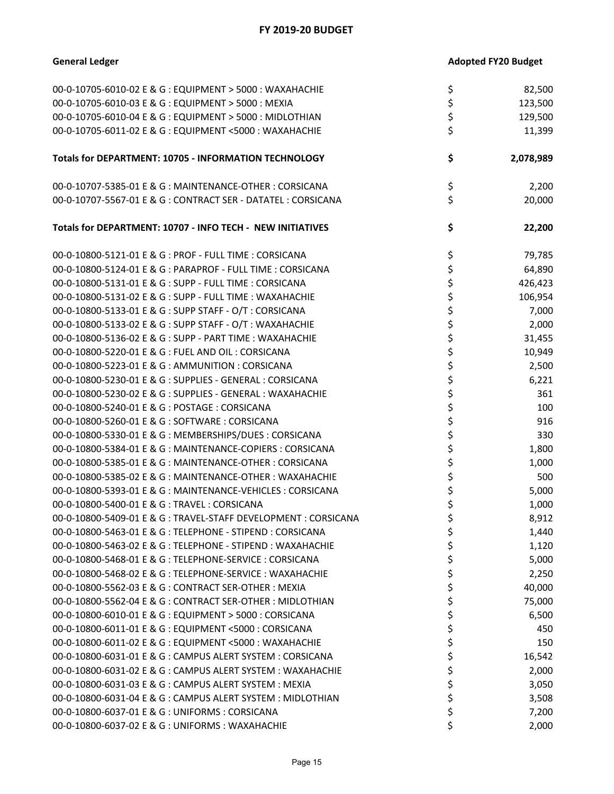| <b>General Ledger</b>                                           | <b>Adopted FY20 Budget</b> |           |
|-----------------------------------------------------------------|----------------------------|-----------|
| 00-0-10705-6010-02 E & G : EQUIPMENT > 5000 : WAXAHACHIE        | \$                         | 82,500    |
| 00-0-10705-6010-03 E & G : EQUIPMENT > 5000 : MEXIA             | \$                         | 123,500   |
| 00-0-10705-6010-04 E & G : EQUIPMENT > 5000 : MIDLOTHIAN        | \$                         | 129,500   |
| 00-0-10705-6011-02 E & G : EQUIPMENT <5000 : WAXAHACHIE         | \$                         | 11,399    |
|                                                                 |                            |           |
| <b>Totals for DEPARTMENT: 10705 - INFORMATION TECHNOLOGY</b>    | \$                         | 2,078,989 |
| 00-0-10707-5385-01 E & G : MAINTENANCE-OTHER : CORSICANA        | \$                         | 2,200     |
| 00-0-10707-5567-01 E & G : CONTRACT SER - DATATEL : CORSICANA   | \$                         | 20,000    |
| Totals for DEPARTMENT: 10707 - INFO TECH - NEW INITIATIVES      | \$                         | 22,200    |
| 00-0-10800-5121-01 E & G : PROF - FULL TIME : CORSICANA         | \$                         | 79,785    |
| 00-0-10800-5124-01 E & G : PARAPROF - FULL TIME : CORSICANA     | \$                         | 64,890    |
| 00-0-10800-5131-01 E & G : SUPP - FULL TIME : CORSICANA         | \$                         | 426,423   |
| 00-0-10800-5131-02 E & G : SUPP - FULL TIME : WAXAHACHIE        | \$                         | 106,954   |
| 00-0-10800-5133-01 E & G : SUPP STAFF - O/T : CORSICANA         | \$                         | 7,000     |
| 00-0-10800-5133-02 E & G : SUPP STAFF - O/T : WAXAHACHIE        | \$                         | 2,000     |
| 00-0-10800-5136-02 E & G : SUPP - PART TIME : WAXAHACHIE        | \$                         | 31,455    |
| 00-0-10800-5220-01 E & G : FUEL AND OIL : CORSICANA             | \$                         | 10,949    |
| 00-0-10800-5223-01 E & G : AMMUNITION : CORSICANA               | \$                         | 2,500     |
| 00-0-10800-5230-01 E & G : SUPPLIES - GENERAL : CORSICANA       | \$                         | 6,221     |
| 00-0-10800-5230-02 E & G : SUPPLIES - GENERAL : WAXAHACHIE      | \$                         | 361       |
| 00-0-10800-5240-01 E & G : POSTAGE : CORSICANA                  | \$                         | 100       |
| 00-0-10800-5260-01 E & G: SOFTWARE: CORSICANA                   | \$                         | 916       |
| 00-0-10800-5330-01 E & G : MEMBERSHIPS/DUES : CORSICANA         | \$                         | 330       |
| 00-0-10800-5384-01 E & G : MAINTENANCE-COPIERS : CORSICANA      | \$                         | 1,800     |
| 00-0-10800-5385-01 E & G : MAINTENANCE-OTHER : CORSICANA        | \$                         | 1,000     |
| 00-0-10800-5385-02 E & G : MAINTENANCE-OTHER : WAXAHACHIE       | \$                         | 500       |
| 00-0-10800-5393-01 E & G : MAINTENANCE-VEHICLES : CORSICANA     | \$                         | 5,000     |
|                                                                 | Ş                          | 1,000     |
| 00-0-10800-5409-01 E & G : TRAVEL-STAFF DEVELOPMENT : CORSICANA | \$                         | 8,912     |
| 00-0-10800-5463-01 E & G : TELEPHONE - STIPEND : CORSICANA      | \$                         | 1,440     |
| 00-0-10800-5463-02 E & G : TELEPHONE - STIPEND : WAXAHACHIE     | \$                         | 1,120     |
| 00-0-10800-5468-01 E & G : TELEPHONE-SERVICE : CORSICANA        | \$                         | 5,000     |
| 00-0-10800-5468-02 E & G : TELEPHONE-SERVICE : WAXAHACHIE       | \$                         | 2,250     |
| 00-0-10800-5562-03 E & G : CONTRACT SER-OTHER : MEXIA           | \$                         | 40,000    |
| 00-0-10800-5562-04 E & G : CONTRACT SER-OTHER : MIDLOTHIAN      | \$                         | 75,000    |
| 00-0-10800-6010-01 E & G : EQUIPMENT > 5000 : CORSICANA         | \$                         | 6,500     |
| 00-0-10800-6011-01 E & G : EQUIPMENT <5000 : CORSICANA          | \$                         | 450       |
| 00-0-10800-6011-02 E & G : EQUIPMENT <5000 : WAXAHACHIE         | \$                         | 150       |
| 00-0-10800-6031-01 E & G : CAMPUS ALERT SYSTEM : CORSICANA      |                            | 16,542    |
| 00-0-10800-6031-02 E & G : CAMPUS ALERT SYSTEM : WAXAHACHIE     | \$                         | 2,000     |
| 00-0-10800-6031-03 E & G : CAMPUS ALERT SYSTEM : MEXIA          | \$                         | 3,050     |
| 00-0-10800-6031-04 E & G : CAMPUS ALERT SYSTEM : MIDLOTHIAN     | \$                         | 3,508     |
| 00-0-10800-6037-01 E & G : UNIFORMS : CORSICANA                 | \$                         | 7,200     |
| 00-0-10800-6037-02 E & G : UNIFORMS : WAXAHACHIE                | \$                         | 2,000     |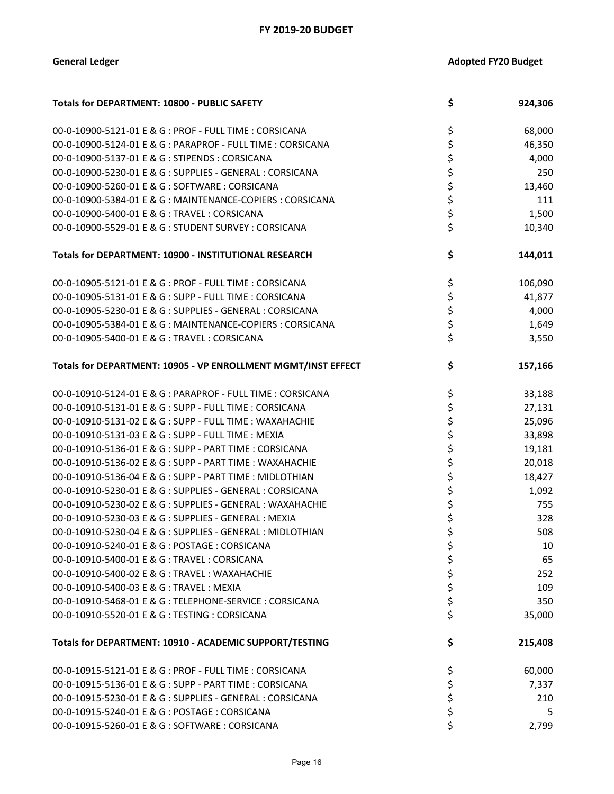| Totals for DEPARTMENT: 10800 - PUBLIC SAFETY                  | \$<br>924,306 |
|---------------------------------------------------------------|---------------|
| 00-0-10900-5121-01 E & G : PROF - FULL TIME : CORSICANA       | \$<br>68,000  |
| 00-0-10900-5124-01 E & G : PARAPROF - FULL TIME : CORSICANA   | \$<br>46,350  |
| 00-0-10900-5137-01 E & G : STIPENDS : CORSICANA               | \$<br>4,000   |
| 00-0-10900-5230-01 E & G : SUPPLIES - GENERAL : CORSICANA     | \$<br>250     |
| 00-0-10900-5260-01 E & G : SOFTWARE : CORSICANA               | \$<br>13,460  |
| 00-0-10900-5384-01 E & G : MAINTENANCE-COPIERS : CORSICANA    | \$<br>111     |
| 00-0-10900-5400-01 E & G: TRAVEL: CORSICANA                   | \$<br>1,500   |
| 00-0-10900-5529-01 E & G: STUDENT SURVEY: CORSICANA           | \$<br>10,340  |
| Totals for DEPARTMENT: 10900 - INSTITUTIONAL RESEARCH         | \$<br>144,011 |
| 00-0-10905-5121-01 E & G : PROF - FULL TIME : CORSICANA       | \$<br>106,090 |
| 00-0-10905-5131-01 E & G : SUPP - FULL TIME : CORSICANA       | \$<br>41,877  |
| 00-0-10905-5230-01 E & G : SUPPLIES - GENERAL : CORSICANA     | \$<br>4,000   |
| 00-0-10905-5384-01 E & G : MAINTENANCE-COPIERS : CORSICANA    | \$<br>1,649   |
| 00-0-10905-5400-01 E & G: TRAVEL: CORSICANA                   | \$<br>3,550   |
| Totals for DEPARTMENT: 10905 - VP ENROLLMENT MGMT/INST EFFECT | \$<br>157,166 |
| 00-0-10910-5124-01 E & G : PARAPROF - FULL TIME : CORSICANA   | \$<br>33,188  |
| 00-0-10910-5131-01 E & G : SUPP - FULL TIME : CORSICANA       | \$<br>27,131  |
| 00-0-10910-5131-02 E & G : SUPP - FULL TIME : WAXAHACHIE      | \$<br>25,096  |
| 00-0-10910-5131-03 E & G : SUPP - FULL TIME : MEXIA           | \$<br>33,898  |
| 00-0-10910-5136-01 E & G : SUPP - PART TIME : CORSICANA       | \$<br>19,181  |
| 00-0-10910-5136-02 E & G : SUPP - PART TIME : WAXAHACHIE      | \$<br>20,018  |
| 00-0-10910-5136-04 E & G : SUPP - PART TIME : MIDLOTHIAN      | \$<br>18,427  |
| 00-0-10910-5230-01 E & G : SUPPLIES - GENERAL : CORSICANA     | \$<br>1,092   |
| 00-0-10910-5230-02 E & G : SUPPLIES - GENERAL : WAXAHACHIE    | \$<br>755     |
| 00-0-10910-5230-03 E & G : SUPPLIES - GENERAL : MEXIA         | \$<br>328     |
| 00-0-10910-5230-04 E & G : SUPPLIES - GENERAL : MIDLOTHIAN    | \$<br>508     |
| 00-0-10910-5240-01 E & G : POSTAGE : CORSICANA                | \$<br>10      |
| 00-0-10910-5400-01 E & G: TRAVEL: CORSICANA                   | \$<br>65      |
| 00-0-10910-5400-02 E & G: TRAVEL: WAXAHACHIE                  | \$<br>252     |
| 00-0-10910-5400-03 E & G: TRAVEL: MEXIA                       | \$<br>109     |
| 00-0-10910-5468-01 E & G : TELEPHONE-SERVICE : CORSICANA      | \$<br>350     |
| 00-0-10910-5520-01 E & G: TESTING: CORSICANA                  | \$<br>35,000  |
| Totals for DEPARTMENT: 10910 - ACADEMIC SUPPORT/TESTING       | \$<br>215,408 |
| 00-0-10915-5121-01 E & G : PROF - FULL TIME : CORSICANA       | \$<br>60,000  |
| 00-0-10915-5136-01 E & G : SUPP - PART TIME : CORSICANA       | \$<br>7,337   |
| 00-0-10915-5230-01 E & G : SUPPLIES - GENERAL : CORSICANA     | \$<br>210     |
| 00-0-10915-5240-01 E & G : POSTAGE : CORSICANA                | \$<br>5       |
| 00-0-10915-5260-01 E & G: SOFTWARE: CORSICANA                 | \$<br>2,799   |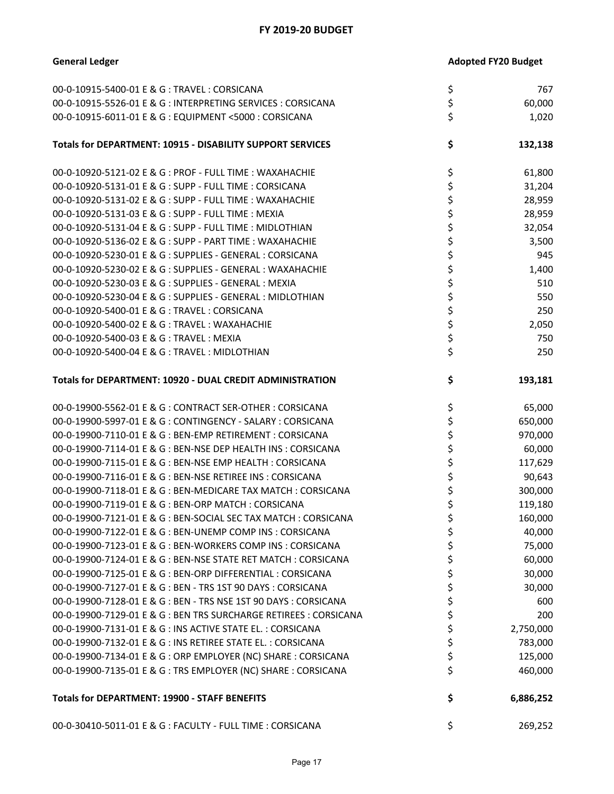| 00-0-10915-5400-01 E & G: TRAVEL: CORSICANA                       | \$<br>767       |
|-------------------------------------------------------------------|-----------------|
| 00-0-10915-5526-01 E & G : INTERPRETING SERVICES : CORSICANA      | \$<br>60,000    |
| 00-0-10915-6011-01 E & G : EQUIPMENT <5000 : CORSICANA            | \$<br>1,020     |
| Totals for DEPARTMENT: 10915 - DISABILITY SUPPORT SERVICES        | \$<br>132,138   |
| 00-0-10920-5121-02 E & G : PROF - FULL TIME : WAXAHACHIE          | \$<br>61,800    |
| 00-0-10920-5131-01 E & G : SUPP - FULL TIME : CORSICANA           | \$<br>31,204    |
| 00-0-10920-5131-02 E & G : SUPP - FULL TIME : WAXAHACHIE          | \$<br>28,959    |
| 00-0-10920-5131-03 E & G : SUPP - FULL TIME : MEXIA               | \$<br>28,959    |
| 00-0-10920-5131-04 E & G : SUPP - FULL TIME : MIDLOTHIAN          | \$<br>32,054    |
| 00-0-10920-5136-02 E & G : SUPP - PART TIME : WAXAHACHIE          | \$<br>3,500     |
| 00-0-10920-5230-01 E & G : SUPPLIES - GENERAL : CORSICANA         | \$<br>945       |
| 00-0-10920-5230-02 E & G : SUPPLIES - GENERAL : WAXAHACHIE        | \$<br>1,400     |
| 00-0-10920-5230-03 E & G : SUPPLIES - GENERAL : MEXIA             | \$<br>510       |
| 00-0-10920-5230-04 E & G : SUPPLIES - GENERAL : MIDLOTHIAN        | \$<br>550       |
| 00-0-10920-5400-01 E & G: TRAVEL: CORSICANA                       | \$<br>250       |
| 00-0-10920-5400-02 E & G : TRAVEL : WAXAHACHIE                    | \$<br>2,050     |
| 00-0-10920-5400-03 E & G: TRAVEL: MEXIA                           | \$<br>750       |
| 00-0-10920-5400-04 E & G : TRAVEL : MIDLOTHIAN                    | \$<br>250       |
| Totals for DEPARTMENT: 10920 - DUAL CREDIT ADMINISTRATION         | \$<br>193,181   |
| 00-0-19900-5562-01 E & G: CONTRACT SER-OTHER: CORSICANA           | \$<br>65,000    |
| 00-0-19900-5997-01 E & G : CONTINGENCY - SALARY : CORSICANA       | \$<br>650,000   |
| 00-0-19900-7110-01 E & G : BEN-EMP RETIREMENT : CORSICANA         | \$<br>970,000   |
| 00-0-19900-7114-01 E & G : BEN-NSE DEP HEALTH INS : CORSICANA     | \$<br>60,000    |
| 00-0-19900-7115-01 E & G : BEN-NSE EMP HEALTH : CORSICANA         | \$<br>117,629   |
| 00-0-19900-7116-01 E & G : BEN-NSE RETIREE INS : CORSICANA        | \$<br>90,643    |
| 00-0-19900-7118-01 E & G : BEN-MEDICARE TAX MATCH : CORSICANA     | \$<br>300,000   |
| 00-0-19900-7119-01 E & G : BEN-ORP MATCH : CORSICANA              | \$<br>119,180   |
| 00-0-19900-7121-01 E & G : BEN-SOCIAL SEC TAX MATCH : CORSICANA   | \$<br>160,000   |
| 00-0-19900-7122-01 E & G : BEN-UNEMP COMP INS : CORSICANA         | \$<br>40,000    |
| 00-0-19900-7123-01 E & G : BEN-WORKERS COMP INS : CORSICANA       | \$<br>75,000    |
| 00-0-19900-7124-01 E & G : BEN-NSE STATE RET MATCH : CORSICANA    | \$<br>60,000    |
| 00-0-19900-7125-01 E & G : BEN-ORP DIFFERENTIAL : CORSICANA       | \$<br>30,000    |
| 00-0-19900-7127-01 E & G : BEN - TRS 1ST 90 DAYS : CORSICANA      | \$<br>30,000    |
| 00-0-19900-7128-01 E & G : BEN - TRS NSE 1ST 90 DAYS : CORSICANA  | \$<br>600       |
| 00-0-19900-7129-01 E & G : BEN TRS SURCHARGE RETIREES : CORSICANA | \$<br>200       |
| 00-0-19900-7131-01 E & G : INS ACTIVE STATE EL. : CORSICANA       | \$<br>2,750,000 |
| 00-0-19900-7132-01 E & G : INS RETIREE STATE EL. : CORSICANA      | \$<br>783,000   |
| 00-0-19900-7134-01 E & G : ORP EMPLOYER (NC) SHARE : CORSICANA    | \$<br>125,000   |
| 00-0-19900-7135-01 E & G : TRS EMPLOYER (NC) SHARE : CORSICANA    | \$<br>460,000   |
| <b>Totals for DEPARTMENT: 19900 - STAFF BENEFITS</b>              | \$<br>6,886,252 |
| 00-0-30410-5011-01 E & G : FACULTY - FULL TIME : CORSICANA        | \$<br>269,252   |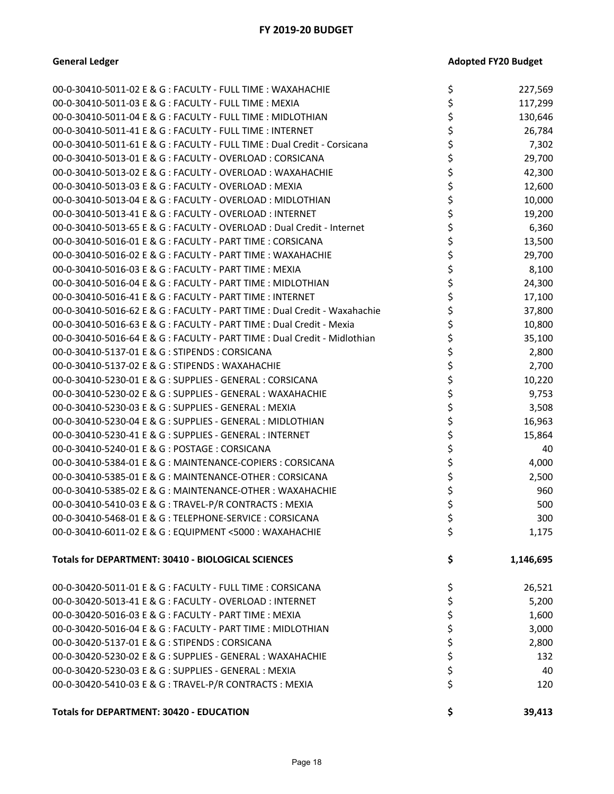| 00-0-30410-5011-02 E & G : FACULTY - FULL TIME : WAXAHACHIE               | \$       | 227,569   |
|---------------------------------------------------------------------------|----------|-----------|
| 00-0-30410-5011-03 E & G : FACULTY - FULL TIME : MEXIA                    | \$       | 117,299   |
| 00-0-30410-5011-04 E & G : FACULTY - FULL TIME : MIDLOTHIAN               | \$       | 130,646   |
| 00-0-30410-5011-41 E & G : FACULTY - FULL TIME : INTERNET                 | \$       | 26,784    |
| 00-0-30410-5011-61 E & G : FACULTY - FULL TIME : Dual Credit - Corsicana  | \$       | 7,302     |
| 00-0-30410-5013-01 E & G : FACULTY - OVERLOAD : CORSICANA                 |          | 29,700    |
| 00-0-30410-5013-02 E & G : FACULTY - OVERLOAD : WAXAHACHIE                | \$       | 42,300    |
| 00-0-30410-5013-03 E & G : FACULTY - OVERLOAD : MEXIA                     | \$       | 12,600    |
| 00-0-30410-5013-04 E & G : FACULTY - OVERLOAD : MIDLOTHIAN                |          | 10,000    |
| 00-0-30410-5013-41 E & G : FACULTY - OVERLOAD : INTERNET                  | \$       | 19,200    |
| 00-0-30410-5013-65 E & G : FACULTY - OVERLOAD : Dual Credit - Internet    | \$       | 6,360     |
| 00-0-30410-5016-01 E & G : FACULTY - PART TIME : CORSICANA                |          | 13,500    |
| 00-0-30410-5016-02 E & G : FACULTY - PART TIME : WAXAHACHIE               | \$       | 29,700    |
| 00-0-30410-5016-03 E & G : FACULTY - PART TIME : MEXIA                    | \$       | 8,100     |
| 00-0-30410-5016-04 E & G : FACULTY - PART TIME : MIDLOTHIAN               | \$       | 24,300    |
| 00-0-30410-5016-41 E & G : FACULTY - PART TIME : INTERNET                 |          | 17,100    |
| 00-0-30410-5016-62 E & G : FACULTY - PART TIME : Dual Credit - Waxahachie | \$       | 37,800    |
| 00-0-30410-5016-63 E & G : FACULTY - PART TIME : Dual Credit - Mexia      |          | 10,800    |
| 00-0-30410-5016-64 E & G : FACULTY - PART TIME : Dual Credit - Midlothian |          | 35,100    |
| 00-0-30410-5137-01 E & G: STIPENDS: CORSICANA                             | \$       | 2,800     |
| 00-0-30410-5137-02 E & G : STIPENDS : WAXAHACHIE                          |          | 2,700     |
| 00-0-30410-5230-01 E & G : SUPPLIES - GENERAL : CORSICANA                 |          | 10,220    |
| 00-0-30410-5230-02 E & G : SUPPLIES - GENERAL : WAXAHACHIE                | \$       | 9,753     |
| 00-0-30410-5230-03 E & G : SUPPLIES - GENERAL : MEXIA                     | \$       | 3,508     |
| 00-0-30410-5230-04 E & G : SUPPLIES - GENERAL : MIDLOTHIAN                | \$       | 16,963    |
| 00-0-30410-5230-41 E & G : SUPPLIES - GENERAL : INTERNET                  |          | 15,864    |
| 00-0-30410-5240-01 E & G : POSTAGE : CORSICANA                            | \$       | 40        |
| 00-0-30410-5384-01 E & G : MAINTENANCE-COPIERS : CORSICANA                | \$       | 4,000     |
| 00-0-30410-5385-01 E & G: MAINTENANCE-OTHER: CORSICANA                    | \$       | 2,500     |
| 00-0-30410-5385-02 E & G : MAINTENANCE-OTHER : WAXAHACHIE                 | \$       | 960       |
| 00-0-30410-5410-03 E & G: TRAVEL-P/R CONTRACTS: MEXIA                     | \$       | 500       |
| 00-0-30410-5468-01 E & G: TELEPHONE-SERVICE: CORSICANA                    | \$       | 300       |
| 00-0-30410-6011-02 E & G : EQUIPMENT <5000 : WAXAHACHIE                   | Ç.       | 1,175     |
| Totals for DEPARTMENT: 30410 - BIOLOGICAL SCIENCES                        | \$       | 1,146,695 |
| 00-0-30420-5011-01 E & G : FACULTY - FULL TIME : CORSICANA                | \$       | 26,521    |
| 00-0-30420-5013-41 E & G : FACULTY - OVERLOAD : INTERNET                  | \$       | 5,200     |
| 00-0-30420-5016-03 E & G : FACULTY - PART TIME : MEXIA                    | \$       | 1,600     |
| 00-0-30420-5016-04 E & G : FACULTY - PART TIME : MIDLOTHIAN               | \$       | 3,000     |
| 00-0-30420-5137-01 E & G : STIPENDS : CORSICANA                           | \$       | 2,800     |
| 00-0-30420-5230-02 E & G : SUPPLIES - GENERAL : WAXAHACHIE                | \$<br>\$ | 132       |
| 00-0-30420-5230-03 E & G : SUPPLIES - GENERAL : MEXIA                     |          | 40        |
| 00-0-30420-5410-03 E & G: TRAVEL-P/R CONTRACTS: MEXIA                     | \$       | 120       |
| <b>Totals for DEPARTMENT: 30420 - EDUCATION</b>                           | \$       | 39,413    |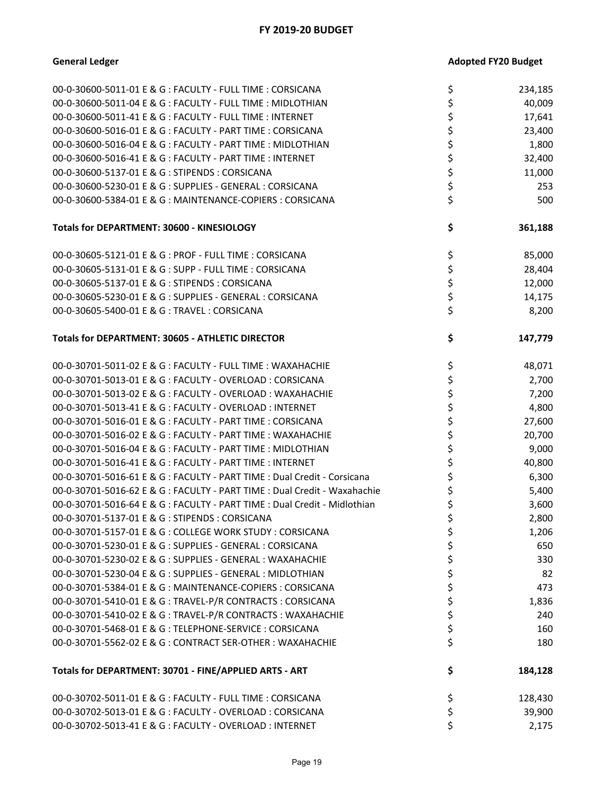| 00-0-30600-5011-01 E & G : FACULTY - FULL TIME : CORSICANA                | \$ | 234,185 |
|---------------------------------------------------------------------------|----|---------|
| 00-0-30600-5011-04 E & G : FACULTY - FULL TIME : MIDLOTHIAN               | \$ | 40,009  |
| 00-0-30600-5011-41 E & G : FACULTY - FULL TIME : INTERNET                 | \$ | 17,641  |
| 00-0-30600-5016-01 E & G : FACULTY - PART TIME : CORSICANA                | \$ | 23,400  |
| 00-0-30600-5016-04 E & G : FACULTY - PART TIME : MIDLOTHIAN               | \$ | 1,800   |
| 00-0-30600-5016-41 E & G : FACULTY - PART TIME : INTERNET                 | \$ | 32,400  |
| 00-0-30600-5137-01 E & G : STIPENDS : CORSICANA                           | \$ | 11,000  |
| 00-0-30600-5230-01 E & G : SUPPLIES - GENERAL : CORSICANA                 | \$ | 253     |
| 00-0-30600-5384-01 E & G : MAINTENANCE-COPIERS : CORSICANA                | \$ | 500     |
| Totals for DEPARTMENT: 30600 - KINESIOLOGY                                | \$ | 361,188 |
| 00-0-30605-5121-01 E & G : PROF - FULL TIME : CORSICANA                   | \$ | 85,000  |
| 00-0-30605-5131-01 E & G : SUPP - FULL TIME : CORSICANA                   | \$ | 28,404  |
| 00-0-30605-5137-01 E & G : STIPENDS : CORSICANA                           | \$ | 12,000  |
| 00-0-30605-5230-01 E & G : SUPPLIES - GENERAL : CORSICANA                 | \$ | 14,175  |
| 00-0-30605-5400-01 E & G: TRAVEL: CORSICANA                               | \$ | 8,200   |
| Totals for DEPARTMENT: 30605 - ATHLETIC DIRECTOR                          | \$ | 147,779 |
| 00-0-30701-5011-02 E & G : FACULTY - FULL TIME : WAXAHACHIE               | \$ | 48,071  |
| 00-0-30701-5013-01 E & G : FACULTY - OVERLOAD : CORSICANA                 | \$ | 2,700   |
| 00-0-30701-5013-02 E & G : FACULTY - OVERLOAD : WAXAHACHIE                | \$ | 7,200   |
| 00-0-30701-5013-41 E & G : FACULTY - OVERLOAD : INTERNET                  | \$ | 4,800   |
| 00-0-30701-5016-01 E & G : FACULTY - PART TIME : CORSICANA                | \$ | 27,600  |
| 00-0-30701-5016-02 E & G : FACULTY - PART TIME : WAXAHACHIE               | \$ | 20,700  |
| 00-0-30701-5016-04 E & G : FACULTY - PART TIME : MIDLOTHIAN               | \$ | 9,000   |
| 00-0-30701-5016-41 E & G : FACULTY - PART TIME : INTERNET                 | \$ | 40,800  |
| 00-0-30701-5016-61 E & G : FACULTY - PART TIME : Dual Credit - Corsicana  | \$ | 6,300   |
| 00-0-30701-5016-62 E & G : FACULTY - PART TIME : Dual Credit - Waxahachie | \$ | 5,400   |
| 00-0-30701-5016-64 E & G : FACULTY - PART TIME : Dual Credit - Midlothian | \$ | 3,600   |
| 00-0-30701-5137-01 E & G : STIPENDS : CORSICANA                           | \$ | 2,800   |
| 00-0-30701-5157-01 E & G : COLLEGE WORK STUDY : CORSICANA                 | Ļ  | 1,206   |
| 00-0-30701-5230-01 E & G : SUPPLIES - GENERAL : CORSICANA                 | \$ | 650     |
| 00-0-30701-5230-02 E & G : SUPPLIES - GENERAL : WAXAHACHIE                | \$ | 330     |
| 00-0-30701-5230-04 E & G : SUPPLIES - GENERAL : MIDLOTHIAN                | \$ | 82      |
| 00-0-30701-5384-01 E & G : MAINTENANCE-COPIERS : CORSICANA                | \$ | 473     |
| 00-0-30701-5410-01 E & G : TRAVEL-P/R CONTRACTS : CORSICANA               | \$ | 1,836   |
| 00-0-30701-5410-02 E & G : TRAVEL-P/R CONTRACTS : WAXAHACHIE              | \$ | 240     |
| 00-0-30701-5468-01 E & G : TELEPHONE-SERVICE : CORSICANA                  | \$ | 160     |
| 00-0-30701-5562-02 E & G : CONTRACT SER-OTHER : WAXAHACHIE                | \$ | 180     |
| Totals for DEPARTMENT: 30701 - FINE/APPLIED ARTS - ART                    | \$ | 184,128 |
| 00-0-30702-5011-01 E & G : FACULTY - FULL TIME : CORSICANA                | \$ | 128,430 |
| 00-0-30702-5013-01 E & G : FACULTY - OVERLOAD : CORSICANA                 | \$ | 39,900  |
| 00-0-30702-5013-41 E & G : FACULTY - OVERLOAD : INTERNET                  | \$ | 2,175   |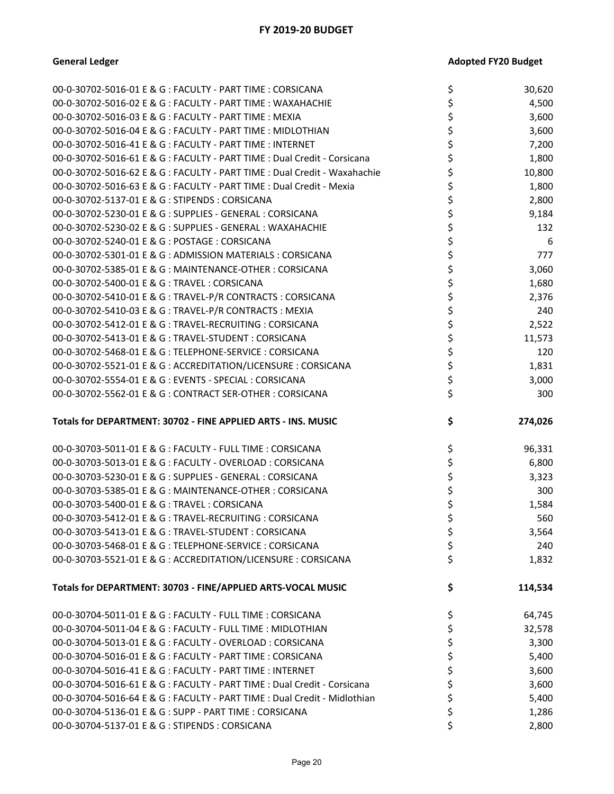| 00-0-30702-5016-01 E & G : FACULTY - PART TIME : CORSICANA                                                 | \$       | 30,620         |
|------------------------------------------------------------------------------------------------------------|----------|----------------|
| 00-0-30702-5016-02 E & G : FACULTY - PART TIME : WAXAHACHIE                                                |          | 4,500          |
| 00-0-30702-5016-03 E & G : FACULTY - PART TIME : MEXIA                                                     | \$       | 3,600          |
| 00-0-30702-5016-04 E & G : FACULTY - PART TIME : MIDLOTHIAN                                                | \$       | 3,600          |
| 00-0-30702-5016-41 E & G : FACULTY - PART TIME : INTERNET                                                  | \$       | 7,200          |
| 00-0-30702-5016-61 E & G : FACULTY - PART TIME : Dual Credit - Corsicana                                   | \$       | 1,800          |
| 00-0-30702-5016-62 E & G : FACULTY - PART TIME : Dual Credit - Waxahachie                                  | \$       | 10,800         |
| 00-0-30702-5016-63 E & G : FACULTY - PART TIME : Dual Credit - Mexia                                       | \$       | 1,800          |
| 00-0-30702-5137-01 E & G : STIPENDS : CORSICANA                                                            | \$       | 2,800          |
| 00-0-30702-5230-01 E & G : SUPPLIES - GENERAL : CORSICANA                                                  | \$       | 9,184          |
| 00-0-30702-5230-02 E & G : SUPPLIES - GENERAL : WAXAHACHIE                                                 | \$       | 132            |
| 00-0-30702-5240-01 E & G : POSTAGE : CORSICANA                                                             | \$       | 6              |
| 00-0-30702-5301-01 E & G : ADMISSION MATERIALS : CORSICANA                                                 | \$       | 777            |
| 00-0-30702-5385-01 E & G : MAINTENANCE-OTHER : CORSICANA                                                   | \$       | 3,060          |
| 00-0-30702-5400-01 E & G : TRAVEL : CORSICANA                                                              | \$       | 1,680          |
| 00-0-30702-5410-01 E & G : TRAVEL-P/R CONTRACTS : CORSICANA                                                | \$       | 2,376          |
| 00-0-30702-5410-03 E & G: TRAVEL-P/R CONTRACTS: MEXIA                                                      | \$       | 240            |
| 00-0-30702-5412-01 E & G : TRAVEL-RECRUITING : CORSICANA                                                   | \$       | 2,522          |
| 00-0-30702-5413-01 E & G : TRAVEL-STUDENT : CORSICANA                                                      | \$       | 11,573         |
| 00-0-30702-5468-01 E & G : TELEPHONE-SERVICE : CORSICANA                                                   | \$       | 120            |
| 00-0-30702-5521-01 E & G : ACCREDITATION/LICENSURE : CORSICANA                                             | \$       | 1,831          |
| 00-0-30702-5554-01 E & G : EVENTS - SPECIAL : CORSICANA                                                    | \$       | 3,000          |
| 00-0-30702-5562-01 E & G : CONTRACT SER-OTHER : CORSICANA                                                  | \$       | 300            |
|                                                                                                            |          |                |
| Totals for DEPARTMENT: 30702 - FINE APPLIED ARTS - INS. MUSIC                                              | \$       | 274,026        |
|                                                                                                            |          |                |
|                                                                                                            |          |                |
| 00-0-30703-5011-01 E & G : FACULTY - FULL TIME : CORSICANA                                                 | \$       | 96,331         |
| 00-0-30703-5013-01 E & G : FACULTY - OVERLOAD : CORSICANA                                                  | \$       | 6,800          |
| 00-0-30703-5230-01 E & G : SUPPLIES - GENERAL : CORSICANA                                                  | \$       | 3,323          |
| 00-0-30703-5385-01 E & G : MAINTENANCE-OTHER : CORSICANA                                                   | \$       | 300            |
| 00-0-30703-5400-01 E & G: TRAVEL: CORSICANA                                                                | \$       | 1,584          |
| 00-0-30703-5412-01 E & G : TRAVEL-RECRUITING : CORSICANA                                                   | \$       | 560            |
| 00-0-30703-5413-01 E & G : TRAVEL-STUDENT : CORSICANA                                                      | \$       | 3,564          |
| 00-0-30703-5468-01 E & G : TELEPHONE-SERVICE : CORSICANA                                                   | \$       | 240            |
| 00-0-30703-5521-01 E & G : ACCREDITATION/LICENSURE : CORSICANA                                             | \$       | 1,832          |
|                                                                                                            |          |                |
| Totals for DEPARTMENT: 30703 - FINE/APPLIED ARTS-VOCAL MUSIC                                               | \$       | 114,534        |
|                                                                                                            |          |                |
| 00-0-30704-5011-01 E & G : FACULTY - FULL TIME : CORSICANA                                                 | \$       | 64,745         |
| 00-0-30704-5011-04 E & G : FACULTY - FULL TIME : MIDLOTHIAN                                                | \$       | 32,578         |
| 00-0-30704-5013-01 E & G : FACULTY - OVERLOAD : CORSICANA                                                  | \$       | 3,300          |
| 00-0-30704-5016-01 E & G : FACULTY - PART TIME : CORSICANA                                                 | \$       | 5,400          |
| 00-0-30704-5016-41 E & G : FACULTY - PART TIME : INTERNET                                                  | \$       | 3,600          |
| 00-0-30704-5016-61 E & G : FACULTY - PART TIME : Dual Credit - Corsicana                                   | \$       | 3,600          |
| 00-0-30704-5016-64 E & G : FACULTY - PART TIME : Dual Credit - Midlothian                                  | \$       | 5,400          |
| 00-0-30704-5136-01 E & G : SUPP - PART TIME : CORSICANA<br>00-0-30704-5137-01 E & G : STIPENDS : CORSICANA | \$<br>\$ | 1,286<br>2,800 |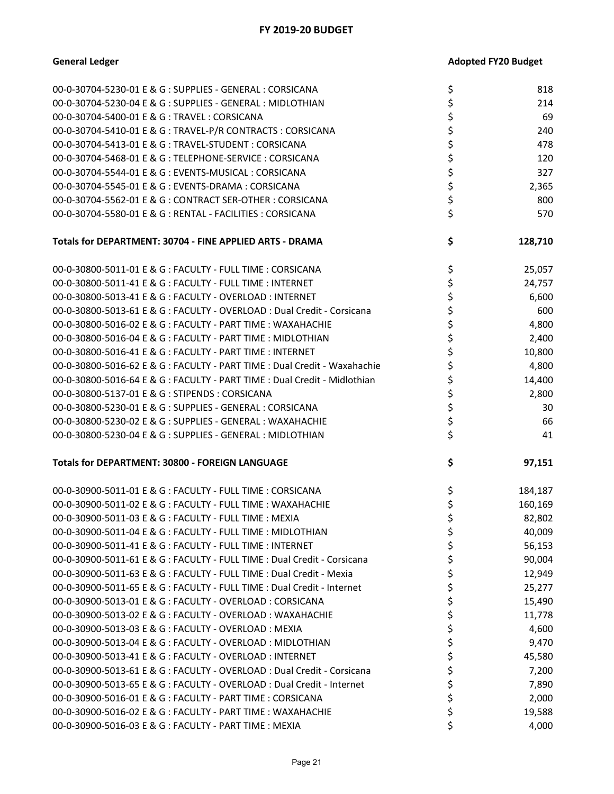| 00-0-30704-5230-01 E & G : SUPPLIES - GENERAL : CORSICANA                 | \$<br>818     |
|---------------------------------------------------------------------------|---------------|
| 00-0-30704-5230-04 E & G : SUPPLIES - GENERAL : MIDLOTHIAN                | \$<br>214     |
| 00-0-30704-5400-01 E & G: TRAVEL: CORSICANA                               | \$<br>69      |
| 00-0-30704-5410-01 E & G: TRAVEL-P/R CONTRACTS: CORSICANA                 | \$<br>240     |
| 00-0-30704-5413-01 E & G : TRAVEL-STUDENT : CORSICANA                     | \$<br>478     |
| 00-0-30704-5468-01 E & G : TELEPHONE-SERVICE : CORSICANA                  | \$<br>120     |
| 00-0-30704-5544-01 E & G : EVENTS-MUSICAL : CORSICANA                     | \$<br>327     |
| 00-0-30704-5545-01 E & G : EVENTS-DRAMA : CORSICANA                       | \$<br>2,365   |
| 00-0-30704-5562-01 E & G : CONTRACT SER-OTHER : CORSICANA                 | \$<br>800     |
| 00-0-30704-5580-01 E & G : RENTAL - FACILITIES : CORSICANA                | \$<br>570     |
|                                                                           |               |
| Totals for DEPARTMENT: 30704 - FINE APPLIED ARTS - DRAMA                  | \$<br>128,710 |
| 00-0-30800-5011-01 E & G : FACULTY - FULL TIME : CORSICANA                | \$<br>25,057  |
| 00-0-30800-5011-41 E & G : FACULTY - FULL TIME : INTERNET                 | \$<br>24,757  |
| 00-0-30800-5013-41 E & G : FACULTY - OVERLOAD : INTERNET                  | \$<br>6,600   |
| 00-0-30800-5013-61 E & G : FACULTY - OVERLOAD : Dual Credit - Corsicana   | \$<br>600     |
| 00-0-30800-5016-02 E & G : FACULTY - PART TIME : WAXAHACHIE               | \$<br>4,800   |
| 00-0-30800-5016-04 E & G : FACULTY - PART TIME : MIDLOTHIAN               | \$<br>2,400   |
| 00-0-30800-5016-41 E & G : FACULTY - PART TIME : INTERNET                 | \$<br>10,800  |
| 00-0-30800-5016-62 E & G : FACULTY - PART TIME : Dual Credit - Waxahachie | \$<br>4,800   |
| 00-0-30800-5016-64 E & G : FACULTY - PART TIME : Dual Credit - Midlothian | \$<br>14,400  |
| 00-0-30800-5137-01 E & G: STIPENDS: CORSICANA                             | \$<br>2,800   |
| 00-0-30800-5230-01 E & G : SUPPLIES - GENERAL : CORSICANA                 | \$<br>30      |
| 00-0-30800-5230-02 E & G : SUPPLIES - GENERAL : WAXAHACHIE                | \$<br>66      |
| 00-0-30800-5230-04 E & G : SUPPLIES - GENERAL : MIDLOTHIAN                | \$<br>41      |
| Totals for DEPARTMENT: 30800 - FOREIGN LANGUAGE                           | \$<br>97,151  |
|                                                                           |               |
| 00-0-30900-5011-01 E & G : FACULTY - FULL TIME : CORSICANA                | \$<br>184,187 |
| 00-0-30900-5011-02 E & G : FACULTY - FULL TIME : WAXAHACHIE               | \$<br>160,169 |
| 00-0-30900-5011-03 E & G : FACULTY - FULL TIME : MEXIA                    | \$<br>82,802  |
| 00-0-30900-5011-04 E & G : FACULTY - FULL TIME : MIDLOTHIAN               | 40,009        |
| 00-0-30900-5011-41 E & G : FACULTY - FULL TIME : INTERNET                 | \$<br>56,153  |
| 00-0-30900-5011-61 E & G : FACULTY - FULL TIME : Dual Credit - Corsicana  | \$<br>90,004  |
| 00-0-30900-5011-63 E & G : FACULTY - FULL TIME : Dual Credit - Mexia      | \$<br>12,949  |
| 00-0-30900-5011-65 E & G : FACULTY - FULL TIME : Dual Credit - Internet   | \$<br>25,277  |
| 00-0-30900-5013-01 E & G : FACULTY - OVERLOAD : CORSICANA                 | \$<br>15,490  |
| 00-0-30900-5013-02 E & G : FACULTY - OVERLOAD : WAXAHACHIE                | \$<br>11,778  |
| 00-0-30900-5013-03 E & G : FACULTY - OVERLOAD : MEXIA                     | \$<br>4,600   |
| 00-0-30900-5013-04 E & G : FACULTY - OVERLOAD : MIDLOTHIAN                | \$<br>9,470   |
| 00-0-30900-5013-41 E & G : FACULTY - OVERLOAD : INTERNET                  | \$<br>45,580  |
| 00-0-30900-5013-61 E & G : FACULTY - OVERLOAD : Dual Credit - Corsicana   | \$<br>7,200   |
| 00-0-30900-5013-65 E & G : FACULTY - OVERLOAD : Dual Credit - Internet    | \$<br>7,890   |
| 00-0-30900-5016-01 E & G : FACULTY - PART TIME : CORSICANA                | \$<br>2,000   |
| 00-0-30900-5016-02 E & G : FACULTY - PART TIME : WAXAHACHIE               | \$<br>19,588  |
| 00-0-30900-5016-03 E & G : FACULTY - PART TIME : MEXIA                    | \$<br>4,000   |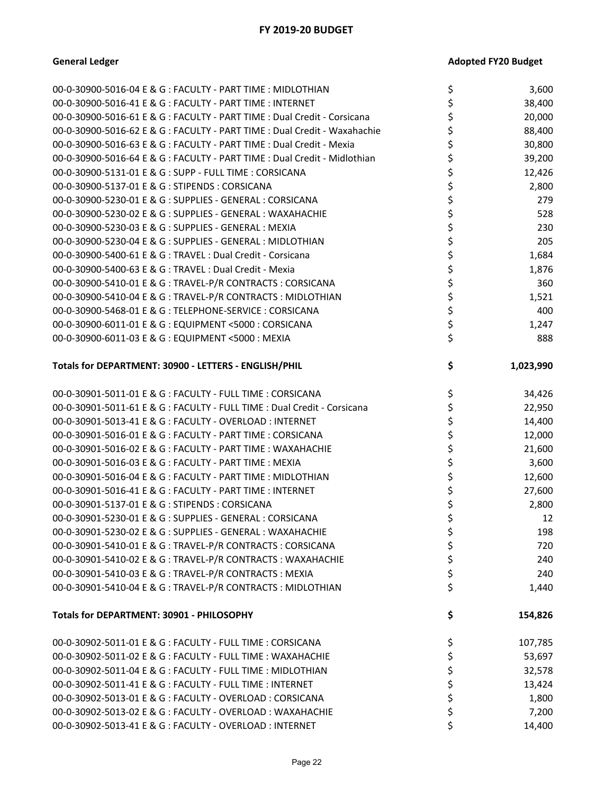| 00-0-30900-5016-04 E & G : FACULTY - PART TIME : MIDLOTHIAN               | \$ | 3,600     |
|---------------------------------------------------------------------------|----|-----------|
| 00-0-30900-5016-41 E & G : FACULTY - PART TIME : INTERNET                 | \$ | 38,400    |
| 00-0-30900-5016-61 E & G : FACULTY - PART TIME : Dual Credit - Corsicana  | \$ | 20,000    |
| 00-0-30900-5016-62 E & G : FACULTY - PART TIME : Dual Credit - Waxahachie | \$ | 88,400    |
| 00-0-30900-5016-63 E & G : FACULTY - PART TIME : Dual Credit - Mexia      | \$ | 30,800    |
| 00-0-30900-5016-64 E & G : FACULTY - PART TIME : Dual Credit - Midlothian |    | 39,200    |
| 00-0-30900-5131-01 E & G : SUPP - FULL TIME : CORSICANA                   | \$ | 12,426    |
| 00-0-30900-5137-01 E & G: STIPENDS: CORSICANA                             | \$ | 2,800     |
| 00-0-30900-5230-01 E & G : SUPPLIES - GENERAL : CORSICANA                 |    | 279       |
| 00-0-30900-5230-02 E & G : SUPPLIES - GENERAL : WAXAHACHIE                | \$ | 528       |
| 00-0-30900-5230-03 E & G : SUPPLIES - GENERAL : MEXIA                     | \$ | 230       |
| 00-0-30900-5230-04 E & G : SUPPLIES - GENERAL : MIDLOTHIAN                | \$ | 205       |
| 00-0-30900-5400-61 E & G : TRAVEL : Dual Credit - Corsicana               | \$ | 1,684     |
| 00-0-30900-5400-63 E & G : TRAVEL : Dual Credit - Mexia                   | \$ | 1,876     |
| 00-0-30900-5410-01 E & G : TRAVEL-P/R CONTRACTS : CORSICANA               | \$ | 360       |
| 00-0-30900-5410-04 E & G : TRAVEL-P/R CONTRACTS : MIDLOTHIAN              | \$ | 1,521     |
| 00-0-30900-5468-01 E & G: TELEPHONE-SERVICE: CORSICANA                    | \$ | 400       |
| 00-0-30900-6011-01 E & G : EQUIPMENT <5000 : CORSICANA                    | \$ | 1,247     |
| 00-0-30900-6011-03 E & G : EQUIPMENT <5000 : MEXIA                        | \$ | 888       |
| Totals for DEPARTMENT: 30900 - LETTERS - ENGLISH/PHIL                     | \$ | 1,023,990 |
| 00-0-30901-5011-01 E & G : FACULTY - FULL TIME : CORSICANA                | \$ | 34,426    |
| 00-0-30901-5011-61 E & G : FACULTY - FULL TIME : Dual Credit - Corsicana  | \$ | 22,950    |
| 00-0-30901-5013-41 E & G : FACULTY - OVERLOAD : INTERNET                  | \$ | 14,400    |
| 00-0-30901-5016-01 E & G : FACULTY - PART TIME : CORSICANA                | \$ | 12,000    |
| 00-0-30901-5016-02 E & G : FACULTY - PART TIME : WAXAHACHIE               | \$ | 21,600    |
| 00-0-30901-5016-03 E & G : FACULTY - PART TIME : MEXIA                    | \$ | 3,600     |
| 00-0-30901-5016-04 E & G : FACULTY - PART TIME : MIDLOTHIAN               | \$ | 12,600    |
| 00-0-30901-5016-41 E & G : FACULTY - PART TIME : INTERNET                 | \$ | 27,600    |
| 00-0-30901-5137-01 E & G: STIPENDS: CORSICANA                             | \$ | 2,800     |
| 00-0-30901-5230-01 E & G : SUPPLIES - GENERAL : CORSICANA                 | \$ | 12        |
| 00-0-30901-5230-02 E & G : SUPPLIES - GENERAL : WAXAHACHIE                | ÷, | 198       |
| 00-0-30901-5410-01 E & G : TRAVEL-P/R CONTRACTS : CORSICANA               | \$ | 720       |
| 00-0-30901-5410-02 E & G : TRAVEL-P/R CONTRACTS : WAXAHACHIE              | \$ | 240       |
| 00-0-30901-5410-03 E & G : TRAVEL-P/R CONTRACTS : MEXIA                   | \$ | 240       |
| 00-0-30901-5410-04 E & G : TRAVEL-P/R CONTRACTS : MIDLOTHIAN              | \$ | 1,440     |
| Totals for DEPARTMENT: 30901 - PHILOSOPHY                                 | \$ | 154,826   |
| 00-0-30902-5011-01 E & G : FACULTY - FULL TIME : CORSICANA                | \$ | 107,785   |
| 00-0-30902-5011-02 E & G : FACULTY - FULL TIME : WAXAHACHIE               | \$ | 53,697    |
| 00-0-30902-5011-04 E & G : FACULTY - FULL TIME : MIDLOTHIAN               | \$ | 32,578    |
| 00-0-30902-5011-41 E & G : FACULTY - FULL TIME : INTERNET                 | \$ | 13,424    |
| 00-0-30902-5013-01 E & G : FACULTY - OVERLOAD : CORSICANA                 | \$ | 1,800     |
| 00-0-30902-5013-02 E & G : FACULTY - OVERLOAD : WAXAHACHIE                | \$ | 7,200     |
| 00-0-30902-5013-41 E & G : FACULTY - OVERLOAD : INTERNET                  | \$ | 14,400    |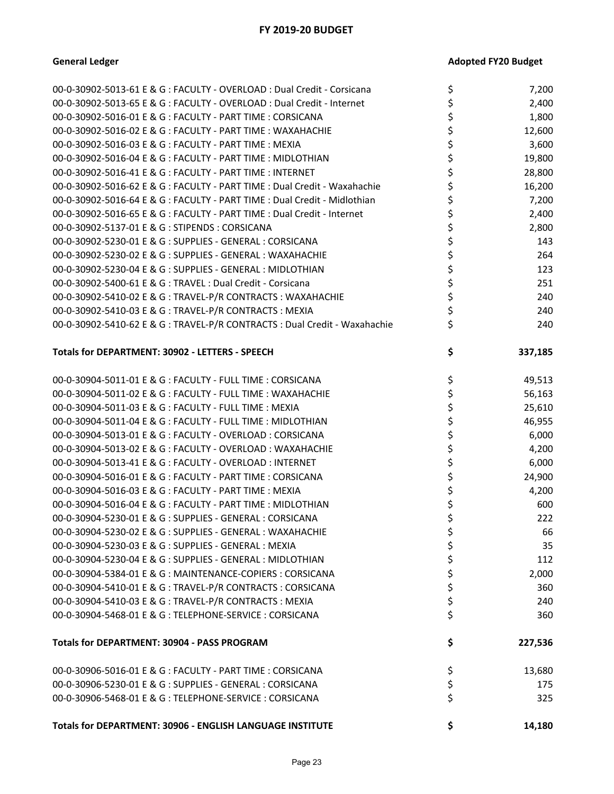| 00-0-30902-5013-61 E & G : FACULTY - OVERLOAD : Dual Credit - Corsicana    | \$<br>7,200   |
|----------------------------------------------------------------------------|---------------|
| 00-0-30902-5013-65 E & G : FACULTY - OVERLOAD : Dual Credit - Internet     | 2,400         |
| 00-0-30902-5016-01 E & G : FACULTY - PART TIME : CORSICANA                 | 1,800         |
| 00-0-30902-5016-02 E & G : FACULTY - PART TIME : WAXAHACHIE                | 12,600        |
| 00-0-30902-5016-03 E & G : FACULTY - PART TIME : MEXIA                     | 3,600         |
| 00-0-30902-5016-04 E & G : FACULTY - PART TIME : MIDLOTHIAN                | \$<br>19,800  |
| 00-0-30902-5016-41 E & G : FACULTY - PART TIME : INTERNET                  | 28,800        |
| 00-0-30902-5016-62 E & G : FACULTY - PART TIME : Dual Credit - Waxahachie  | \$<br>16,200  |
| 00-0-30902-5016-64 E & G : FACULTY - PART TIME : Dual Credit - Midlothian  | \$<br>7,200   |
| 00-0-30902-5016-65 E & G : FACULTY - PART TIME : Dual Credit - Internet    | 2,400         |
| 00-0-30902-5137-01 E & G : STIPENDS : CORSICANA                            | \$<br>2,800   |
| 00-0-30902-5230-01 E & G : SUPPLIES - GENERAL : CORSICANA                  | \$<br>143     |
| 00-0-30902-5230-02 E & G : SUPPLIES - GENERAL : WAXAHACHIE                 | \$<br>264     |
| 00-0-30902-5230-04 E & G : SUPPLIES - GENERAL : MIDLOTHIAN                 | \$<br>123     |
| 00-0-30902-5400-61 E & G : TRAVEL : Dual Credit - Corsicana                | \$<br>251     |
| 00-0-30902-5410-02 E & G : TRAVEL-P/R CONTRACTS : WAXAHACHIE               | \$<br>240     |
| 00-0-30902-5410-03 E & G: TRAVEL-P/R CONTRACTS: MEXIA                      | \$<br>240     |
| 00-0-30902-5410-62 E & G : TRAVEL-P/R CONTRACTS : Dual Credit - Waxahachie | \$<br>240     |
| Totals for DEPARTMENT: 30902 - LETTERS - SPEECH                            | \$<br>337,185 |
| 00-0-30904-5011-01 E & G : FACULTY - FULL TIME : CORSICANA                 | \$<br>49,513  |
| 00-0-30904-5011-02 E & G : FACULTY - FULL TIME : WAXAHACHIE                | \$<br>56,163  |
| 00-0-30904-5011-03 E & G : FACULTY - FULL TIME : MEXIA                     | \$<br>25,610  |
| 00-0-30904-5011-04 E & G : FACULTY - FULL TIME : MIDLOTHIAN                | \$<br>46,955  |
| 00-0-30904-5013-01 E & G : FACULTY - OVERLOAD : CORSICANA                  | \$<br>6,000   |
| 00-0-30904-5013-02 E & G : FACULTY - OVERLOAD : WAXAHACHIE                 | \$<br>4,200   |
| 00-0-30904-5013-41 E & G : FACULTY - OVERLOAD : INTERNET                   | \$<br>6,000   |
| 00-0-30904-5016-01 E & G : FACULTY - PART TIME : CORSICANA                 | \$<br>24,900  |
| 00-0-30904-5016-03 E & G : FACULTY - PART TIME : MEXIA                     | \$<br>4,200   |
| 00-0-30904-5016-04 E & G : FACULTY - PART TIME : MIDLOTHIAN                | \$<br>600     |
| 00-0-30904-5230-01 E & G : SUPPLIES - GENERAL : CORSICANA                  | \$<br>222     |
| $00-0-30904-5230-02$ F & G · SUPPLIFS - GENERAL · WAXAHACHIF               | 66            |
| 00-0-30904-5230-03 E & G : SUPPLIES - GENERAL : MEXIA                      | \$<br>35      |
| 00-0-30904-5230-04 E & G : SUPPLIES - GENERAL : MIDLOTHIAN                 | \$<br>112     |
| 00-0-30904-5384-01 E & G : MAINTENANCE-COPIERS : CORSICANA                 | \$<br>2,000   |
| 00-0-30904-5410-01 E & G : TRAVEL-P/R CONTRACTS : CORSICANA                | \$<br>360     |
| 00-0-30904-5410-03 E & G: TRAVEL-P/R CONTRACTS: MEXIA                      | \$<br>240     |
| 00-0-30904-5468-01 E & G : TELEPHONE-SERVICE : CORSICANA                   | \$<br>360     |
| Totals for DEPARTMENT: 30904 - PASS PROGRAM                                | \$<br>227,536 |
| 00-0-30906-5016-01 E & G : FACULTY - PART TIME : CORSICANA                 | \$<br>13,680  |
| 00-0-30906-5230-01 E & G : SUPPLIES - GENERAL : CORSICANA                  | \$<br>175     |
| 00-0-30906-5468-01 E & G : TELEPHONE-SERVICE : CORSICANA                   | \$<br>325     |
| Totals for DEPARTMENT: 30906 - ENGLISH LANGUAGE INSTITUTE                  | \$<br>14,180  |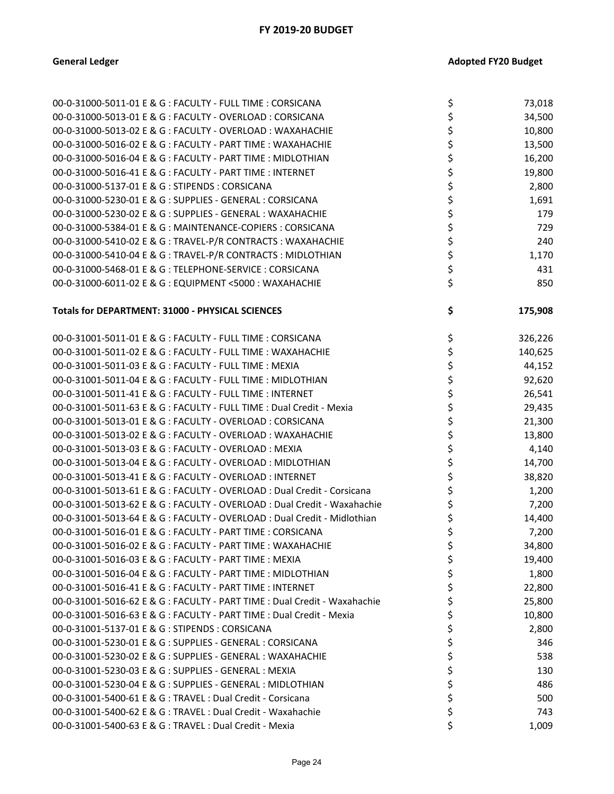| 00-0-31000-5011-01 E & G : FACULTY - FULL TIME : CORSICANA                | \$<br>73,018  |
|---------------------------------------------------------------------------|---------------|
| 00-0-31000-5013-01 E & G : FACULTY - OVERLOAD : CORSICANA                 | \$<br>34,500  |
| 00-0-31000-5013-02 E & G : FACULTY - OVERLOAD : WAXAHACHIE                | \$<br>10,800  |
| 00-0-31000-5016-02 E & G : FACULTY - PART TIME : WAXAHACHIE               | \$<br>13,500  |
| 00-0-31000-5016-04 E & G : FACULTY - PART TIME : MIDLOTHIAN               | \$<br>16,200  |
| 00-0-31000-5016-41 E & G : FACULTY - PART TIME : INTERNET                 | \$<br>19,800  |
| 00-0-31000-5137-01 E & G : STIPENDS : CORSICANA                           | \$<br>2,800   |
| 00-0-31000-5230-01 E & G : SUPPLIES - GENERAL : CORSICANA                 | \$<br>1,691   |
| 00-0-31000-5230-02 E & G : SUPPLIES - GENERAL : WAXAHACHIE                | \$<br>179     |
| 00-0-31000-5384-01 E & G : MAINTENANCE-COPIERS : CORSICANA                | \$<br>729     |
| 00-0-31000-5410-02 E & G : TRAVEL-P/R CONTRACTS : WAXAHACHIE              | \$<br>240     |
| 00-0-31000-5410-04 E & G : TRAVEL-P/R CONTRACTS : MIDLOTHIAN              | \$<br>1,170   |
| 00-0-31000-5468-01 E & G: TELEPHONE-SERVICE: CORSICANA                    | \$<br>431     |
| 00-0-31000-6011-02 E & G : EQUIPMENT <5000 : WAXAHACHIE                   | \$<br>850     |
|                                                                           |               |
| Totals for DEPARTMENT: 31000 - PHYSICAL SCIENCES                          | \$<br>175,908 |
| 00-0-31001-5011-01 E & G : FACULTY - FULL TIME : CORSICANA                | \$<br>326,226 |
| 00-0-31001-5011-02 E & G : FACULTY - FULL TIME : WAXAHACHIE               | \$<br>140,625 |
| 00-0-31001-5011-03 E & G : FACULTY - FULL TIME : MEXIA                    | \$<br>44,152  |
| 00-0-31001-5011-04 E & G : FACULTY - FULL TIME : MIDLOTHIAN               | \$<br>92,620  |
| 00-0-31001-5011-41 E & G : FACULTY - FULL TIME : INTERNET                 | \$<br>26,541  |
| 00-0-31001-5011-63 E & G : FACULTY - FULL TIME : Dual Credit - Mexia      | \$<br>29,435  |
| 00-0-31001-5013-01 E & G : FACULTY - OVERLOAD : CORSICANA                 | \$<br>21,300  |
| 00-0-31001-5013-02 E & G : FACULTY - OVERLOAD : WAXAHACHIE                | \$<br>13,800  |
| 00-0-31001-5013-03 E & G : FACULTY - OVERLOAD : MEXIA                     | \$<br>4,140   |
| 00-0-31001-5013-04 E & G : FACULTY - OVERLOAD : MIDLOTHIAN                | \$<br>14,700  |
| 00-0-31001-5013-41 E & G : FACULTY - OVERLOAD : INTERNET                  | \$<br>38,820  |
| 00-0-31001-5013-61 E & G : FACULTY - OVERLOAD : Dual Credit - Corsicana   | \$<br>1,200   |
| 00-0-31001-5013-62 E & G : FACULTY - OVERLOAD : Dual Credit - Waxahachie  | \$<br>7,200   |
| 00-0-31001-5013-64 E & G : FACULTY - OVERLOAD : Dual Credit - Midlothian  | \$<br>14,400  |
| 00-0-31001-5016-01 E & G : FACULTY - PART TIME : CORSICANA                | \$<br>7,200   |
| 00-0-31001-5016-02 E & G : FACULTY - PART TIME : WAXAHACHIE               | \$<br>34,800  |
| 00-0-31001-5016-03 E & G : FACULTY - PART TIME : MEXIA                    | \$<br>19,400  |
| 00-0-31001-5016-04 E & G : FACULTY - PART TIME : MIDLOTHIAN               | \$<br>1,800   |
| 00-0-31001-5016-41 E & G : FACULTY - PART TIME : INTERNET                 | \$<br>22,800  |
| 00-0-31001-5016-62 E & G : FACULTY - PART TIME : Dual Credit - Waxahachie | \$<br>25,800  |
| 00-0-31001-5016-63 E & G : FACULTY - PART TIME : Dual Credit - Mexia      | \$<br>10,800  |
| 00-0-31001-5137-01 E & G: STIPENDS: CORSICANA                             | \$<br>2,800   |
| 00-0-31001-5230-01 E & G : SUPPLIES - GENERAL : CORSICANA                 | \$<br>346     |
| 00-0-31001-5230-02 E & G : SUPPLIES - GENERAL : WAXAHACHIE                | \$<br>538     |
| 00-0-31001-5230-03 E & G : SUPPLIES - GENERAL : MEXIA                     | \$<br>130     |
| 00-0-31001-5230-04 E & G : SUPPLIES - GENERAL : MIDLOTHIAN                | \$<br>486     |
| 00-0-31001-5400-61 E & G : TRAVEL : Dual Credit - Corsicana               | \$<br>500     |
| 00-0-31001-5400-62 E & G : TRAVEL : Dual Credit - Waxahachie              | \$<br>743     |
| 00-0-31001-5400-63 E & G : TRAVEL : Dual Credit - Mexia                   | \$<br>1,009   |
|                                                                           |               |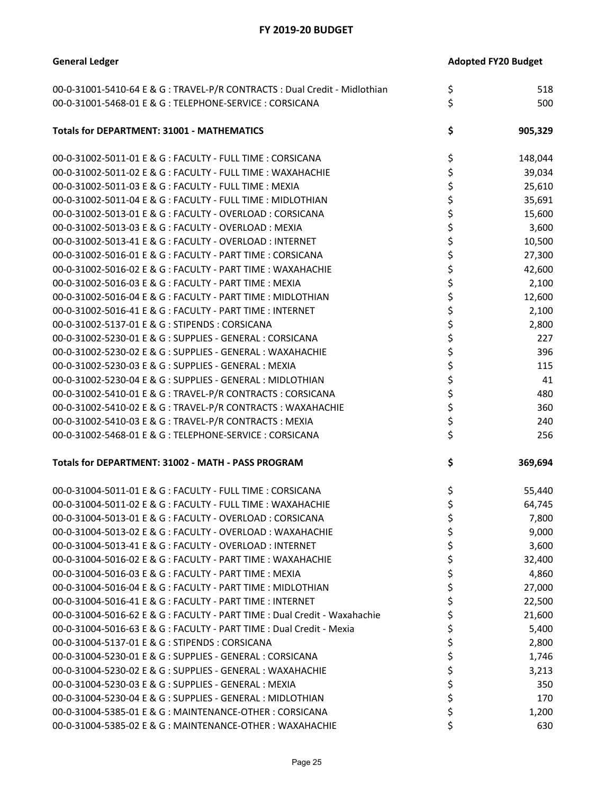**General Ledger** 

| 00-0-31001-5410-64 E & G : TRAVEL-P/R CONTRACTS : Dual Credit - Midlothian | \$<br>518     |
|----------------------------------------------------------------------------|---------------|
| 00-0-31001-5468-01 E & G: TELEPHONE-SERVICE: CORSICANA                     | \$<br>500     |
| <b>Totals for DEPARTMENT: 31001 - MATHEMATICS</b>                          | \$<br>905,329 |
| 00-0-31002-5011-01 E & G : FACULTY - FULL TIME : CORSICANA                 | \$<br>148,044 |
| 00-0-31002-5011-02 E & G : FACULTY - FULL TIME : WAXAHACHIE                | \$<br>39,034  |
| 00-0-31002-5011-03 E & G : FACULTY - FULL TIME : MEXIA                     | \$<br>25,610  |
| 00-0-31002-5011-04 E & G : FACULTY - FULL TIME : MIDLOTHIAN                | \$<br>35,691  |
| 00-0-31002-5013-01 E & G : FACULTY - OVERLOAD : CORSICANA                  | \$<br>15,600  |
| 00-0-31002-5013-03 E & G : FACULTY - OVERLOAD : MEXIA                      | \$<br>3,600   |
| 00-0-31002-5013-41 E & G : FACULTY - OVERLOAD : INTERNET                   | \$<br>10,500  |
| 00-0-31002-5016-01 E & G : FACULTY - PART TIME : CORSICANA                 | \$<br>27,300  |
| 00-0-31002-5016-02 E & G : FACULTY - PART TIME : WAXAHACHIE                | \$<br>42,600  |
| 00-0-31002-5016-03 E & G : FACULTY - PART TIME : MEXIA                     | \$<br>2,100   |
| 00-0-31002-5016-04 E & G : FACULTY - PART TIME : MIDLOTHIAN                | \$<br>12,600  |
| 00-0-31002-5016-41 E & G : FACULTY - PART TIME : INTERNET                  | \$<br>2,100   |
| 00-0-31002-5137-01 E & G : STIPENDS : CORSICANA                            | \$<br>2,800   |
| 00-0-31002-5230-01 E & G : SUPPLIES - GENERAL : CORSICANA                  | \$<br>227     |
| 00-0-31002-5230-02 E & G : SUPPLIES - GENERAL : WAXAHACHIE                 | \$<br>396     |
| 00-0-31002-5230-03 E & G : SUPPLIES - GENERAL : MEXIA                      | \$<br>115     |
| 00-0-31002-5230-04 E & G : SUPPLIES - GENERAL : MIDLOTHIAN                 | \$<br>41      |
| 00-0-31002-5410-01 E & G : TRAVEL-P/R CONTRACTS : CORSICANA                | \$<br>480     |
| 00-0-31002-5410-02 E & G : TRAVEL-P/R CONTRACTS : WAXAHACHIE               | \$<br>360     |
| 00-0-31002-5410-03 E & G : TRAVEL-P/R CONTRACTS : MEXIA                    | \$<br>240     |
| 00-0-31002-5468-01 E & G: TELEPHONE-SERVICE: CORSICANA                     | \$<br>256     |
|                                                                            |               |
| Totals for DEPARTMENT: 31002 - MATH - PASS PROGRAM                         | \$<br>369,694 |
| 00-0-31004-5011-01 E & G : FACULTY - FULL TIME : CORSICANA                 | \$<br>55,440  |
| 00-0-31004-5011-02 E & G : FACULTY - FULL TIME : WAXAHACHIE                | \$<br>64,745  |
| 00-0-31004-5013-01 E & G : FACULTY - OVERLOAD : CORSICANA                  | \$<br>7,800   |
| 00-0-31004-5013-02 E & G : FACULTY - OVERLOAD : WAXAHACHIE                 | \$<br>9,000   |
| 00-0-31004-5013-41 E & G : FACULTY - OVERLOAD : INTERNET                   | \$<br>3,600   |
| 00-0-31004-5016-02 E & G : FACULTY - PART TIME : WAXAHACHIE                | \$<br>32,400  |
| 00-0-31004-5016-03 E & G : FACULTY - PART TIME : MEXIA                     | \$<br>4,860   |
| 00-0-31004-5016-04 E & G : FACULTY - PART TIME : MIDLOTHIAN                | \$<br>27,000  |
| 00-0-31004-5016-41 E & G : FACULTY - PART TIME : INTERNET                  | \$<br>22,500  |
| 00-0-31004-5016-62 E & G : FACULTY - PART TIME : Dual Credit - Waxahachie  | \$<br>21,600  |
| 00-0-31004-5016-63 E & G : FACULTY - PART TIME : Dual Credit - Mexia       | \$<br>5,400   |
| 00-0-31004-5137-01 E & G : STIPENDS : CORSICANA                            | \$<br>2,800   |
| 00-0-31004-5230-01 E & G : SUPPLIES - GENERAL : CORSICANA                  | \$<br>1,746   |
| 00-0-31004-5230-02 E & G : SUPPLIES - GENERAL : WAXAHACHIE                 | \$<br>3,213   |
| 00-0-31004-5230-03 E & G : SUPPLIES - GENERAL : MEXIA                      | \$<br>350     |
| 00-0-31004-5230-04 E & G : SUPPLIES - GENERAL : MIDLOTHIAN                 | \$<br>170     |
| 00-0-31004-5385-01 E & G : MAINTENANCE-OTHER : CORSICANA                   | \$<br>1,200   |
| 00-0-31004-5385-02 E & G : MAINTENANCE-OTHER : WAXAHACHIE                  | \$<br>630     |
|                                                                            |               |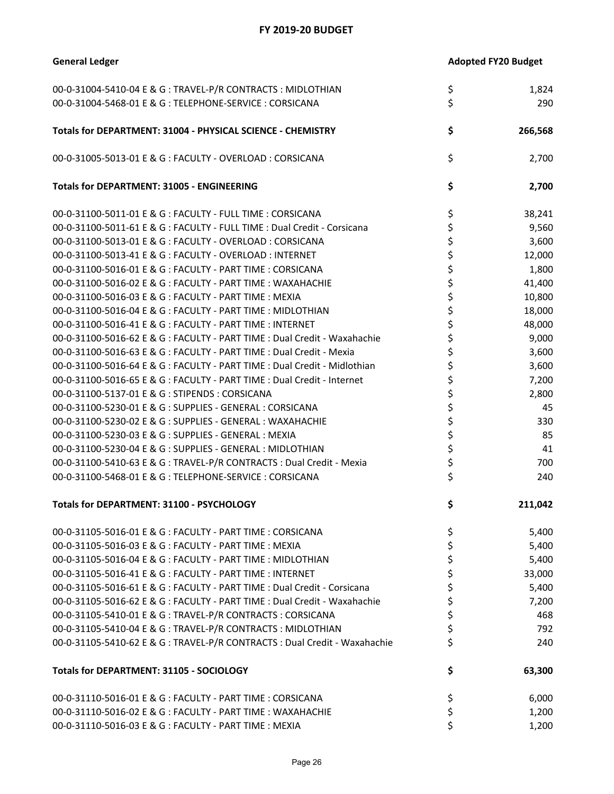| <b>General Ledger</b>                                                      | <b>Adopted FY20 Budget</b> |
|----------------------------------------------------------------------------|----------------------------|
| 00-0-31004-5410-04 E & G : TRAVEL-P/R CONTRACTS : MIDLOTHIAN               | \$<br>1,824                |
| 00-0-31004-5468-01 E & G: TELEPHONE-SERVICE: CORSICANA                     | \$<br>290                  |
| Totals for DEPARTMENT: 31004 - PHYSICAL SCIENCE - CHEMISTRY                | \$<br>266,568              |
| 00-0-31005-5013-01 E & G : FACULTY - OVERLOAD : CORSICANA                  | \$<br>2,700                |
| <b>Totals for DEPARTMENT: 31005 - ENGINEERING</b>                          | \$<br>2,700                |
| 00-0-31100-5011-01 E & G : FACULTY - FULL TIME : CORSICANA                 | \$<br>38,241               |
| 00-0-31100-5011-61 E & G : FACULTY - FULL TIME : Dual Credit - Corsicana   | \$<br>9,560                |
| 00-0-31100-5013-01 E & G : FACULTY - OVERLOAD : CORSICANA                  | \$<br>3,600                |
| 00-0-31100-5013-41 E & G : FACULTY - OVERLOAD : INTERNET                   | \$<br>12,000               |
| 00-0-31100-5016-01 E & G : FACULTY - PART TIME : CORSICANA                 | \$<br>1,800                |
| 00-0-31100-5016-02 E & G : FACULTY - PART TIME : WAXAHACHIE                | \$<br>41,400               |
| 00-0-31100-5016-03 E & G : FACULTY - PART TIME : MEXIA                     | \$<br>10,800               |
| 00-0-31100-5016-04 E & G : FACULTY - PART TIME : MIDLOTHIAN                | \$<br>18,000               |
| 00-0-31100-5016-41 E & G : FACULTY - PART TIME : INTERNET                  | \$<br>48,000               |
| 00-0-31100-5016-62 E & G : FACULTY - PART TIME : Dual Credit - Waxahachie  | \$<br>9,000                |
| 00-0-31100-5016-63 E & G : FACULTY - PART TIME : Dual Credit - Mexia       | \$<br>3,600                |
| 00-0-31100-5016-64 E & G : FACULTY - PART TIME : Dual Credit - Midlothian  | \$<br>3,600                |
| 00-0-31100-5016-65 E & G : FACULTY - PART TIME : Dual Credit - Internet    | \$<br>7,200                |
| 00-0-31100-5137-01 E & G : STIPENDS : CORSICANA                            | \$<br>2,800                |
| 00-0-31100-5230-01 E & G : SUPPLIES - GENERAL : CORSICANA                  | \$<br>45                   |
| 00-0-31100-5230-02 E & G : SUPPLIES - GENERAL : WAXAHACHIE                 | \$<br>330                  |
| 00-0-31100-5230-03 E & G : SUPPLIES - GENERAL : MEXIA                      | \$<br>85                   |
| 00-0-31100-5230-04 E & G : SUPPLIES - GENERAL : MIDLOTHIAN                 | \$<br>41                   |
| 00-0-31100-5410-63 E & G : TRAVEL-P/R CONTRACTS : Dual Credit - Mexia      | \$<br>700                  |
| 00-0-31100-5468-01 E & G : TELEPHONE-SERVICE : CORSICANA                   | \$<br>240                  |
|                                                                            |                            |
| Totals for DEPARTMENT: 31100 - PSYCHOLOGY                                  | \$<br>211,042              |
| 00-0-31105-5016-01 E & G : FACULTY - PART TIME : CORSICANA                 | \$<br>5,400                |
| 00-0-31105-5016-03 E & G : FACULTY - PART TIME : MEXIA                     | \$<br>5,400                |
| 00-0-31105-5016-04 E & G : FACULTY - PART TIME : MIDLOTHIAN                | \$<br>5,400                |
| 00-0-31105-5016-41 E & G : FACULTY - PART TIME : INTERNET                  | \$<br>33,000               |
| 00-0-31105-5016-61 E & G : FACULTY - PART TIME : Dual Credit - Corsicana   | \$<br>5,400                |
| 00-0-31105-5016-62 E & G : FACULTY - PART TIME : Dual Credit - Waxahachie  | \$<br>7,200                |
| 00-0-31105-5410-01 E & G : TRAVEL-P/R CONTRACTS : CORSICANA                | \$<br>468                  |
| 00-0-31105-5410-04 E & G : TRAVEL-P/R CONTRACTS : MIDLOTHIAN               | \$<br>792                  |
| 00-0-31105-5410-62 E & G : TRAVEL-P/R CONTRACTS : Dual Credit - Waxahachie | \$<br>240                  |
| <b>Totals for DEPARTMENT: 31105 - SOCIOLOGY</b>                            | \$<br>63,300               |
| 00-0-31110-5016-01 E & G : FACULTY - PART TIME : CORSICANA                 | \$<br>6,000                |
| 00-0-31110-5016-02 E & G : FACULTY - PART TIME : WAXAHACHIE                | \$<br>1,200                |
| 00-0-31110-5016-03 E & G : FACULTY - PART TIME : MEXIA                     | \$<br>1,200                |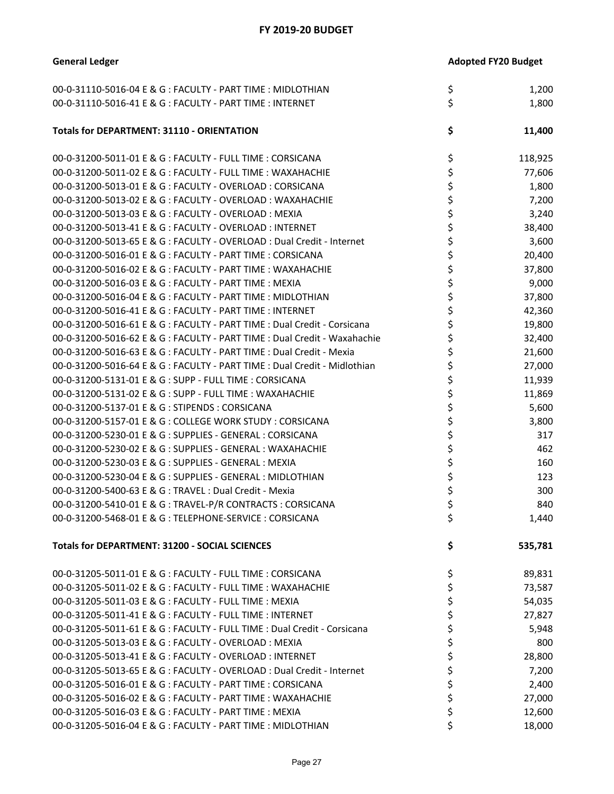**General Ledger** 

|  | <b>Adopted FY20 Budget</b> |
|--|----------------------------|
|  |                            |

| 00-0-31110-5016-04 E & G : FACULTY - PART TIME : MIDLOTHIAN               | \$<br>1,200   |
|---------------------------------------------------------------------------|---------------|
| 00-0-31110-5016-41 E & G : FACULTY - PART TIME : INTERNET                 | \$<br>1,800   |
|                                                                           |               |
| <b>Totals for DEPARTMENT: 31110 - ORIENTATION</b>                         | \$<br>11,400  |
| 00-0-31200-5011-01 E & G : FACULTY - FULL TIME : CORSICANA                | \$<br>118,925 |
| 00-0-31200-5011-02 E & G : FACULTY - FULL TIME : WAXAHACHIE               | \$<br>77,606  |
| 00-0-31200-5013-01 E & G : FACULTY - OVERLOAD : CORSICANA                 | \$<br>1,800   |
| 00-0-31200-5013-02 E & G : FACULTY - OVERLOAD : WAXAHACHIE                | \$<br>7,200   |
| 00-0-31200-5013-03 E & G : FACULTY - OVERLOAD : MEXIA                     | \$<br>3,240   |
| 00-0-31200-5013-41 E & G : FACULTY - OVERLOAD : INTERNET                  | \$<br>38,400  |
| 00-0-31200-5013-65 E & G : FACULTY - OVERLOAD : Dual Credit - Internet    | \$<br>3,600   |
| 00-0-31200-5016-01 E & G : FACULTY - PART TIME : CORSICANA                | \$<br>20,400  |
| 00-0-31200-5016-02 E & G : FACULTY - PART TIME : WAXAHACHIE               | \$<br>37,800  |
| 00-0-31200-5016-03 E & G : FACULTY - PART TIME : MEXIA                    | \$<br>9,000   |
| 00-0-31200-5016-04 E & G : FACULTY - PART TIME : MIDLOTHIAN               | \$<br>37,800  |
| 00-0-31200-5016-41 E & G : FACULTY - PART TIME : INTERNET                 | \$<br>42,360  |
| 00-0-31200-5016-61 E & G : FACULTY - PART TIME : Dual Credit - Corsicana  | \$<br>19,800  |
| 00-0-31200-5016-62 E & G : FACULTY - PART TIME : Dual Credit - Waxahachie | \$<br>32,400  |
| 00-0-31200-5016-63 E & G : FACULTY - PART TIME : Dual Credit - Mexia      | \$<br>21,600  |
| 00-0-31200-5016-64 E & G : FACULTY - PART TIME : Dual Credit - Midlothian | \$<br>27,000  |
| 00-0-31200-5131-01 E & G : SUPP - FULL TIME : CORSICANA                   | \$<br>11,939  |
| 00-0-31200-5131-02 E & G : SUPP - FULL TIME : WAXAHACHIE                  | \$<br>11,869  |
| 00-0-31200-5137-01 E & G: STIPENDS: CORSICANA                             | \$<br>5,600   |
| 00-0-31200-5157-01 E & G : COLLEGE WORK STUDY : CORSICANA                 | \$<br>3,800   |
| 00-0-31200-5230-01 E & G : SUPPLIES - GENERAL : CORSICANA                 | \$<br>317     |
| 00-0-31200-5230-02 E & G : SUPPLIES - GENERAL : WAXAHACHIE                | \$<br>462     |
| 00-0-31200-5230-03 E & G : SUPPLIES - GENERAL : MEXIA                     | \$<br>160     |
| 00-0-31200-5230-04 E & G : SUPPLIES - GENERAL : MIDLOTHIAN                | \$<br>123     |
| 00-0-31200-5400-63 E & G : TRAVEL : Dual Credit - Mexia                   | \$<br>300     |
| 00-0-31200-5410-01 E & G : TRAVEL-P/R CONTRACTS : CORSICANA               | \$<br>840     |
| 00-0-31200-5468-01 E & G : TELEPHONE-SERVICE : CORSICANA                  | \$<br>1,440   |
| <b>Totals for DEPARTMENT: 31200 - SOCIAL SCIENCES</b>                     | \$<br>535,781 |
| 00-0-31205-5011-01 E & G : FACULTY - FULL TIME : CORSICANA                | \$<br>89,831  |
| 00-0-31205-5011-02 E & G : FACULTY - FULL TIME : WAXAHACHIE               | \$<br>73,587  |
| 00-0-31205-5011-03 E & G : FACULTY - FULL TIME : MEXIA                    | \$<br>54,035  |
| 00-0-31205-5011-41 E & G : FACULTY - FULL TIME : INTERNET                 | \$<br>27,827  |
| 00-0-31205-5011-61 E & G : FACULTY - FULL TIME : Dual Credit - Corsicana  | \$<br>5,948   |
| 00-0-31205-5013-03 E & G : FACULTY - OVERLOAD : MEXIA                     | \$<br>800     |
| 00-0-31205-5013-41 E & G : FACULTY - OVERLOAD : INTERNET                  | \$<br>28,800  |
| 00-0-31205-5013-65 E & G : FACULTY - OVERLOAD : Dual Credit - Internet    | \$<br>7,200   |
| 00-0-31205-5016-01 E & G : FACULTY - PART TIME : CORSICANA                | \$<br>2,400   |
| 00-0-31205-5016-02 E & G : FACULTY - PART TIME : WAXAHACHIE               | \$<br>27,000  |
| 00-0-31205-5016-03 E & G : FACULTY - PART TIME : MEXIA                    | \$<br>12,600  |
| 00-0-31205-5016-04 E & G : FACULTY - PART TIME : MIDLOTHIAN               | \$<br>18,000  |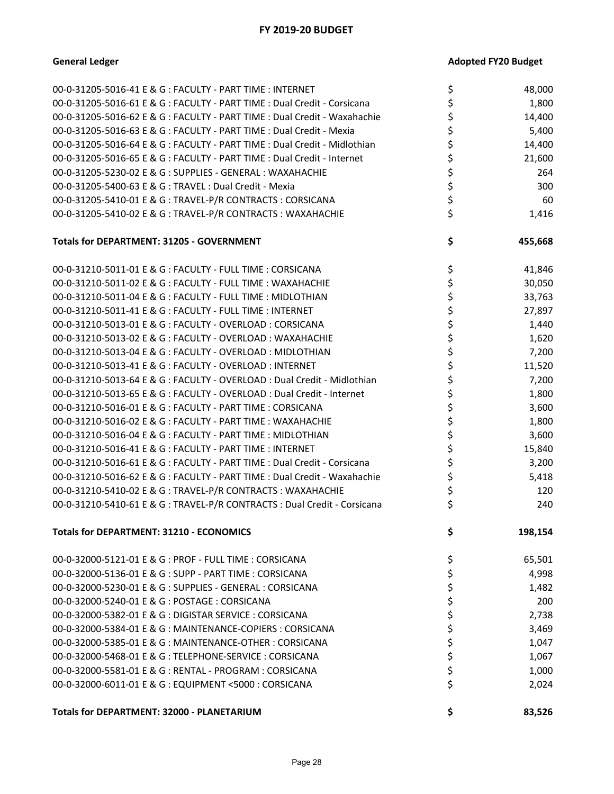| 00-0-31205-5016-41 E & G : FACULTY - PART TIME : INTERNET                 | \$<br>48,000  |
|---------------------------------------------------------------------------|---------------|
| 00-0-31205-5016-61 E & G : FACULTY - PART TIME : Dual Credit - Corsicana  | \$<br>1,800   |
| 00-0-31205-5016-62 E & G : FACULTY - PART TIME : Dual Credit - Waxahachie | \$<br>14,400  |
| 00-0-31205-5016-63 E & G : FACULTY - PART TIME : Dual Credit - Mexia      | \$<br>5,400   |
| 00-0-31205-5016-64 E & G : FACULTY - PART TIME : Dual Credit - Midlothian | \$<br>14,400  |
| 00-0-31205-5016-65 E & G : FACULTY - PART TIME : Dual Credit - Internet   | \$<br>21,600  |
| 00-0-31205-5230-02 E & G : SUPPLIES - GENERAL : WAXAHACHIE                | \$<br>264     |
| 00-0-31205-5400-63 E & G : TRAVEL : Dual Credit - Mexia                   | \$<br>300     |
| 00-0-31205-5410-01 E & G : TRAVEL-P/R CONTRACTS : CORSICANA               | \$<br>60      |
| 00-0-31205-5410-02 E & G : TRAVEL-P/R CONTRACTS : WAXAHACHIE              | \$<br>1,416   |
| <b>Totals for DEPARTMENT: 31205 - GOVERNMENT</b>                          | \$<br>455,668 |
| 00-0-31210-5011-01 E & G : FACULTY - FULL TIME : CORSICANA                | \$<br>41,846  |
| 00-0-31210-5011-02 E & G : FACULTY - FULL TIME : WAXAHACHIE               | \$<br>30,050  |
| 00-0-31210-5011-04 E & G : FACULTY - FULL TIME : MIDLOTHIAN               | \$<br>33,763  |
| 00-0-31210-5011-41 E & G : FACULTY - FULL TIME : INTERNET                 | \$<br>27,897  |
| 00-0-31210-5013-01 E & G : FACULTY - OVERLOAD : CORSICANA                 | \$<br>1,440   |
| 00-0-31210-5013-02 E & G : FACULTY - OVERLOAD : WAXAHACHIE                | \$<br>1,620   |
| 00-0-31210-5013-04 E & G : FACULTY - OVERLOAD : MIDLOTHIAN                | \$<br>7,200   |
| 00-0-31210-5013-41 E & G : FACULTY - OVERLOAD : INTERNET                  | \$<br>11,520  |
| 00-0-31210-5013-64 E & G : FACULTY - OVERLOAD : Dual Credit - Midlothian  | \$<br>7,200   |
| 00-0-31210-5013-65 E & G : FACULTY - OVERLOAD : Dual Credit - Internet    | \$<br>1,800   |
| 00-0-31210-5016-01 E & G : FACULTY - PART TIME : CORSICANA                | \$<br>3,600   |
| 00-0-31210-5016-02 E & G : FACULTY - PART TIME : WAXAHACHIE               | \$<br>1,800   |
| 00-0-31210-5016-04 E & G : FACULTY - PART TIME : MIDLOTHIAN               | \$<br>3,600   |
| 00-0-31210-5016-41 E & G : FACULTY - PART TIME : INTERNET                 | \$<br>15,840  |
| 00-0-31210-5016-61 E & G : FACULTY - PART TIME : Dual Credit - Corsicana  | \$<br>3,200   |
| 00-0-31210-5016-62 E & G : FACULTY - PART TIME : Dual Credit - Waxahachie | \$<br>5,418   |
| 00-0-31210-5410-02 E & G : TRAVEL-P/R CONTRACTS : WAXAHACHIE              | \$<br>120     |
| 00-0-31210-5410-61 E & G : TRAVEL-P/R CONTRACTS : Dual Credit - Corsicana | \$<br>240     |
| <b>Totals for DEPARTMENT: 31210 - ECONOMICS</b>                           | \$<br>198,154 |
| 00-0-32000-5121-01 E & G : PROF - FULL TIME : CORSICANA                   | \$<br>65,501  |
| 00-0-32000-5136-01 E & G : SUPP - PART TIME : CORSICANA                   | \$<br>4,998   |
| 00-0-32000-5230-01 E & G : SUPPLIES - GENERAL : CORSICANA                 | \$<br>1,482   |
| 00-0-32000-5240-01 E & G : POSTAGE : CORSICANA                            | \$<br>200     |
| 00-0-32000-5382-01 E & G : DIGISTAR SERVICE : CORSICANA                   | \$<br>2,738   |
| 00-0-32000-5384-01 E & G : MAINTENANCE-COPIERS : CORSICANA                | \$<br>3,469   |
| 00-0-32000-5385-01 E & G : MAINTENANCE-OTHER : CORSICANA                  | \$<br>1,047   |
| 00-0-32000-5468-01 E & G : TELEPHONE-SERVICE : CORSICANA                  | \$<br>1,067   |
| 00-0-32000-5581-01 E & G : RENTAL - PROGRAM : CORSICANA                   | \$<br>1,000   |
| 00-0-32000-6011-01 E & G : EQUIPMENT <5000 : CORSICANA                    | \$<br>2,024   |
| Totals for DEPARTMENT: 32000 - PLANETARIUM                                | \$<br>83,526  |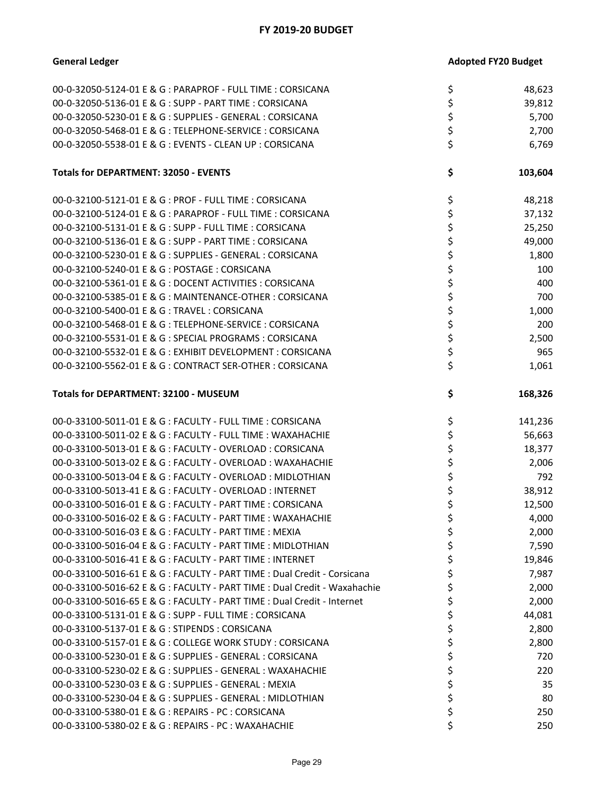| 00-0-32050-5124-01 E & G : PARAPROF - FULL TIME : CORSICANA                                                 | \$       | 48,623  |
|-------------------------------------------------------------------------------------------------------------|----------|---------|
| 00-0-32050-5136-01 E & G : SUPP - PART TIME : CORSICANA                                                     | \$       | 39,812  |
| 00-0-32050-5230-01 E & G : SUPPLIES - GENERAL : CORSICANA                                                   | \$       | 5,700   |
| 00-0-32050-5468-01 E & G: TELEPHONE-SERVICE: CORSICANA                                                      | \$       | 2,700   |
| 00-0-32050-5538-01 E & G : EVENTS - CLEAN UP : CORSICANA                                                    | \$       | 6,769   |
|                                                                                                             |          |         |
| <b>Totals for DEPARTMENT: 32050 - EVENTS</b>                                                                | \$       | 103,604 |
|                                                                                                             |          |         |
| 00-0-32100-5121-01 E & G : PROF - FULL TIME : CORSICANA                                                     | \$       | 48,218  |
| 00-0-32100-5124-01 E & G : PARAPROF - FULL TIME : CORSICANA                                                 | \$       | 37,132  |
| 00-0-32100-5131-01 E & G : SUPP - FULL TIME : CORSICANA                                                     | \$       | 25,250  |
| 00-0-32100-5136-01 E & G : SUPP - PART TIME : CORSICANA                                                     | \$       | 49,000  |
| 00-0-32100-5230-01 E & G : SUPPLIES - GENERAL : CORSICANA                                                   | \$       | 1,800   |
| 00-0-32100-5240-01 E & G : POSTAGE : CORSICANA                                                              | \$       | 100     |
| 00-0-32100-5361-01 E & G : DOCENT ACTIVITIES : CORSICANA                                                    | \$       | 400     |
|                                                                                                             |          |         |
| 00-0-32100-5385-01 E & G: MAINTENANCE-OTHER: CORSICANA                                                      | \$       | 700     |
| 00-0-32100-5400-01 E & G: TRAVEL: CORSICANA                                                                 | \$       | 1,000   |
| 00-0-32100-5468-01 E & G : TELEPHONE-SERVICE : CORSICANA                                                    | \$       | 200     |
| 00-0-32100-5531-01 E & G : SPECIAL PROGRAMS : CORSICANA                                                     | \$       | 2,500   |
| 00-0-32100-5532-01 E & G : EXHIBIT DEVELOPMENT : CORSICANA                                                  | \$       | 965     |
| 00-0-32100-5562-01 E & G : CONTRACT SER-OTHER : CORSICANA                                                   | \$       | 1,061   |
|                                                                                                             |          |         |
| <b>Totals for DEPARTMENT: 32100 - MUSEUM</b>                                                                | \$       | 168,326 |
|                                                                                                             |          |         |
|                                                                                                             |          |         |
|                                                                                                             |          |         |
| 00-0-33100-5011-01 E & G : FACULTY - FULL TIME : CORSICANA                                                  | \$       | 141,236 |
| 00-0-33100-5011-02 E & G : FACULTY - FULL TIME : WAXAHACHIE                                                 | \$       | 56,663  |
| 00-0-33100-5013-01 E & G : FACULTY - OVERLOAD : CORSICANA                                                   | \$       | 18,377  |
| 00-0-33100-5013-02 E & G : FACULTY - OVERLOAD : WAXAHACHIE                                                  | \$       | 2,006   |
| 00-0-33100-5013-04 E & G : FACULTY - OVERLOAD : MIDLOTHIAN                                                  | \$       | 792     |
| 00-0-33100-5013-41 E & G : FACULTY - OVERLOAD : INTERNET                                                    | \$       | 38,912  |
| 00-0-33100-5016-01 E & G : FACULTY - PART TIME : CORSICANA                                                  | \$       | 12,500  |
| 00-0-33100-5016-02 E & G : FACULTY - PART TIME : WAXAHACHIE                                                 | \$       | 4,000   |
| 00-0-33100-5016-03 E & G : FACULTY - PART TIME : MEXIA                                                      | \$       | 2,000   |
| 00-0-33100-5016-04 E & G : FACULTY - PART TIME : MIDLOTHIAN                                                 | \$       | 7,590   |
| 00-0-33100-5016-41 E & G : FACULTY - PART TIME : INTERNET                                                   | \$       | 19,846  |
| 00-0-33100-5016-61 E & G : FACULTY - PART TIME : Dual Credit - Corsicana                                    | \$       | 7,987   |
| 00-0-33100-5016-62 E & G : FACULTY - PART TIME : Dual Credit - Waxahachie                                   | \$       | 2,000   |
| 00-0-33100-5016-65 E & G : FACULTY - PART TIME : Dual Credit - Internet                                     |          |         |
|                                                                                                             | \$       | 2,000   |
| 00-0-33100-5131-01 E & G : SUPP - FULL TIME : CORSICANA                                                     | \$       | 44,081  |
| 00-0-33100-5137-01 E & G: STIPENDS: CORSICANA                                                               | \$       | 2,800   |
| 00-0-33100-5157-01 E & G : COLLEGE WORK STUDY : CORSICANA                                                   | \$       | 2,800   |
| 00-0-33100-5230-01 E & G : SUPPLIES - GENERAL : CORSICANA                                                   | \$       | 720     |
| 00-0-33100-5230-02 E & G : SUPPLIES - GENERAL : WAXAHACHIE                                                  | \$       | 220     |
| 00-0-33100-5230-03 E & G : SUPPLIES - GENERAL : MEXIA                                                       | \$       | 35      |
| 00-0-33100-5230-04 E & G : SUPPLIES - GENERAL : MIDLOTHIAN                                                  | \$       | 80      |
| 00-0-33100-5380-01 E & G : REPAIRS - PC : CORSICANA<br>00-0-33100-5380-02 E & G : REPAIRS - PC : WAXAHACHIE | \$<br>\$ | 250     |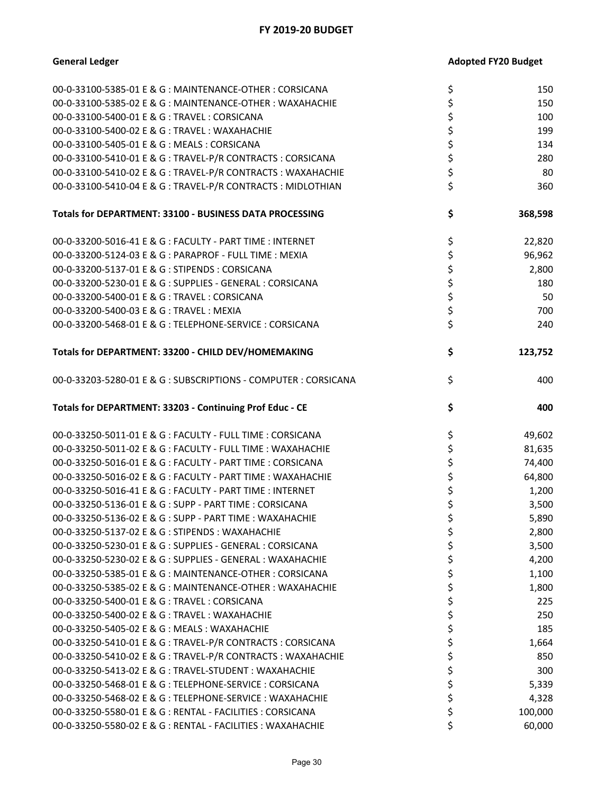| 00-0-33100-5385-01 E & G : MAINTENANCE-OTHER : CORSICANA      | \$       | 150     |
|---------------------------------------------------------------|----------|---------|
| 00-0-33100-5385-02 E & G : MAINTENANCE-OTHER : WAXAHACHIE     | \$       | 150     |
| 00-0-33100-5400-01 E & G: TRAVEL: CORSICANA                   | \$       | 100     |
| 00-0-33100-5400-02 E & G : TRAVEL : WAXAHACHIE                | \$       | 199     |
| 00-0-33100-5405-01 E & G: MEALS: CORSICANA                    | \$       | 134     |
|                                                               | \$       | 280     |
| 00-0-33100-5410-01 E & G : TRAVEL-P/R CONTRACTS : CORSICANA   |          |         |
| 00-0-33100-5410-02 E & G : TRAVEL-P/R CONTRACTS : WAXAHACHIE  | \$       | 80      |
| 00-0-33100-5410-04 E & G : TRAVEL-P/R CONTRACTS : MIDLOTHIAN  | \$       | 360     |
| Totals for DEPARTMENT: 33100 - BUSINESS DATA PROCESSING       | \$       | 368,598 |
| 00-0-33200-5016-41 E & G : FACULTY - PART TIME : INTERNET     | \$       | 22,820  |
| 00-0-33200-5124-03 E & G : PARAPROF - FULL TIME : MEXIA       | \$       | 96,962  |
| 00-0-33200-5137-01 E & G : STIPENDS : CORSICANA               | \$       | 2,800   |
| 00-0-33200-5230-01 E & G : SUPPLIES - GENERAL : CORSICANA     | \$       | 180     |
| 00-0-33200-5400-01 E & G: TRAVEL: CORSICANA                   | \$       | 50      |
| 00-0-33200-5400-03 E & G: TRAVEL: MEXIA                       | \$       | 700     |
| 00-0-33200-5468-01 E & G : TELEPHONE-SERVICE : CORSICANA      | \$       | 240     |
|                                                               |          |         |
| Totals for DEPARTMENT: 33200 - CHILD DEV/HOMEMAKING           | \$       | 123,752 |
| 00-0-33203-5280-01 E & G: SUBSCRIPTIONS - COMPUTER: CORSICANA | \$       | 400     |
| Totals for DEPARTMENT: 33203 - Continuing Prof Educ - CE      | \$       | 400     |
| 00-0-33250-5011-01 E & G : FACULTY - FULL TIME : CORSICANA    | \$       | 49,602  |
| 00-0-33250-5011-02 E & G : FACULTY - FULL TIME : WAXAHACHIE   | \$       | 81,635  |
| 00-0-33250-5016-01 E & G : FACULTY - PART TIME : CORSICANA    | \$       | 74,400  |
| 00-0-33250-5016-02 E & G : FACULTY - PART TIME : WAXAHACHIE   | \$       | 64,800  |
| 00-0-33250-5016-41 E & G : FACULTY - PART TIME : INTERNET     | \$       | 1,200   |
| 00-0-33250-5136-01 E & G : SUPP - PART TIME : CORSICANA       | \$       | 3,500   |
| 00-0-33250-5136-02 E & G : SUPP - PART TIME : WAXAHACHIE      | \$       | 5,890   |
| 00-0-33250-5137-02 E & G : STIPENDS : WAXAHACHIE              | \$       | 2,800   |
| 00-0-33250-5230-01 E & G : SUPPLIES - GENERAL : CORSICANA     | \$       | 3,500   |
| 00-0-33250-5230-02 E & G : SUPPLIES - GENERAL : WAXAHACHIE    | \$       | 4,200   |
| 00-0-33250-5385-01 E & G : MAINTENANCE-OTHER : CORSICANA      | \$       | 1,100   |
| 00-0-33250-5385-02 E & G : MAINTENANCE-OTHER : WAXAHACHIE     | \$       | 1,800   |
| 00-0-33250-5400-01 E & G : TRAVEL : CORSICANA                 | \$       | 225     |
|                                                               |          |         |
| 00-0-33250-5400-02 E & G : TRAVEL : WAXAHACHIE                | \$       | 250     |
| 00-0-33250-5405-02 E & G : MEALS : WAXAHACHIE                 | \$       | 185     |
| 00-0-33250-5410-01 E & G : TRAVEL-P/R CONTRACTS : CORSICANA   | \$       | 1,664   |
| 00-0-33250-5410-02 E & G : TRAVEL-P/R CONTRACTS : WAXAHACHIE  | \$       | 850     |
| 00-0-33250-5413-02 E & G : TRAVEL-STUDENT : WAXAHACHIE        | \$       | 300     |
|                                                               |          |         |
| 00-0-33250-5468-01 E & G : TELEPHONE-SERVICE : CORSICANA      | \$       | 5,339   |
| 00-0-33250-5468-02 E & G : TELEPHONE-SERVICE : WAXAHACHIE     | \$       | 4,328   |
| 00-0-33250-5580-01 E & G : RENTAL - FACILITIES : CORSICANA    | \$<br>\$ | 100,000 |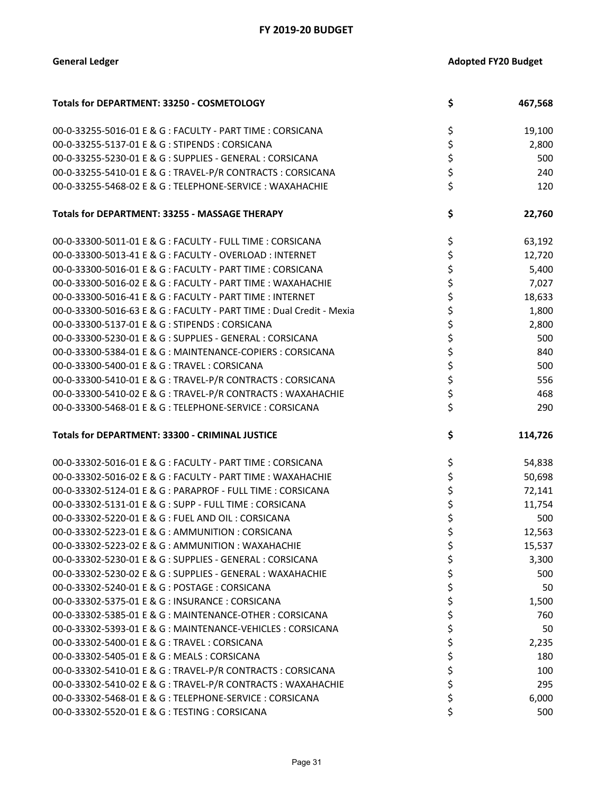| Totals for DEPARTMENT: 33250 - COSMETOLOGY                           | \$<br>467,568 |
|----------------------------------------------------------------------|---------------|
| 00-0-33255-5016-01 E & G : FACULTY - PART TIME : CORSICANA           | \$<br>19,100  |
| 00-0-33255-5137-01 E & G: STIPENDS: CORSICANA                        | \$<br>2,800   |
| 00-0-33255-5230-01 E & G : SUPPLIES - GENERAL : CORSICANA            | \$<br>500     |
| 00-0-33255-5410-01 E & G: TRAVEL-P/R CONTRACTS: CORSICANA            | \$<br>240     |
| 00-0-33255-5468-02 E & G: TELEPHONE-SERVICE: WAXAHACHIE              | \$<br>120     |
| Totals for DEPARTMENT: 33255 - MASSAGE THERAPY                       | \$<br>22,760  |
| 00-0-33300-5011-01 E & G : FACULTY - FULL TIME : CORSICANA           | \$<br>63,192  |
| 00-0-33300-5013-41 E & G : FACULTY - OVERLOAD : INTERNET             | \$<br>12,720  |
| 00-0-33300-5016-01 E & G : FACULTY - PART TIME : CORSICANA           | \$<br>5,400   |
| 00-0-33300-5016-02 E & G : FACULTY - PART TIME : WAXAHACHIE          | \$<br>7,027   |
| 00-0-33300-5016-41 E & G : FACULTY - PART TIME : INTERNET            | \$<br>18,633  |
| 00-0-33300-5016-63 E & G : FACULTY - PART TIME : Dual Credit - Mexia | \$<br>1,800   |
| 00-0-33300-5137-01 E & G: STIPENDS: CORSICANA                        | \$<br>2,800   |
| 00-0-33300-5230-01 E & G : SUPPLIES - GENERAL : CORSICANA            | \$<br>500     |
| 00-0-33300-5384-01 E & G : MAINTENANCE-COPIERS : CORSICANA           | \$<br>840     |
| 00-0-33300-5400-01 E & G: TRAVEL: CORSICANA                          | \$<br>500     |
| 00-0-33300-5410-01 E & G : TRAVEL-P/R CONTRACTS : CORSICANA          | \$<br>556     |
| 00-0-33300-5410-02 E & G : TRAVEL-P/R CONTRACTS : WAXAHACHIE         | \$<br>468     |
| 00-0-33300-5468-01 E & G: TELEPHONE-SERVICE: CORSICANA               | \$<br>290     |
| Totals for DEPARTMENT: 33300 - CRIMINAL JUSTICE                      | \$<br>114,726 |
| 00-0-33302-5016-01 E & G : FACULTY - PART TIME : CORSICANA           | \$<br>54,838  |
| 00-0-33302-5016-02 E & G : FACULTY - PART TIME : WAXAHACHIE          | \$<br>50,698  |
| 00-0-33302-5124-01 E & G : PARAPROF - FULL TIME : CORSICANA          | \$<br>72,141  |
| 00-0-33302-5131-01 E & G : SUPP - FULL TIME : CORSICANA              | \$<br>11,754  |
| 00-0-33302-5220-01 E & G : FUEL AND OIL : CORSICANA                  | \$<br>500     |
| 00-0-33302-5223-01 E & G : AMMUNITION : CORSICANA                    | \$<br>12,563  |
| 00-0-33302-5223-02 E & G : AMMUNITION : WAXAHACHIE                   | \$<br>15,537  |
| 00-0-33302-5230-01 E & G : SUPPLIES - GENERAL : CORSICANA            | \$<br>3,300   |
| 00-0-33302-5230-02 E & G : SUPPLIES - GENERAL : WAXAHACHIE           | \$<br>500     |
| 00-0-33302-5240-01 E & G : POSTAGE : CORSICANA                       | \$<br>50      |
| 00-0-33302-5375-01 E & G : INSURANCE : CORSICANA                     | \$<br>1,500   |
| 00-0-33302-5385-01 E & G : MAINTENANCE-OTHER : CORSICANA             | \$<br>760     |
| 00-0-33302-5393-01 E & G : MAINTENANCE-VEHICLES : CORSICANA          | \$<br>50      |
| 00-0-33302-5400-01 E & G: TRAVEL: CORSICANA                          | \$<br>2,235   |
| 00-0-33302-5405-01 E & G : MEALS : CORSICANA                         | \$<br>180     |
| 00-0-33302-5410-01 E & G: TRAVEL-P/R CONTRACTS: CORSICANA            | \$<br>100     |
| 00-0-33302-5410-02 E & G: TRAVEL-P/R CONTRACTS: WAXAHACHIE           | \$<br>295     |
| 00-0-33302-5468-01 E & G : TELEPHONE-SERVICE : CORSICANA             | \$<br>6,000   |
| 00-0-33302-5520-01 E & G : TESTING : CORSICANA                       | 500           |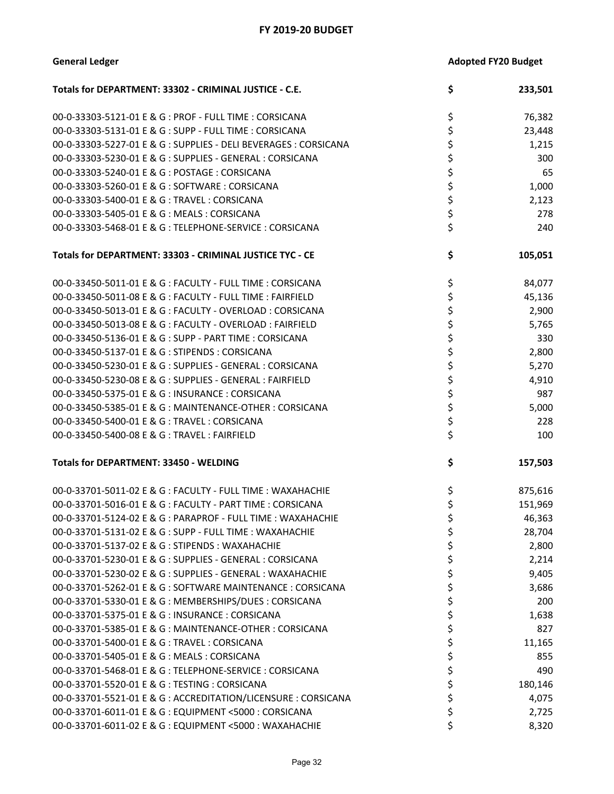| <b>Adopted FY20 Budget</b> |
|----------------------------|
|                            |

| Totals for DEPARTMENT: 33302 - CRIMINAL JUSTICE - C.E.           | \$<br>233,501 |
|------------------------------------------------------------------|---------------|
| 00-0-33303-5121-01 E & G : PROF - FULL TIME : CORSICANA          | \$<br>76,382  |
| 00-0-33303-5131-01 E & G : SUPP - FULL TIME : CORSICANA          | \$<br>23,448  |
| 00-0-33303-5227-01 E & G : SUPPLIES - DELI BEVERAGES : CORSICANA | \$<br>1,215   |
| 00-0-33303-5230-01 E & G : SUPPLIES - GENERAL : CORSICANA        | \$<br>300     |
| 00-0-33303-5240-01 E & G : POSTAGE : CORSICANA                   | \$<br>65      |
| 00-0-33303-5260-01 E & G: SOFTWARE: CORSICANA                    | \$<br>1,000   |
| 00-0-33303-5400-01 E & G: TRAVEL: CORSICANA                      | \$<br>2,123   |
| 00-0-33303-5405-01 E & G : MEALS : CORSICANA                     | \$<br>278     |
| 00-0-33303-5468-01 E & G: TELEPHONE-SERVICE: CORSICANA           | \$<br>240     |
| Totals for DEPARTMENT: 33303 - CRIMINAL JUSTICE TYC - CE         | \$<br>105,051 |
| 00-0-33450-5011-01 E & G : FACULTY - FULL TIME : CORSICANA       | \$<br>84,077  |
| 00-0-33450-5011-08 E & G : FACULTY - FULL TIME : FAIRFIELD       | \$<br>45,136  |
| 00-0-33450-5013-01 E & G : FACULTY - OVERLOAD : CORSICANA        | \$<br>2,900   |
| 00-0-33450-5013-08 E & G : FACULTY - OVERLOAD : FAIRFIELD        | \$<br>5,765   |
| 00-0-33450-5136-01 E & G : SUPP - PART TIME : CORSICANA          | \$<br>330     |
| 00-0-33450-5137-01 E & G: STIPENDS: CORSICANA                    | \$<br>2,800   |
| 00-0-33450-5230-01 E & G : SUPPLIES - GENERAL : CORSICANA        | \$<br>5,270   |
| 00-0-33450-5230-08 E & G : SUPPLIES - GENERAL : FAIRFIELD        | \$<br>4,910   |
| 00-0-33450-5375-01 E & G: INSURANCE: CORSICANA                   | \$<br>987     |
| 00-0-33450-5385-01 E & G : MAINTENANCE-OTHER : CORSICANA         | \$<br>5,000   |
| 00-0-33450-5400-01 E & G: TRAVEL: CORSICANA                      | \$<br>228     |
| 00-0-33450-5400-08 E & G: TRAVEL: FAIRFIELD                      | \$<br>100     |
| <b>Totals for DEPARTMENT: 33450 - WELDING</b>                    | \$<br>157,503 |
| 00-0-33701-5011-02 E & G : FACULTY - FULL TIME : WAXAHACHIE      | \$<br>875,616 |
| 00-0-33701-5016-01 E & G : FACULTY - PART TIME : CORSICANA       | \$<br>151,969 |
| 00-0-33701-5124-02 E & G : PARAPROF - FULL TIME : WAXAHACHIE     | \$<br>46,363  |
| 00-0-33701-5131-02 E & G : SUPP - FULL TIME : WAXAHACHIE         | \$<br>28,704  |
| 00-0-33701-5137-02 E & G : STIPENDS : WAXAHACHIE                 | \$<br>2,800   |
| 00-0-33701-5230-01 E & G : SUPPLIES - GENERAL : CORSICANA        | \$<br>2,214   |
| 00-0-33701-5230-02 E & G : SUPPLIES - GENERAL : WAXAHACHIE       | \$<br>9,405   |
| 00-0-33701-5262-01 E & G : SOFTWARE MAINTENANCE : CORSICANA      | \$<br>3,686   |
| 00-0-33701-5330-01 E & G : MEMBERSHIPS/DUES : CORSICANA          | \$<br>200     |
| 00-0-33701-5375-01 E & G : INSURANCE : CORSICANA                 | \$<br>1,638   |
| 00-0-33701-5385-01 E & G : MAINTENANCE-OTHER : CORSICANA         | \$<br>827     |
| 00-0-33701-5400-01 E & G : TRAVEL : CORSICANA                    | \$<br>11,165  |
| 00-0-33701-5405-01 E & G : MEALS : CORSICANA                     | \$<br>855     |
| 00-0-33701-5468-01 E & G: TELEPHONE-SERVICE: CORSICANA           | \$<br>490     |
| 00-0-33701-5520-01 E & G: TESTING: CORSICANA                     | \$<br>180,146 |
| 00-0-33701-5521-01 E & G : ACCREDITATION/LICENSURE : CORSICANA   | \$<br>4,075   |
| 00-0-33701-6011-01 E & G : EQUIPMENT <5000 : CORSICANA           | \$<br>2,725   |
| 00-0-33701-6011-02 E & G : EQUIPMENT <5000 : WAXAHACHIE          | \$<br>8,320   |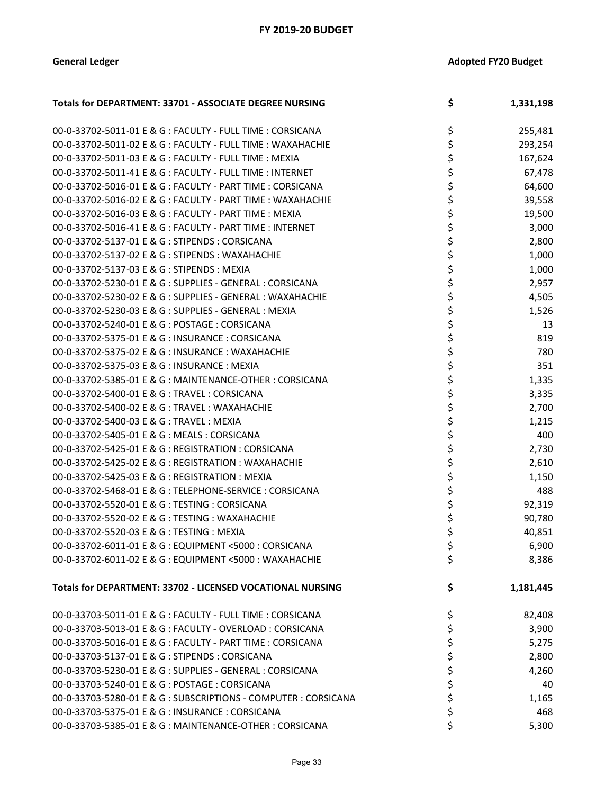| Totals for DEPARTMENT: 33701 - ASSOCIATE DEGREE NURSING         | \$ | 1,331,198 |
|-----------------------------------------------------------------|----|-----------|
| 00-0-33702-5011-01 E & G : FACULTY - FULL TIME : CORSICANA      | \$ | 255,481   |
| 00-0-33702-5011-02 E & G : FACULTY - FULL TIME : WAXAHACHIE     | \$ | 293,254   |
| 00-0-33702-5011-03 E & G : FACULTY - FULL TIME : MEXIA          | \$ | 167,624   |
| 00-0-33702-5011-41 E & G : FACULTY - FULL TIME : INTERNET       | \$ | 67,478    |
| 00-0-33702-5016-01 E & G : FACULTY - PART TIME : CORSICANA      | \$ | 64,600    |
| 00-0-33702-5016-02 E & G : FACULTY - PART TIME : WAXAHACHIE     | \$ | 39,558    |
| 00-0-33702-5016-03 E & G : FACULTY - PART TIME : MEXIA          | \$ | 19,500    |
| 00-0-33702-5016-41 E & G : FACULTY - PART TIME : INTERNET       | \$ | 3,000     |
| 00-0-33702-5137-01 E & G : STIPENDS : CORSICANA                 | \$ | 2,800     |
| 00-0-33702-5137-02 E & G : STIPENDS : WAXAHACHIE                | \$ | 1,000     |
| 00-0-33702-5137-03 E & G: STIPENDS: MEXIA                       | \$ | 1,000     |
| 00-0-33702-5230-01 E & G : SUPPLIES - GENERAL : CORSICANA       | \$ | 2,957     |
| 00-0-33702-5230-02 E & G : SUPPLIES - GENERAL : WAXAHACHIE      | \$ | 4,505     |
| 00-0-33702-5230-03 E & G : SUPPLIES - GENERAL : MEXIA           | \$ | 1,526     |
| 00-0-33702-5240-01 E & G: POSTAGE: CORSICANA                    | \$ | 13        |
| 00-0-33702-5375-01 E & G: INSURANCE: CORSICANA                  | \$ | 819       |
| 00-0-33702-5375-02 E & G : INSURANCE : WAXAHACHIE               | \$ | 780       |
| 00-0-33702-5375-03 E & G: INSURANCE: MEXIA                      | \$ | 351       |
| 00-0-33702-5385-01 E & G : MAINTENANCE-OTHER : CORSICANA        | \$ | 1,335     |
| 00-0-33702-5400-01 E & G: TRAVEL: CORSICANA                     | \$ | 3,335     |
| 00-0-33702-5400-02 E & G : TRAVEL : WAXAHACHIE                  | \$ | 2,700     |
| 00-0-33702-5400-03 E & G: TRAVEL: MEXIA                         | \$ | 1,215     |
| 00-0-33702-5405-01 E & G: MEALS: CORSICANA                      | \$ | 400       |
| 00-0-33702-5425-01 E & G : REGISTRATION : CORSICANA             | \$ | 2,730     |
| 00-0-33702-5425-02 E & G : REGISTRATION : WAXAHACHIE            | \$ | 2,610     |
| 00-0-33702-5425-03 E & G: REGISTRATION: MEXIA                   | \$ | 1,150     |
| 00-0-33702-5468-01 E & G : TELEPHONE-SERVICE : CORSICANA        | \$ | 488       |
| 00-0-33702-5520-01 E & G : TESTING : CORSICANA                  | \$ | 92,319    |
| 00-0-33702-5520-02 E & G : TESTING : WAXAHACHIE                 | \$ | 90,780    |
| 00-0-33702-5520-03 E & G: TESTING: MEXIA                        | \$ | 40,851    |
| 00-0-33702-6011-01 F & G : FOUIPMENT <5000 : CORSICANA          | ሩ  | 6,900     |
| 00-0-33702-6011-02 E & G : EQUIPMENT <5000 : WAXAHACHIE         | \$ | 8,386     |
| Totals for DEPARTMENT: 33702 - LICENSED VOCATIONAL NURSING      | \$ | 1,181,445 |
| 00-0-33703-5011-01 E & G : FACULTY - FULL TIME : CORSICANA      | \$ | 82,408    |
| 00-0-33703-5013-01 E & G : FACULTY - OVERLOAD : CORSICANA       | \$ | 3,900     |
| 00-0-33703-5016-01 E & G : FACULTY - PART TIME : CORSICANA      | \$ | 5,275     |
| 00-0-33703-5137-01 E & G: STIPENDS: CORSICANA                   | \$ | 2,800     |
| 00-0-33703-5230-01 E & G : SUPPLIES - GENERAL : CORSICANA       | \$ | 4,260     |
| 00-0-33703-5240-01 E & G : POSTAGE : CORSICANA                  | \$ | 40        |
| 00-0-33703-5280-01 E & G : SUBSCRIPTIONS - COMPUTER : CORSICANA | \$ | 1,165     |
| 00-0-33703-5375-01 E & G : INSURANCE : CORSICANA                | \$ | 468       |
| 00-0-33703-5385-01 E & G : MAINTENANCE-OTHER : CORSICANA        | \$ | 5,300     |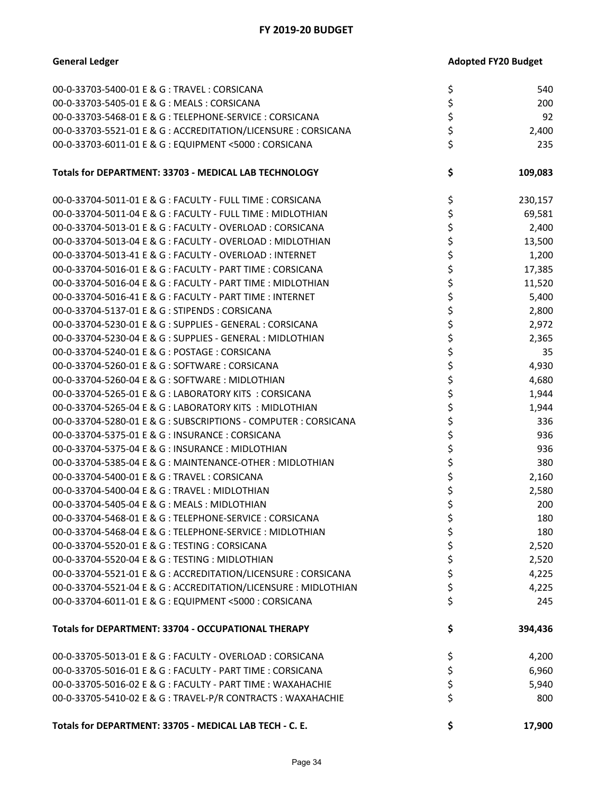| 00-0-33703-5400-01 E & G: TRAVEL: CORSICANA                     | \$<br>540     |
|-----------------------------------------------------------------|---------------|
| 00-0-33703-5405-01 E & G : MEALS : CORSICANA                    | \$<br>200     |
| 00-0-33703-5468-01 E & G : TELEPHONE-SERVICE : CORSICANA        | \$<br>92      |
| 00-0-33703-5521-01 E & G : ACCREDITATION/LICENSURE : CORSICANA  | \$<br>2,400   |
| 00-0-33703-6011-01 E & G : EQUIPMENT <5000 : CORSICANA          | \$<br>235     |
| Totals for DEPARTMENT: 33703 - MEDICAL LAB TECHNOLOGY           | \$<br>109,083 |
| 00-0-33704-5011-01 E & G : FACULTY - FULL TIME : CORSICANA      | \$<br>230,157 |
| 00-0-33704-5011-04 E & G : FACULTY - FULL TIME : MIDLOTHIAN     | \$<br>69,581  |
| 00-0-33704-5013-01 E & G : FACULTY - OVERLOAD : CORSICANA       | \$<br>2,400   |
| 00-0-33704-5013-04 E & G : FACULTY - OVERLOAD : MIDLOTHIAN      | \$<br>13,500  |
| 00-0-33704-5013-41 E & G : FACULTY - OVERLOAD : INTERNET        | \$<br>1,200   |
| 00-0-33704-5016-01 E & G : FACULTY - PART TIME : CORSICANA      | \$<br>17,385  |
| 00-0-33704-5016-04 E & G : FACULTY - PART TIME : MIDLOTHIAN     | \$<br>11,520  |
| 00-0-33704-5016-41 E & G : FACULTY - PART TIME : INTERNET       | \$<br>5,400   |
| 00-0-33704-5137-01 E & G : STIPENDS : CORSICANA                 | \$<br>2,800   |
| 00-0-33704-5230-01 E & G : SUPPLIES - GENERAL : CORSICANA       | \$<br>2,972   |
| 00-0-33704-5230-04 E & G : SUPPLIES - GENERAL : MIDLOTHIAN      | \$<br>2,365   |
| 00-0-33704-5240-01 E & G : POSTAGE : CORSICANA                  | \$<br>35      |
| 00-0-33704-5260-01 E & G : SOFTWARE : CORSICANA                 | \$<br>4,930   |
| 00-0-33704-5260-04 E & G : SOFTWARE : MIDLOTHIAN                | \$<br>4,680   |
| 00-0-33704-5265-01 E & G : LABORATORY KITS : CORSICANA          | \$<br>1,944   |
| 00-0-33704-5265-04 E & G : LABORATORY KITS : MIDLOTHIAN         | \$<br>1,944   |
| 00-0-33704-5280-01 E & G : SUBSCRIPTIONS - COMPUTER : CORSICANA | \$<br>336     |
| 00-0-33704-5375-01 E & G : INSURANCE : CORSICANA                | \$<br>936     |
| 00-0-33704-5375-04 E & G : INSURANCE : MIDLOTHIAN               | \$<br>936     |
| 00-0-33704-5385-04 E & G : MAINTENANCE-OTHER : MIDLOTHIAN       | \$<br>380     |
| 00-0-33704-5400-01 E & G : TRAVEL : CORSICANA                   | \$<br>2,160   |
| 00-0-33704-5400-04 E & G : TRAVEL : MIDLOTHIAN                  | \$<br>2,580   |
| 00-0-33704-5405-04 E & G : MEALS : MIDLOTHIAN                   | \$<br>200     |
| 00-0-33704-5468-01 E & G : TELEPHONE-SERVICE : CORSICANA        | \$<br>180     |
| 00-0-33704-5468-04 E & G : TELEPHONE-SERVICE : MIDLOTHIAN       | \$<br>180     |
| 00-0-33704-5520-01 E & G : TESTING : CORSICANA                  | \$<br>2,520   |
| 00-0-33704-5520-04 E & G : TESTING : MIDLOTHIAN                 | \$<br>2,520   |
| 00-0-33704-5521-01 E & G : ACCREDITATION/LICENSURE : CORSICANA  | \$<br>4,225   |
| 00-0-33704-5521-04 E & G : ACCREDITATION/LICENSURE : MIDLOTHIAN | \$<br>4,225   |
| 00-0-33704-6011-01 E & G : EQUIPMENT <5000 : CORSICANA          | \$<br>245     |
| Totals for DEPARTMENT: 33704 - OCCUPATIONAL THERAPY             | \$<br>394,436 |
| 00-0-33705-5013-01 E & G : FACULTY - OVERLOAD : CORSICANA       | \$<br>4,200   |
| 00-0-33705-5016-01 E & G : FACULTY - PART TIME : CORSICANA      | \$<br>6,960   |
| 00-0-33705-5016-02 E & G : FACULTY - PART TIME : WAXAHACHIE     | \$<br>5,940   |
| 00-0-33705-5410-02 E & G : TRAVEL-P/R CONTRACTS : WAXAHACHIE    | \$<br>800     |
| Totals for DEPARTMENT: 33705 - MEDICAL LAB TECH - C. E.         | \$<br>17,900  |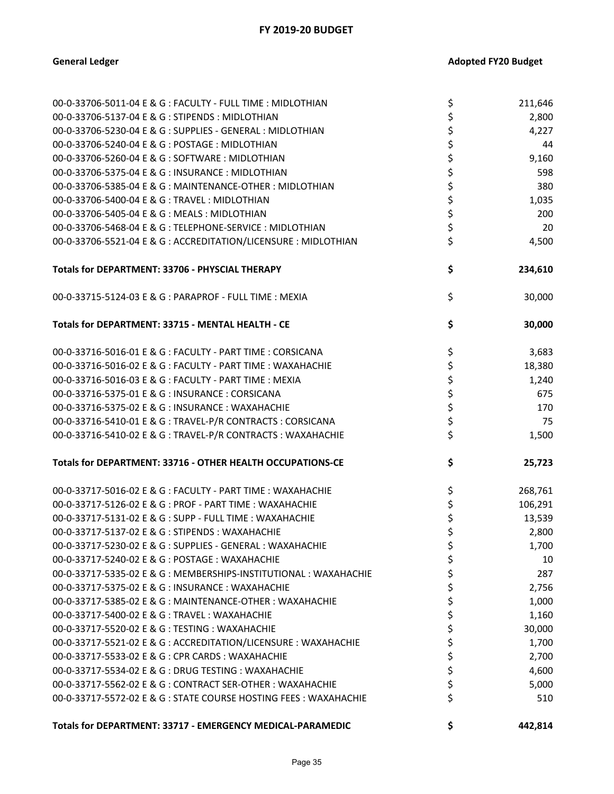| 00-0-33706-5011-04 E & G : FACULTY - FULL TIME : MIDLOTHIAN       | \$<br>211,646 |
|-------------------------------------------------------------------|---------------|
| 00-0-33706-5137-04 E & G : STIPENDS : MIDLOTHIAN                  | \$<br>2,800   |
| 00-0-33706-5230-04 E & G : SUPPLIES - GENERAL : MIDLOTHIAN        | \$<br>4,227   |
| 00-0-33706-5240-04 E & G : POSTAGE : MIDLOTHIAN                   | \$<br>44      |
| 00-0-33706-5260-04 E & G : SOFTWARE : MIDLOTHIAN                  | \$<br>9,160   |
| 00-0-33706-5375-04 E & G : INSURANCE : MIDLOTHIAN                 | \$<br>598     |
| 00-0-33706-5385-04 E & G : MAINTENANCE-OTHER : MIDLOTHIAN         | \$<br>380     |
| 00-0-33706-5400-04 E & G : TRAVEL : MIDLOTHIAN                    | \$<br>1,035   |
| 00-0-33706-5405-04 E & G : MEALS : MIDLOTHIAN                     | \$<br>200     |
| 00-0-33706-5468-04 E & G : TELEPHONE-SERVICE : MIDLOTHIAN         | \$<br>20      |
| 00-0-33706-5521-04 E & G : ACCREDITATION/LICENSURE : MIDLOTHIAN   | \$<br>4,500   |
| Totals for DEPARTMENT: 33706 - PHYSCIAL THERAPY                   | \$<br>234,610 |
| 00-0-33715-5124-03 E & G : PARAPROF - FULL TIME : MEXIA           | \$<br>30,000  |
| Totals for DEPARTMENT: 33715 - MENTAL HEALTH - CE                 | \$<br>30,000  |
| 00-0-33716-5016-01 E & G : FACULTY - PART TIME : CORSICANA        | \$<br>3,683   |
| 00-0-33716-5016-02 E & G : FACULTY - PART TIME : WAXAHACHIE       | \$<br>18,380  |
| 00-0-33716-5016-03 E & G : FACULTY - PART TIME : MEXIA            | \$<br>1,240   |
| 00-0-33716-5375-01 E & G: INSURANCE: CORSICANA                    | \$<br>675     |
| 00-0-33716-5375-02 E & G : INSURANCE : WAXAHACHIE                 | \$<br>170     |
| 00-0-33716-5410-01 E & G : TRAVEL-P/R CONTRACTS : CORSICANA       | \$<br>75      |
| 00-0-33716-5410-02 E & G : TRAVEL-P/R CONTRACTS : WAXAHACHIE      | \$<br>1,500   |
| Totals for DEPARTMENT: 33716 - OTHER HEALTH OCCUPATIONS-CE        | \$<br>25,723  |
| 00-0-33717-5016-02 E & G : FACULTY - PART TIME : WAXAHACHIE       | \$<br>268,761 |
| 00-0-33717-5126-02 E & G : PROF - PART TIME : WAXAHACHIE          | \$<br>106,291 |
| 00-0-33717-5131-02 E & G : SUPP - FULL TIME : WAXAHACHIE          | \$<br>13,539  |
| 00-0-33717-5137-02 E & G : STIPENDS : WAXAHACHIE                  | \$<br>2,800   |
| 00-0-33717-5230-02 E & G : SUPPLIES - GENERAL : WAXAHACHIE        | 1,700         |
| 00-0-33717-5240-02 E & G : POSTAGE : WAXAHACHIE                   | \$<br>10      |
| 00-0-33717-5335-02 E & G : MEMBERSHIPS-INSTITUTIONAL : WAXAHACHIE | 287           |
| 00-0-33717-5375-02 E & G : INSURANCE : WAXAHACHIE                 | 2,756         |
| 00-0-33717-5385-02 E & G : MAINTENANCE-OTHER : WAXAHACHIE         | \$<br>1,000   |
| 00-0-33717-5400-02 E & G : TRAVEL : WAXAHACHIE                    | 1,160         |
| 00-0-33717-5520-02 E & G : TESTING : WAXAHACHIE                   | 30,000        |
| 00-0-33717-5521-02 E & G : ACCREDITATION/LICENSURE : WAXAHACHIE   | \$<br>1,700   |
| 00-0-33717-5533-02 E & G : CPR CARDS : WAXAHACHIE                 | \$<br>2,700   |
| 00-0-33717-5534-02 E & G : DRUG TESTING : WAXAHACHIE              | \$<br>4,600   |
| 00-0-33717-5562-02 E & G : CONTRACT SER-OTHER : WAXAHACHIE        | \$<br>5,000   |
| 00-0-33717-5572-02 E & G : STATE COURSE HOSTING FEES : WAXAHACHIE | \$<br>510     |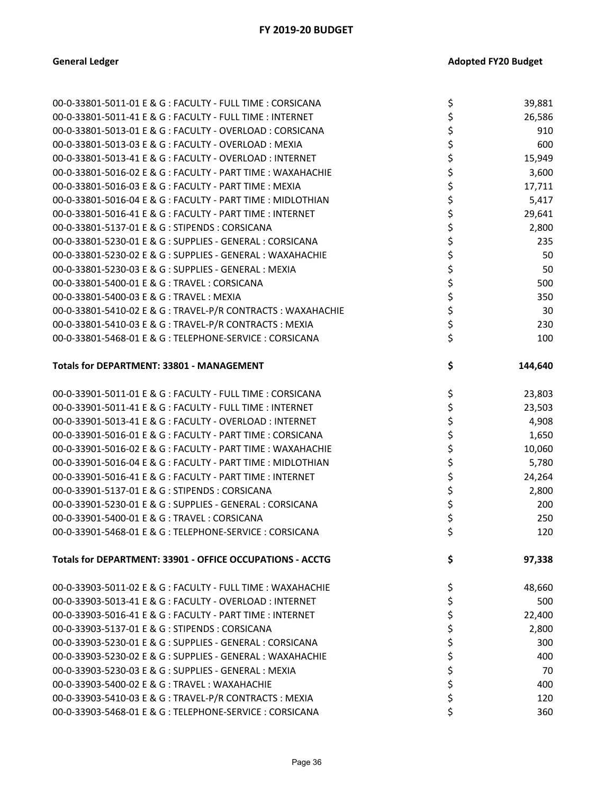| 00-0-33801-5011-01 E & G : FACULTY - FULL TIME : CORSICANA   | \$<br>39,881  |
|--------------------------------------------------------------|---------------|
| 00-0-33801-5011-41 E & G : FACULTY - FULL TIME : INTERNET    | \$<br>26,586  |
| 00-0-33801-5013-01 E & G : FACULTY - OVERLOAD : CORSICANA    | \$<br>910     |
| 00-0-33801-5013-03 E & G : FACULTY - OVERLOAD : MEXIA        | \$<br>600     |
| 00-0-33801-5013-41 E & G : FACULTY - OVERLOAD : INTERNET     | \$<br>15,949  |
| 00-0-33801-5016-02 E & G : FACULTY - PART TIME : WAXAHACHIE  | \$<br>3,600   |
| 00-0-33801-5016-03 E & G : FACULTY - PART TIME : MEXIA       | \$<br>17,711  |
| 00-0-33801-5016-04 E & G : FACULTY - PART TIME : MIDLOTHIAN  | \$<br>5,417   |
| 00-0-33801-5016-41 E & G : FACULTY - PART TIME : INTERNET    | \$<br>29,641  |
| 00-0-33801-5137-01 E & G: STIPENDS: CORSICANA                | \$<br>2,800   |
| 00-0-33801-5230-01 E & G : SUPPLIES - GENERAL : CORSICANA    | \$<br>235     |
| 00-0-33801-5230-02 E & G : SUPPLIES - GENERAL : WAXAHACHIE   | \$<br>50      |
| 00-0-33801-5230-03 E & G : SUPPLIES - GENERAL : MEXIA        | \$<br>50      |
| 00-0-33801-5400-01 E & G : TRAVEL : CORSICANA                | \$<br>500     |
| 00-0-33801-5400-03 E & G: TRAVEL: MEXIA                      | \$<br>350     |
| 00-0-33801-5410-02 E & G : TRAVEL-P/R CONTRACTS : WAXAHACHIE | \$<br>30      |
| 00-0-33801-5410-03 E & G: TRAVEL-P/R CONTRACTS: MEXIA        | \$<br>230     |
| 00-0-33801-5468-01 E & G : TELEPHONE-SERVICE : CORSICANA     | \$<br>100     |
| Totals for DEPARTMENT: 33801 - MANAGEMENT                    | \$<br>144,640 |
| 00-0-33901-5011-01 E & G : FACULTY - FULL TIME : CORSICANA   | \$<br>23,803  |
| 00-0-33901-5011-41 E & G : FACULTY - FULL TIME : INTERNET    | \$<br>23,503  |
| 00-0-33901-5013-41 E & G : FACULTY - OVERLOAD : INTERNET     | \$<br>4,908   |
| 00-0-33901-5016-01 E & G : FACULTY - PART TIME : CORSICANA   | \$<br>1,650   |
| 00-0-33901-5016-02 E & G : FACULTY - PART TIME : WAXAHACHIE  | \$<br>10,060  |
| 00-0-33901-5016-04 E & G : FACULTY - PART TIME : MIDLOTHIAN  | \$<br>5,780   |
| 00-0-33901-5016-41 E & G : FACULTY - PART TIME : INTERNET    | \$<br>24,264  |
| 00-0-33901-5137-01 E & G : STIPENDS : CORSICANA              | \$<br>2,800   |
| 00-0-33901-5230-01 E & G : SUPPLIES - GENERAL : CORSICANA    | \$<br>200     |
| 00-0-33901-5400-01 E & G: TRAVEL: CORSICANA                  | \$<br>250     |
| 00-0-33901-5468-01 E & G : TELEPHONE-SERVICE : CORSICANA     | \$<br>120     |
| Totals for DEPARTMENT: 33901 - OFFICE OCCUPATIONS - ACCTG    | \$<br>97,338  |
| 00-0-33903-5011-02 E & G : FACULTY - FULL TIME : WAXAHACHIE  | \$<br>48,660  |
| 00-0-33903-5013-41 E & G : FACULTY - OVERLOAD : INTERNET     | \$<br>500     |
| 00-0-33903-5016-41 E & G : FACULTY - PART TIME : INTERNET    | \$<br>22,400  |
| 00-0-33903-5137-01 E & G: STIPENDS: CORSICANA                | \$<br>2,800   |
| 00-0-33903-5230-01 E & G : SUPPLIES - GENERAL : CORSICANA    | \$<br>300     |
| 00-0-33903-5230-02 E & G : SUPPLIES - GENERAL : WAXAHACHIE   | \$<br>400     |
| 00-0-33903-5230-03 E & G : SUPPLIES - GENERAL : MEXIA        | \$<br>70      |
| 00-0-33903-5400-02 E & G : TRAVEL : WAXAHACHIE               | \$<br>400     |
| 00-0-33903-5410-03 E & G: TRAVEL-P/R CONTRACTS: MEXIA        | \$<br>120     |
| 00-0-33903-5468-01 E & G : TELEPHONE-SERVICE : CORSICANA     | \$<br>360     |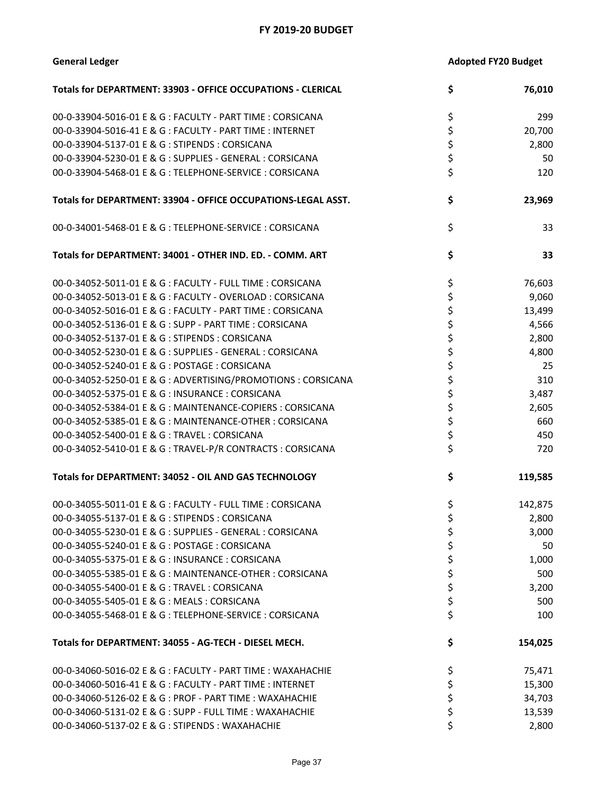| <b>General Ledger</b>                                         | <b>Adopted FY20 Budget</b> |         |
|---------------------------------------------------------------|----------------------------|---------|
| Totals for DEPARTMENT: 33903 - OFFICE OCCUPATIONS - CLERICAL  | \$                         | 76,010  |
| 00-0-33904-5016-01 E & G : FACULTY - PART TIME : CORSICANA    | \$                         | 299     |
| 00-0-33904-5016-41 E & G : FACULTY - PART TIME : INTERNET     | \$                         | 20,700  |
| 00-0-33904-5137-01 E & G: STIPENDS: CORSICANA                 | \$                         | 2,800   |
| 00-0-33904-5230-01 E & G : SUPPLIES - GENERAL : CORSICANA     | \$                         | 50      |
| 00-0-33904-5468-01 E & G: TELEPHONE-SERVICE: CORSICANA        | \$                         | 120     |
| Totals for DEPARTMENT: 33904 - OFFICE OCCUPATIONS-LEGAL ASST. | \$                         | 23,969  |
| 00-0-34001-5468-01 E & G : TELEPHONE-SERVICE : CORSICANA      | \$                         | 33      |
| Totals for DEPARTMENT: 34001 - OTHER IND. ED. - COMM. ART     | \$                         | 33      |
| 00-0-34052-5011-01 E & G : FACULTY - FULL TIME : CORSICANA    | \$                         | 76,603  |
| 00-0-34052-5013-01 E & G : FACULTY - OVERLOAD : CORSICANA     | \$                         | 9,060   |
| 00-0-34052-5016-01 E & G : FACULTY - PART TIME : CORSICANA    | \$                         | 13,499  |
| 00-0-34052-5136-01 E & G : SUPP - PART TIME : CORSICANA       | \$                         | 4,566   |
| 00-0-34052-5137-01 E & G: STIPENDS: CORSICANA                 | \$                         | 2,800   |
| 00-0-34052-5230-01 E & G : SUPPLIES - GENERAL : CORSICANA     | \$                         | 4,800   |
| 00-0-34052-5240-01 E & G : POSTAGE : CORSICANA                | \$                         | 25      |
| 00-0-34052-5250-01 E & G : ADVERTISING/PROMOTIONS : CORSICANA | \$                         | 310     |
| 00-0-34052-5375-01 E & G : INSURANCE : CORSICANA              | \$                         | 3,487   |
| 00-0-34052-5384-01 E & G : MAINTENANCE-COPIERS : CORSICANA    | \$                         | 2,605   |
| 00-0-34052-5385-01 E & G : MAINTENANCE-OTHER : CORSICANA      | \$                         | 660     |
| 00-0-34052-5400-01 E & G: TRAVEL: CORSICANA                   | \$                         | 450     |
| 00-0-34052-5410-01 E & G : TRAVEL-P/R CONTRACTS : CORSICANA   | \$                         | 720     |
| Totals for DEPARTMENT: 34052 - OIL AND GAS TECHNOLOGY         | \$                         | 119,585 |
| 00-0-34055-5011-01 E & G : FACULTY - FULL TIME : CORSICANA    | \$                         | 142,875 |
| 00-0-34055-5137-01 E & G : STIPENDS : CORSICANA               | \$                         | 2,800   |
| 00-0-34055-5230-01 E & G : SUPPLIES - GENERAL : CORSICANA     | \$                         | 3,000   |
| 00-0-34055-5240-01 E & G : POSTAGE : CORSICANA                | \$                         | 50      |
| 00-0-34055-5375-01 E & G: INSURANCE: CORSICANA                | \$                         | 1,000   |
| 00-0-34055-5385-01 E & G : MAINTENANCE-OTHER : CORSICANA      | \$                         | 500     |
| 00-0-34055-5400-01 E & G: TRAVEL: CORSICANA                   | \$                         | 3,200   |
| 00-0-34055-5405-01 E & G: MEALS: CORSICANA                    | \$                         | 500     |
| 00-0-34055-5468-01 E & G : TELEPHONE-SERVICE : CORSICANA      | \$                         | 100     |
| Totals for DEPARTMENT: 34055 - AG-TECH - DIESEL MECH.         | \$                         | 154,025 |
| 00-0-34060-5016-02 E & G : FACULTY - PART TIME : WAXAHACHIE   | \$                         | 75,471  |
| 00-0-34060-5016-41 E & G : FACULTY - PART TIME : INTERNET     | \$                         | 15,300  |
| 00-0-34060-5126-02 E & G : PROF - PART TIME : WAXAHACHIE      | \$                         | 34,703  |
| 00-0-34060-5131-02 E & G : SUPP - FULL TIME : WAXAHACHIE      | \$                         | 13,539  |
| 00-0-34060-5137-02 E & G : STIPENDS : WAXAHACHIE              | Ś                          | 2,800   |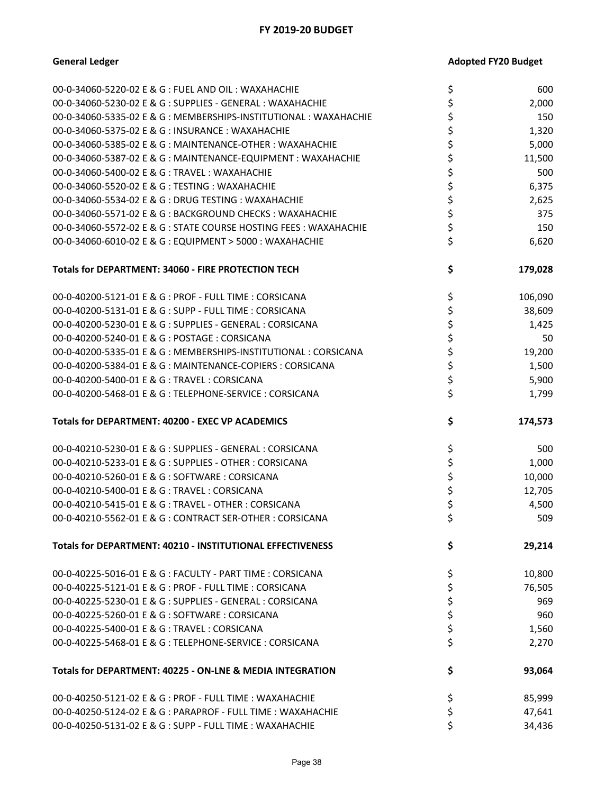| 00-0-34060-5220-02 E & G : FUEL AND OIL : WAXAHACHIE              | \$       | 600     |
|-------------------------------------------------------------------|----------|---------|
| 00-0-34060-5230-02 E & G : SUPPLIES - GENERAL : WAXAHACHIE        | \$       | 2,000   |
| 00-0-34060-5335-02 E & G : MEMBERSHIPS-INSTITUTIONAL : WAXAHACHIE | \$       | 150     |
| 00-0-34060-5375-02 E & G: INSURANCE: WAXAHACHIE                   | \$       | 1,320   |
| 00-0-34060-5385-02 E & G : MAINTENANCE-OTHER : WAXAHACHIE         | \$       | 5,000   |
| 00-0-34060-5387-02 E & G : MAINTENANCE-EQUIPMENT : WAXAHACHIE     | \$       | 11,500  |
| 00-0-34060-5400-02 E & G : TRAVEL : WAXAHACHIE                    | \$       | 500     |
| 00-0-34060-5520-02 E & G : TESTING : WAXAHACHIE                   |          |         |
|                                                                   | \$       | 6,375   |
| 00-0-34060-5534-02 E & G : DRUG TESTING : WAXAHACHIE              | \$       | 2,625   |
| 00-0-34060-5571-02 E & G : BACKGROUND CHECKS : WAXAHACHIE         | \$       | 375     |
| 00-0-34060-5572-02 E & G : STATE COURSE HOSTING FEES : WAXAHACHIE | \$       | 150     |
| 00-0-34060-6010-02 E & G : EQUIPMENT > 5000 : WAXAHACHIE          | \$       | 6,620   |
| Totals for DEPARTMENT: 34060 - FIRE PROTECTION TECH               | \$       | 179,028 |
| 00-0-40200-5121-01 E & G : PROF - FULL TIME : CORSICANA           | \$       | 106,090 |
| 00-0-40200-5131-01 E & G : SUPP - FULL TIME : CORSICANA           | \$       | 38,609  |
| 00-0-40200-5230-01 E & G : SUPPLIES - GENERAL : CORSICANA         | \$       | 1,425   |
| 00-0-40200-5240-01 E & G : POSTAGE : CORSICANA                    | \$       | 50      |
| 00-0-40200-5335-01 E & G : MEMBERSHIPS-INSTITUTIONAL : CORSICANA  | \$       | 19,200  |
| 00-0-40200-5384-01 E & G : MAINTENANCE-COPIERS : CORSICANA        | \$       | 1,500   |
| 00-0-40200-5400-01 E & G: TRAVEL: CORSICANA                       | \$       | 5,900   |
| 00-0-40200-5468-01 E & G: TELEPHONE-SERVICE: CORSICANA            | \$       | 1,799   |
| Totals for DEPARTMENT: 40200 - EXEC VP ACADEMICS                  | \$       | 174,573 |
|                                                                   |          |         |
| 00-0-40210-5230-01 E & G : SUPPLIES - GENERAL : CORSICANA         | \$       | 500     |
| 00-0-40210-5233-01 E & G : SUPPLIES - OTHER : CORSICANA           | \$       | 1,000   |
| 00-0-40210-5260-01 E & G: SOFTWARE: CORSICANA                     | \$       | 10,000  |
| 00-0-40210-5400-01 E & G: TRAVEL: CORSICANA                       | \$       | 12,705  |
| 00-0-40210-5415-01 E & G : TRAVEL - OTHER : CORSICANA             |          | 4,500   |
| 00-0-40210-5562-01 E & G : CONTRACT SER-OTHER : CORSICANA         | \$<br>\$ | 509     |
| Totals for DEPARTMENT: 40210 - INSTITUTIONAL EFFECTIVENESS        | \$       | 29,214  |
| 00-0-40225-5016-01 E & G : FACULTY - PART TIME : CORSICANA        | \$       | 10,800  |
| 00-0-40225-5121-01 E & G : PROF - FULL TIME : CORSICANA           | \$       | 76,505  |
| 00-0-40225-5230-01 E & G : SUPPLIES - GENERAL : CORSICANA         |          | 969     |
| 00-0-40225-5260-01 E & G: SOFTWARE: CORSICANA                     | \$<br>\$ | 960     |
| 00-0-40225-5400-01 E & G: TRAVEL: CORSICANA                       |          | 1,560   |
| 00-0-40225-5468-01 E & G: TELEPHONE-SERVICE: CORSICANA            | \$<br>\$ | 2,270   |
| Totals for DEPARTMENT: 40225 - ON-LNE & MEDIA INTEGRATION         | \$       | 93,064  |
| 00-0-40250-5121-02 E & G : PROF - FULL TIME : WAXAHACHIE          |          | 85,999  |
| 00-0-40250-5124-02 E & G : PARAPROF - FULL TIME : WAXAHACHIE      | \$<br>\$ | 47,641  |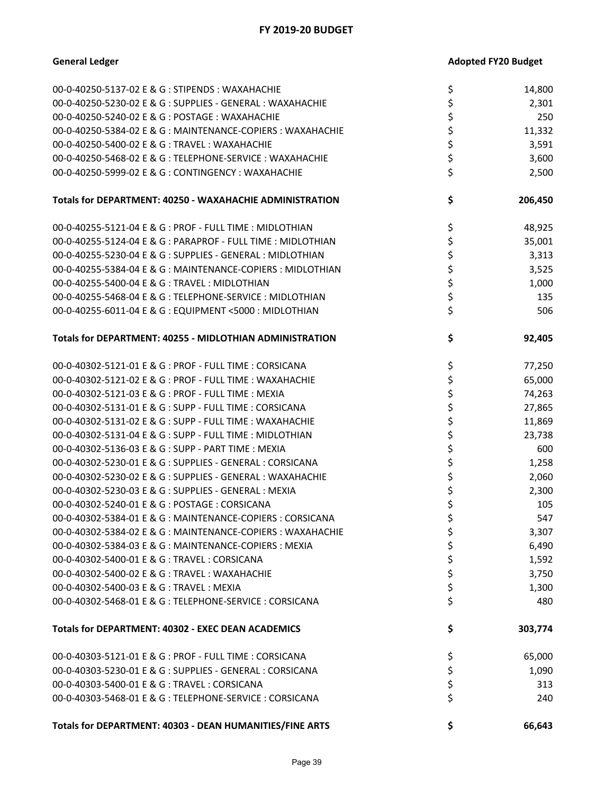| Totals for DEPARTMENT: 40303 - DEAN HUMANITIES/FINE ARTS                                              | \$       | 66,643     |
|-------------------------------------------------------------------------------------------------------|----------|------------|
|                                                                                                       |          |            |
| 00-0-40303-5400-01 E & G: TRAVEL: CORSICANA<br>00-0-40303-5468-01 E & G: TELEPHONE-SERVICE: CORSICANA | \$<br>\$ | 313<br>240 |
| 00-0-40303-5230-01 E & G : SUPPLIES - GENERAL : CORSICANA                                             | \$       | 1,090      |
| 00-0-40303-5121-01 E & G : PROF - FULL TIME : CORSICANA                                               | \$       | 65,000     |
|                                                                                                       |          |            |
| Totals for DEPARTMENT: 40302 - EXEC DEAN ACADEMICS                                                    | \$       | 303,774    |
| 00-0-40302-5468-01 E & G: TELEPHONE-SERVICE: CORSICANA                                                | \$       | 480        |
| 00-0-40302-5400-03 E & G : TRAVEL : MEXIA                                                             | \$       | 1,300      |
| 00-0-40302-5400-02 E & G : TRAVEL : WAXAHACHIE                                                        | \$       | 3,750      |
| 00-0-40302-5400-01 E & G: TRAVEL: CORSICANA                                                           | \$       | 1,592      |
| 00-0-40302-5384-03 E & G : MAINTENANCE-COPIERS : MEXIA                                                | \$       | 6,490      |
| 00-0-40302-5384-02 E & G : MAINTENANCE-COPIERS : WAXAHACHIE                                           | Ş        | 3,307      |
| 00-0-40302-5384-01 E & G : MAINTENANCE-COPIERS : CORSICANA                                            | \$       | 547        |
| 00-0-40302-5240-01 E & G : POSTAGE : CORSICANA                                                        | \$       | 105        |
| 00-0-40302-5230-03 E & G : SUPPLIES - GENERAL : MEXIA                                                 | \$       | 2,300      |
| 00-0-40302-5230-02 E & G : SUPPLIES - GENERAL : WAXAHACHIE                                            | \$       | 2,060      |
| 00-0-40302-5230-01 E & G : SUPPLIES - GENERAL : CORSICANA                                             | \$       | 1,258      |
| 00-0-40302-5136-03 E & G : SUPP - PART TIME : MEXIA                                                   | \$       | 600        |
| 00-0-40302-5131-04 E & G : SUPP - FULL TIME : MIDLOTHIAN                                              | \$       | 23,738     |
| 00-0-40302-5131-02 E & G : SUPP - FULL TIME : WAXAHACHIE                                              | \$       | 11,869     |
| 00-0-40302-5131-01 E & G : SUPP - FULL TIME : CORSICANA                                               | \$       | 27,865     |
| 00-0-40302-5121-03 E & G : PROF - FULL TIME : MEXIA                                                   | \$       | 74,263     |
| 00-0-40302-5121-02 E & G : PROF - FULL TIME : WAXAHACHIE                                              | \$       | 65,000     |
| 00-0-40302-5121-01 E & G : PROF - FULL TIME : CORSICANA                                               | \$       | 77,250     |
| Totals for DEPARTMENT: 40255 - MIDLOTHIAN ADMINISTRATION                                              | \$       | 92,405     |
| 00-0-40255-6011-04 E & G : EQUIPMENT <5000 : MIDLOTHIAN                                               | \$       | 506        |
| 00-0-40255-5468-04 E & G : TELEPHONE-SERVICE : MIDLOTHIAN                                             | \$       | 135        |
| 00-0-40255-5400-04 E & G: TRAVEL: MIDLOTHIAN                                                          | \$       | 1,000      |
| 00-0-40255-5384-04 E & G : MAINTENANCE-COPIERS : MIDLOTHIAN                                           | \$       | 3,525      |
| 00-0-40255-5230-04 E & G : SUPPLIES - GENERAL : MIDLOTHIAN                                            | \$       | 3,313      |
| 00-0-40255-5124-04 E & G : PARAPROF - FULL TIME : MIDLOTHIAN                                          | \$       | 35,001     |
| 00-0-40255-5121-04 E & G : PROF - FULL TIME : MIDLOTHIAN                                              | \$       | 48,925     |
| Totals for DEPARTMENT: 40250 - WAXAHACHIE ADMINISTRATION                                              | \$       | 206,450    |
| 00-0-40250-5999-02 E & G : CONTINGENCY : WAXAHACHIE                                                   | \$       | 2,500      |
| 00-0-40250-5468-02 E & G : TELEPHONE-SERVICE : WAXAHACHIE                                             | \$       | 3,600      |
| 00-0-40250-5400-02 E & G : TRAVEL : WAXAHACHIE                                                        | \$       | 3,591      |
| 00-0-40250-5384-02 E & G: MAINTENANCE-COPIERS: WAXAHACHIE                                             | \$       | 11,332     |
| 00-0-40250-5240-02 E & G : POSTAGE : WAXAHACHIE                                                       | \$       | 250        |
| 00-0-40250-5230-02 E & G : SUPPLIES - GENERAL : WAXAHACHIE                                            | \$       | 2,301      |
| 00-0-40250-5137-02 E & G : STIPENDS : WAXAHACHIE                                                      | \$       | 14,800     |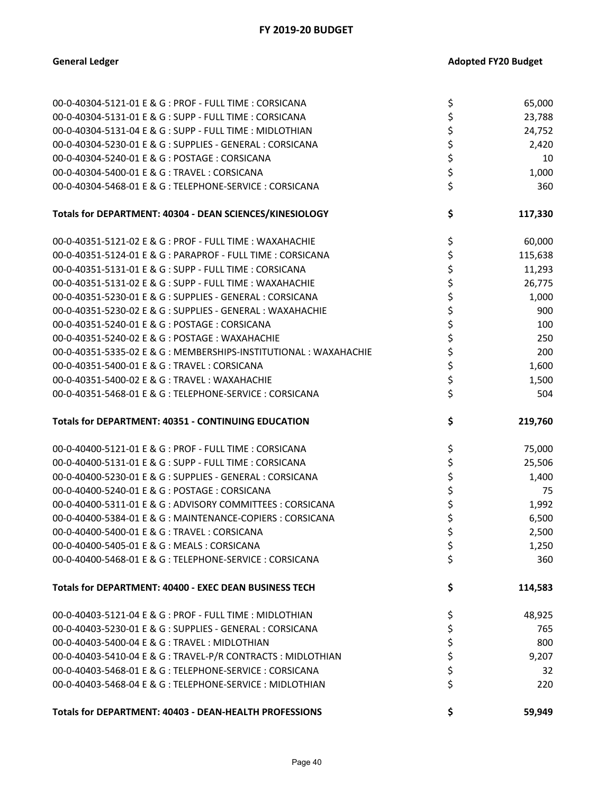| 00-0-40304-5121-01 E & G : PROF - FULL TIME : CORSICANA           | \$       | 65,000  |
|-------------------------------------------------------------------|----------|---------|
| 00-0-40304-5131-01 E & G : SUPP - FULL TIME : CORSICANA           | \$       | 23,788  |
| 00-0-40304-5131-04 E & G : SUPP - FULL TIME : MIDLOTHIAN          | \$       | 24,752  |
| 00-0-40304-5230-01 E & G : SUPPLIES - GENERAL : CORSICANA         | \$       | 2,420   |
| 00-0-40304-5240-01 E & G: POSTAGE: CORSICANA                      |          | 10      |
| 00-0-40304-5400-01 E & G: TRAVEL: CORSICANA                       | \$<br>\$ | 1,000   |
| 00-0-40304-5468-01 E & G: TELEPHONE-SERVICE: CORSICANA            | \$       | 360     |
| Totals for DEPARTMENT: 40304 - DEAN SCIENCES/KINESIOLOGY          | \$       | 117,330 |
| 00-0-40351-5121-02 E & G : PROF - FULL TIME : WAXAHACHIE          | \$       | 60,000  |
| 00-0-40351-5124-01 E & G : PARAPROF - FULL TIME : CORSICANA       | \$       | 115,638 |
| 00-0-40351-5131-01 E & G : SUPP - FULL TIME : CORSICANA           | \$       | 11,293  |
| 00-0-40351-5131-02 E & G : SUPP - FULL TIME : WAXAHACHIE          | \$       | 26,775  |
| 00-0-40351-5230-01 E & G : SUPPLIES - GENERAL : CORSICANA         | \$       | 1,000   |
| 00-0-40351-5230-02 E & G : SUPPLIES - GENERAL : WAXAHACHIE        | \$       | 900     |
| 00-0-40351-5240-01 E & G : POSTAGE : CORSICANA                    | \$       | 100     |
| 00-0-40351-5240-02 E & G : POSTAGE : WAXAHACHIE                   | \$       | 250     |
| 00-0-40351-5335-02 E & G : MEMBERSHIPS-INSTITUTIONAL : WAXAHACHIE | \$       | 200     |
| 00-0-40351-5400-01 E & G: TRAVEL: CORSICANA                       | \$       | 1,600   |
| 00-0-40351-5400-02 E & G : TRAVEL : WAXAHACHIE                    | \$       | 1,500   |
| 00-0-40351-5468-01 E & G: TELEPHONE-SERVICE: CORSICANA            | \$       | 504     |
| <b>Totals for DEPARTMENT: 40351 - CONTINUING EDUCATION</b>        |          |         |
|                                                                   | \$       | 219,760 |
| 00-0-40400-5121-01 E & G : PROF - FULL TIME : CORSICANA           | \$       | 75,000  |
| 00-0-40400-5131-01 E & G : SUPP - FULL TIME : CORSICANA           | \$       | 25,506  |
| 00-0-40400-5230-01 E & G : SUPPLIES - GENERAL : CORSICANA         | \$       | 1,400   |
| 00-0-40400-5240-01 E & G : POSTAGE : CORSICANA                    | \$       | 75      |
| 00-0-40400-5311-01 E & G : ADVISORY COMMITTEES : CORSICANA        | \$       | 1,992   |
| 00-0-40400-5384-01 E & G : MAINTENANCE-COPIERS : CORSICANA        | \$       | 6,500   |
| 00-0-40400-5400-01 E & G: TRAVEL: CORSICANA                       | \$       | 2,500   |
| 00-0-40400-5405-01 E & G: MEALS: CORSICANA                        | Ş        | 1,250   |
| 00-0-40400-5468-01 E & G : TELEPHONE-SERVICE : CORSICANA          | \$       | 360     |
| Totals for DEPARTMENT: 40400 - EXEC DEAN BUSINESS TECH            | \$       | 114,583 |
| 00-0-40403-5121-04 E & G : PROF - FULL TIME : MIDLOTHIAN          | \$       | 48,925  |
| 00-0-40403-5230-01 E & G : SUPPLIES - GENERAL : CORSICANA         | \$       | 765     |
| 00-0-40403-5400-04 E & G : TRAVEL : MIDLOTHIAN                    | \$       | 800     |
| 00-0-40403-5410-04 E & G : TRAVEL-P/R CONTRACTS : MIDLOTHIAN      | \$       | 9,207   |
| 00-0-40403-5468-01 E & G: TELEPHONE-SERVICE: CORSICANA            | \$       | 32      |
| 00-0-40403-5468-04 E & G : TELEPHONE-SERVICE : MIDLOTHIAN         | \$       | 220     |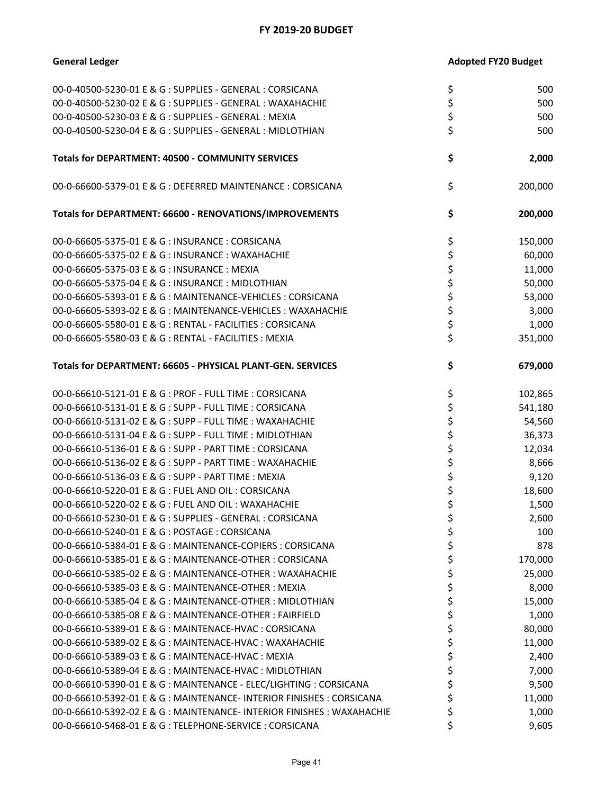| 00-0-40500-5230-01 E & G : SUPPLIES - GENERAL : CORSICANA              | \$ | 500     |
|------------------------------------------------------------------------|----|---------|
| 00-0-40500-5230-02 E & G : SUPPLIES - GENERAL : WAXAHACHIE             | \$ | 500     |
| 00-0-40500-5230-03 E & G : SUPPLIES - GENERAL : MEXIA                  | \$ | 500     |
| 00-0-40500-5230-04 E & G : SUPPLIES - GENERAL : MIDLOTHIAN             | \$ | 500     |
|                                                                        |    |         |
| Totals for DEPARTMENT: 40500 - COMMUNITY SERVICES                      | \$ | 2,000   |
| 00-0-66600-5379-01 E & G : DEFERRED MAINTENANCE : CORSICANA            | \$ | 200,000 |
| Totals for DEPARTMENT: 66600 - RENOVATIONS/IMPROVEMENTS                | \$ | 200,000 |
| 00-0-66605-5375-01 E & G : INSURANCE : CORSICANA                       | \$ | 150,000 |
| 00-0-66605-5375-02 E & G: INSURANCE: WAXAHACHIE                        | \$ | 60,000  |
| 00-0-66605-5375-03 E & G: INSURANCE: MEXIA                             | \$ | 11,000  |
| 00-0-66605-5375-04 E & G: INSURANCE: MIDLOTHIAN                        | \$ | 50,000  |
| 00-0-66605-5393-01 E & G : MAINTENANCE-VEHICLES : CORSICANA            | \$ | 53,000  |
| 00-0-66605-5393-02 E & G : MAINTENANCE-VEHICLES : WAXAHACHIE           | \$ | 3,000   |
| 00-0-66605-5580-01 E & G : RENTAL - FACILITIES : CORSICANA             | \$ | 1,000   |
| 00-0-66605-5580-03 E & G : RENTAL - FACILITIES : MEXIA                 | \$ | 351,000 |
| Totals for DEPARTMENT: 66605 - PHYSICAL PLANT-GEN. SERVICES            | \$ | 679,000 |
| 00-0-66610-5121-01 E & G : PROF - FULL TIME : CORSICANA                | \$ | 102,865 |
| 00-0-66610-5131-01 E & G : SUPP - FULL TIME : CORSICANA                | \$ | 541,180 |
| 00-0-66610-5131-02 E & G : SUPP - FULL TIME : WAXAHACHIE               | \$ | 54,560  |
| 00-0-66610-5131-04 E & G : SUPP - FULL TIME : MIDLOTHIAN               | \$ | 36,373  |
| 00-0-66610-5136-01 E & G : SUPP - PART TIME : CORSICANA                | \$ | 12,034  |
| 00-0-66610-5136-02 E & G : SUPP - PART TIME : WAXAHACHIE               | \$ | 8,666   |
| 00-0-66610-5136-03 E & G: SUPP - PART TIME: MEXIA                      | \$ | 9,120   |
| 00-0-66610-5220-01 E & G : FUEL AND OIL : CORSICANA                    | \$ | 18,600  |
| 00-0-66610-5220-02 E & G : FUEL AND OIL : WAXAHACHIE                   | \$ | 1,500   |
| 00-0-66610-5230-01 E & G : SUPPLIES - GENERAL : CORSICANA              | \$ | 2,600   |
|                                                                        | Ş  | 100     |
| 00-0-66610-5384-01 E & G : MAINTENANCE-COPIERS : CORSICANA             | \$ | 878     |
| 00-0-66610-5385-01 E & G : MAINTENANCE-OTHER : CORSICANA               | \$ | 170,000 |
| 00-0-66610-5385-02 E & G : MAINTENANCE-OTHER : WAXAHACHIE              | \$ | 25,000  |
| 00-0-66610-5385-03 E & G : MAINTENANCE-OTHER : MEXIA                   | \$ | 8,000   |
| 00-0-66610-5385-04 E & G : MAINTENANCE-OTHER : MIDLOTHIAN              | \$ | 15,000  |
| 00-0-66610-5385-08 E & G : MAINTENANCE-OTHER : FAIRFIELD               | \$ | 1,000   |
| 00-0-66610-5389-01 E & G : MAINTENACE-HVAC : CORSICANA                 | \$ | 80,000  |
| 00-0-66610-5389-02 E & G : MAINTENACE-HVAC : WAXAHACHIE                | \$ | 11,000  |
| 00-0-66610-5389-03 E & G : MAINTENACE-HVAC : MEXIA                     | \$ | 2,400   |
| 00-0-66610-5389-04 E & G : MAINTENACE-HVAC : MIDLOTHIAN                | \$ | 7,000   |
| 00-0-66610-5390-01 E & G : MAINTENANCE - ELEC/LIGHTING : CORSICANA     | \$ | 9,500   |
| 00-0-66610-5392-01 E & G : MAINTENANCE- INTERIOR FINISHES : CORSICANA  | \$ | 11,000  |
| 00-0-66610-5392-02 E & G : MAINTENANCE- INTERIOR FINISHES : WAXAHACHIE | \$ | 1,000   |
| 00-0-66610-5468-01 E & G: TELEPHONE-SERVICE: CORSICANA                 | \$ | 9,605   |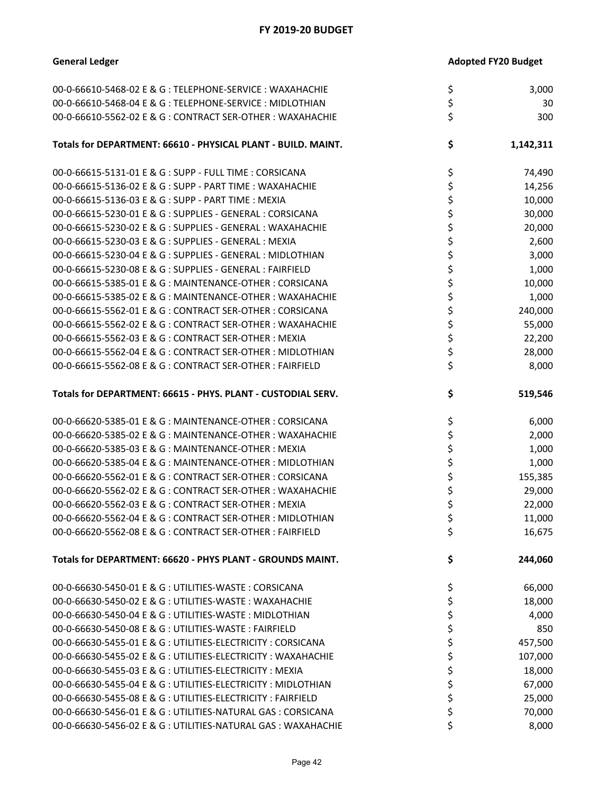| <b>General Ledger</b>                                         | <b>Adopted FY20 Budget</b> |           |
|---------------------------------------------------------------|----------------------------|-----------|
| 00-0-66610-5468-02 E & G : TELEPHONE-SERVICE : WAXAHACHIE     | \$                         | 3,000     |
| 00-0-66610-5468-04 E & G : TELEPHONE-SERVICE : MIDLOTHIAN     |                            | 30        |
| 00-0-66610-5562-02 E & G : CONTRACT SER-OTHER : WAXAHACHIE    | \$<br>\$                   | 300       |
| Totals for DEPARTMENT: 66610 - PHYSICAL PLANT - BUILD. MAINT. | \$                         | 1,142,311 |
| 00-0-66615-5131-01 E & G : SUPP - FULL TIME : CORSICANA       | \$                         | 74,490    |
| 00-0-66615-5136-02 E & G : SUPP - PART TIME : WAXAHACHIE      | \$                         | 14,256    |
| 00-0-66615-5136-03 E & G: SUPP - PART TIME: MEXIA             | \$                         | 10,000    |
| 00-0-66615-5230-01 E & G : SUPPLIES - GENERAL : CORSICANA     | \$                         | 30,000    |
| 00-0-66615-5230-02 E & G : SUPPLIES - GENERAL : WAXAHACHIE    | \$                         | 20,000    |
| 00-0-66615-5230-03 E & G : SUPPLIES - GENERAL : MEXIA         | \$                         | 2,600     |
| 00-0-66615-5230-04 E & G : SUPPLIES - GENERAL : MIDLOTHIAN    | \$                         | 3,000     |
| 00-0-66615-5230-08 E & G : SUPPLIES - GENERAL : FAIRFIELD     | \$                         | 1,000     |
| 00-0-66615-5385-01 E & G: MAINTENANCE-OTHER: CORSICANA        | \$                         | 10,000    |
| 00-0-66615-5385-02 E & G : MAINTENANCE-OTHER : WAXAHACHIE     | \$                         | 1,000     |
| 00-0-66615-5562-01 E & G: CONTRACT SER-OTHER: CORSICANA       | \$                         | 240,000   |
| 00-0-66615-5562-02 E & G : CONTRACT SER-OTHER : WAXAHACHIE    | \$                         | 55,000    |
| 00-0-66615-5562-03 E & G : CONTRACT SER-OTHER : MEXIA         | \$                         | 22,200    |
| 00-0-66615-5562-04 E & G : CONTRACT SER-OTHER : MIDLOTHIAN    | \$                         | 28,000    |
| 00-0-66615-5562-08 E & G : CONTRACT SER-OTHER : FAIRFIELD     | \$                         | 8,000     |
| Totals for DEPARTMENT: 66615 - PHYS. PLANT - CUSTODIAL SERV.  | \$                         | 519,546   |
| 00-0-66620-5385-01 E & G: MAINTENANCE-OTHER: CORSICANA        | \$                         | 6,000     |
| 00-0-66620-5385-02 E & G : MAINTENANCE-OTHER : WAXAHACHIE     | \$                         | 2,000     |
| 00-0-66620-5385-03 E & G : MAINTENANCE-OTHER : MEXIA          | \$                         | 1,000     |
| 00-0-66620-5385-04 E & G : MAINTENANCE-OTHER : MIDLOTHIAN     | \$                         | 1,000     |
| 00-0-66620-5562-01 E & G: CONTRACT SER-OTHER: CORSICANA       | \$                         | 155,385   |
| 00-0-66620-5562-02 E & G : CONTRACT SER-OTHER : WAXAHACHIE    | \$                         | 29,000    |
| 00-0-66620-5562-03 E & G: CONTRACT SER-OTHER: MEXIA           | \$                         | 22,000    |
| 00-0-66620-5562-04 E & G : CONTRACT SER-OTHER : MIDLOTHIAN    | \$                         | 11,000    |
| 00-0-66620-5562-08 E & G: CONTRACT SER-OTHER: FAIRFIELD       | \$                         | 16,675    |
| Totals for DEPARTMENT: 66620 - PHYS PLANT - GROUNDS MAINT.    | \$                         | 244,060   |
| 00-0-66630-5450-01 E & G : UTILITIES-WASTE : CORSICANA        | \$                         | 66,000    |
| 00-0-66630-5450-02 E & G : UTILITIES-WASTE : WAXAHACHIE       | \$                         | 18,000    |
| 00-0-66630-5450-04 E & G : UTILITIES-WASTE : MIDLOTHIAN       | \$                         | 4,000     |
| 00-0-66630-5450-08 E & G : UTILITIES-WASTE : FAIRFIELD        | \$                         | 850       |
| 00-0-66630-5455-01 E & G : UTILITIES-ELECTRICITY : CORSICANA  | \$                         | 457,500   |
| 00-0-66630-5455-02 E & G : UTILITIES-ELECTRICITY : WAXAHACHIE | \$                         | 107,000   |
| 00-0-66630-5455-03 E & G : UTILITIES-ELECTRICITY : MEXIA      | \$                         | 18,000    |
| 00-0-66630-5455-04 E & G : UTILITIES-ELECTRICITY : MIDLOTHIAN | \$                         | 67,000    |
| 00-0-66630-5455-08 E & G : UTILITIES-ELECTRICITY : FAIRFIELD  | \$                         | 25,000    |
| 00-0-66630-5456-01 E & G : UTILITIES-NATURAL GAS : CORSICANA  | \$                         | 70,000    |
| 00-0-66630-5456-02 E & G : UTILITIES-NATURAL GAS : WAXAHACHIE |                            | 8,000     |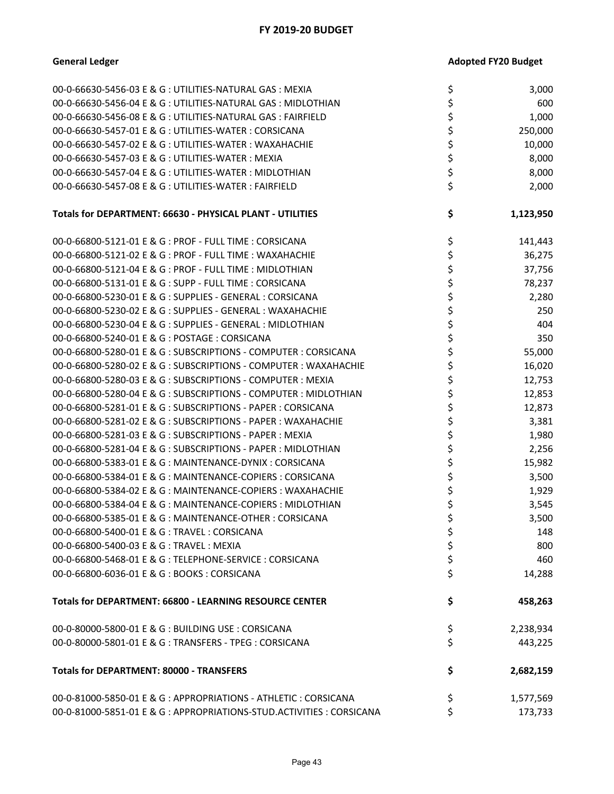| 00-0-66630-5456-03 E & G : UTILITIES-NATURAL GAS : MEXIA               | \$<br>3,000     |
|------------------------------------------------------------------------|-----------------|
| 00-0-66630-5456-04 E & G : UTILITIES-NATURAL GAS : MIDLOTHIAN          | \$<br>600       |
| 00-0-66630-5456-08 E & G : UTILITIES-NATURAL GAS : FAIRFIELD           | \$<br>1,000     |
| 00-0-66630-5457-01 E & G : UTILITIES-WATER : CORSICANA                 | \$<br>250,000   |
| 00-0-66630-5457-02 E & G : UTILITIES-WATER : WAXAHACHIE                | \$<br>10,000    |
| 00-0-66630-5457-03 E & G : UTILITIES-WATER : MEXIA                     | \$<br>8,000     |
| 00-0-66630-5457-04 E & G : UTILITIES-WATER : MIDLOTHIAN                | \$<br>8,000     |
| 00-0-66630-5457-08 E & G : UTILITIES-WATER : FAIRFIELD                 | \$<br>2,000     |
|                                                                        |                 |
| Totals for DEPARTMENT: 66630 - PHYSICAL PLANT - UTILITIES              | \$<br>1,123,950 |
| 00-0-66800-5121-01 E & G : PROF - FULL TIME : CORSICANA                | \$<br>141,443   |
| 00-0-66800-5121-02 E & G : PROF - FULL TIME : WAXAHACHIE               | \$<br>36,275    |
| 00-0-66800-5121-04 E & G : PROF - FULL TIME : MIDLOTHIAN               | \$<br>37,756    |
| 00-0-66800-5131-01 E & G : SUPP - FULL TIME : CORSICANA                | \$<br>78,237    |
| 00-0-66800-5230-01 E & G : SUPPLIES - GENERAL : CORSICANA              | \$<br>2,280     |
| 00-0-66800-5230-02 E & G : SUPPLIES - GENERAL : WAXAHACHIE             | \$<br>250       |
| 00-0-66800-5230-04 E & G : SUPPLIES - GENERAL : MIDLOTHIAN             | \$<br>404       |
| 00-0-66800-5240-01 E & G: POSTAGE: CORSICANA                           | \$<br>350       |
| 00-0-66800-5280-01 E & G : SUBSCRIPTIONS - COMPUTER : CORSICANA        | \$<br>55,000    |
| 00-0-66800-5280-02 E & G : SUBSCRIPTIONS - COMPUTER : WAXAHACHIE       | \$<br>16,020    |
| 00-0-66800-5280-03 E & G : SUBSCRIPTIONS - COMPUTER : MEXIA            | \$<br>12,753    |
| 00-0-66800-5280-04 E & G : SUBSCRIPTIONS - COMPUTER : MIDLOTHIAN       | \$<br>12,853    |
| 00-0-66800-5281-01 E & G : SUBSCRIPTIONS - PAPER : CORSICANA           | \$<br>12,873    |
| 00-0-66800-5281-02 E & G : SUBSCRIPTIONS - PAPER : WAXAHACHIE          | \$<br>3,381     |
| 00-0-66800-5281-03 E & G : SUBSCRIPTIONS - PAPER : MEXIA               | \$<br>1,980     |
| 00-0-66800-5281-04 E & G : SUBSCRIPTIONS - PAPER : MIDLOTHIAN          | \$<br>2,256     |
| 00-0-66800-5383-01 E & G : MAINTENANCE-DYNIX : CORSICANA               | \$<br>15,982    |
| 00-0-66800-5384-01 E & G : MAINTENANCE-COPIERS : CORSICANA             | \$<br>3,500     |
| 00-0-66800-5384-02 E & G : MAINTENANCE-COPIERS : WAXAHACHIE            | \$<br>1,929     |
| 00-0-66800-5384-04 E & G : MAINTENANCE-COPIERS : MIDLOTHIAN            | \$<br>3,545     |
| 00-0-66800-5385-01 E & G: MAINTENANCE-OTHER: CORSICANA                 | \$<br>3,500     |
| 00-0-66800-5400-01 E & G: TRAVEL: CORSICANA                            | \$<br>148       |
| 00-0-66800-5400-03 E & G: TRAVEL: MEXIA                                | \$<br>800       |
| 00-0-66800-5468-01 E & G : TELEPHONE-SERVICE : CORSICANA               | \$<br>460       |
| 00-0-66800-6036-01 E & G: BOOKS: CORSICANA                             | \$<br>14,288    |
| <b>Totals for DEPARTMENT: 66800 - LEARNING RESOURCE CENTER</b>         | \$<br>458,263   |
| 00-0-80000-5800-01 E & G : BUILDING USE : CORSICANA                    | \$<br>2,238,934 |
| 00-0-80000-5801-01 E & G : TRANSFERS - TPEG : CORSICANA                | \$<br>443,225   |
| <b>Totals for DEPARTMENT: 80000 - TRANSFERS</b>                        | \$<br>2,682,159 |
| 00-0-81000-5850-01 E & G : APPROPRIATIONS - ATHLETIC : CORSICANA       | \$<br>1,577,569 |
| 00-0-81000-5851-01 E & G : APPROPRIATIONS-STUD. ACTIVITIES : CORSICANA | \$<br>173,733   |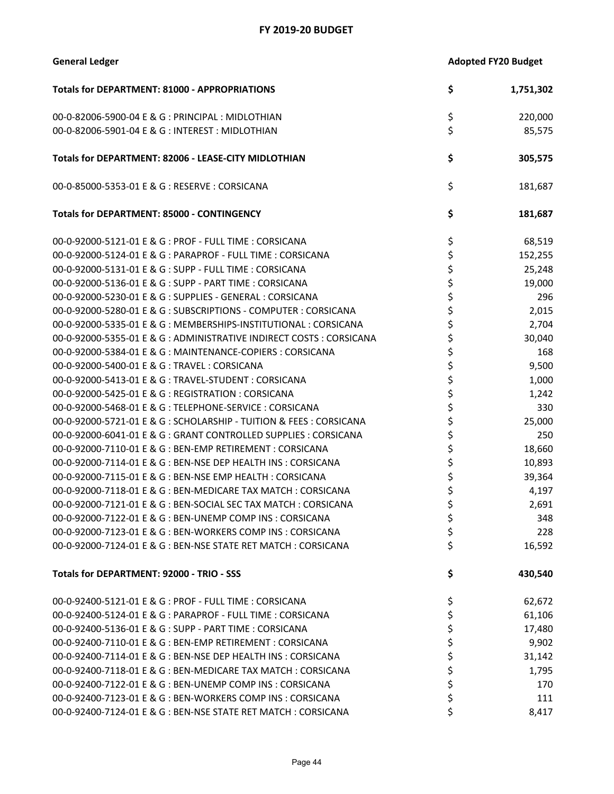| <b>General Ledger</b> | <b>Adopted FY20 Budget</b> |
|-----------------------|----------------------------|
|-----------------------|----------------------------|

| <b>Totals for DEPARTMENT: 81000 - APPROPRIATIONS</b>                 | \$<br>1,751,302 |
|----------------------------------------------------------------------|-----------------|
| 00-0-82006-5900-04 E & G : PRINCIPAL : MIDLOTHIAN                    | \$<br>220,000   |
| 00-0-82006-5901-04 E & G: INTEREST: MIDLOTHIAN                       | \$<br>85,575    |
| Totals for DEPARTMENT: 82006 - LEASE-CITY MIDLOTHIAN                 | \$<br>305,575   |
| 00-0-85000-5353-01 E & G : RESERVE : CORSICANA                       | \$<br>181,687   |
| <b>Totals for DEPARTMENT: 85000 - CONTINGENCY</b>                    | \$<br>181,687   |
| 00-0-92000-5121-01 E & G : PROF - FULL TIME : CORSICANA              | \$<br>68,519    |
| 00-0-92000-5124-01 E & G : PARAPROF - FULL TIME : CORSICANA          | \$<br>152,255   |
| 00-0-92000-5131-01 E & G : SUPP - FULL TIME : CORSICANA              | \$<br>25,248    |
| 00-0-92000-5136-01 E & G : SUPP - PART TIME : CORSICANA              | \$<br>19,000    |
| 00-0-92000-5230-01 E & G : SUPPLIES - GENERAL : CORSICANA            | \$<br>296       |
| 00-0-92000-5280-01 E & G: SUBSCRIPTIONS - COMPUTER: CORSICANA        | \$<br>2,015     |
| 00-0-92000-5335-01 E & G : MEMBERSHIPS-INSTITUTIONAL : CORSICANA     | \$<br>2,704     |
| 00-0-92000-5355-01 E & G : ADMINISTRATIVE INDIRECT COSTS : CORSICANA | \$<br>30,040    |
| 00-0-92000-5384-01 E & G : MAINTENANCE-COPIERS : CORSICANA           | \$<br>168       |
| 00-0-92000-5400-01 E & G: TRAVEL: CORSICANA                          | \$<br>9,500     |
| 00-0-92000-5413-01 E & G : TRAVEL-STUDENT : CORSICANA                | \$<br>1,000     |
| 00-0-92000-5425-01 E & G : REGISTRATION : CORSICANA                  | \$<br>1,242     |
| 00-0-92000-5468-01 E & G : TELEPHONE-SERVICE : CORSICANA             | \$<br>330       |
| 00-0-92000-5721-01 E & G : SCHOLARSHIP - TUITION & FEES : CORSICANA  | \$<br>25,000    |
| 00-0-92000-6041-01 E & G : GRANT CONTROLLED SUPPLIES : CORSICANA     | \$<br>250       |
| 00-0-92000-7110-01 E & G : BEN-EMP RETIREMENT : CORSICANA            | \$<br>18,660    |
| 00-0-92000-7114-01 E & G : BEN-NSE DEP HEALTH INS : CORSICANA        | \$<br>10,893    |
| 00-0-92000-7115-01 E & G : BEN-NSE EMP HEALTH : CORSICANA            | \$<br>39,364    |
| 00-0-92000-7118-01 E & G : BEN-MEDICARE TAX MATCH : CORSICANA        | \$<br>4,197     |
| 00-0-92000-7121-01 E & G : BEN-SOCIAL SEC TAX MATCH : CORSICANA      | \$<br>2,691     |
| 00-0-92000-7122-01 E & G : BEN-UNEMP COMP INS : CORSICANA            | \$<br>348       |
| 00-0-92000-7123-01 E & G : BEN-WORKERS COMP INS : CORSICANA          | \$<br>228       |
| 00-0-92000-7124-01 E & G : BEN-NSE STATE RET MATCH : CORSICANA       | \$<br>16,592    |
| Totals for DEPARTMENT: 92000 - TRIO - SSS                            | \$<br>430,540   |
| 00-0-92400-5121-01 E & G : PROF - FULL TIME : CORSICANA              | \$<br>62,672    |
| 00-0-92400-5124-01 E & G : PARAPROF - FULL TIME : CORSICANA          | \$<br>61,106    |
| 00-0-92400-5136-01 E & G : SUPP - PART TIME : CORSICANA              | \$<br>17,480    |
| 00-0-92400-7110-01 E & G : BEN-EMP RETIREMENT : CORSICANA            | \$<br>9,902     |
| 00-0-92400-7114-01 E & G : BEN-NSE DEP HEALTH INS : CORSICANA        | \$<br>31,142    |
| 00-0-92400-7118-01 E & G : BEN-MEDICARE TAX MATCH : CORSICANA        | \$<br>1,795     |
| 00-0-92400-7122-01 E & G : BEN-UNEMP COMP INS : CORSICANA            | \$<br>170       |
| 00-0-92400-7123-01 E & G : BEN-WORKERS COMP INS : CORSICANA          | \$<br>111       |
| 00-0-92400-7124-01 E & G : BEN-NSE STATE RET MATCH : CORSICANA       | \$<br>8,417     |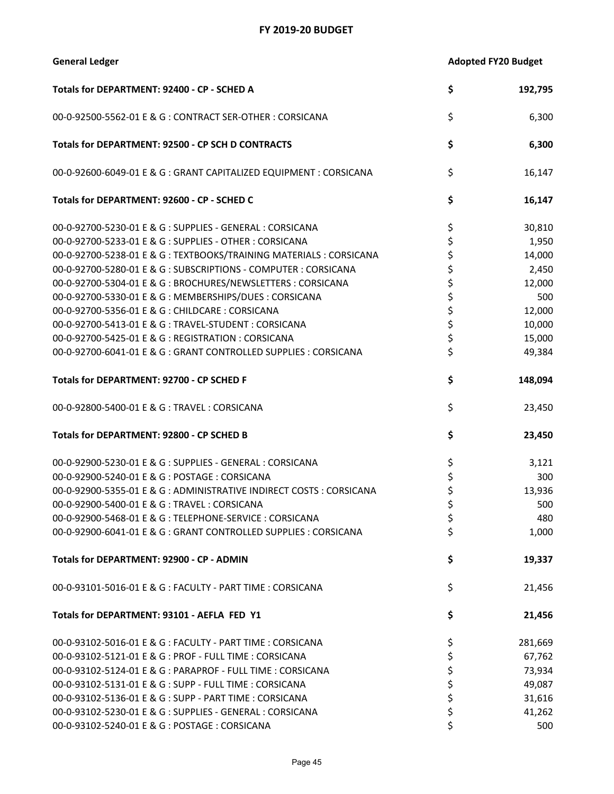| <b>General Ledger</b> | <b>Adopted FY20 Budget</b> |
|-----------------------|----------------------------|
|-----------------------|----------------------------|

| Totals for DEPARTMENT: 92400 - CP - SCHED A                          | \$ | 192,795 |
|----------------------------------------------------------------------|----|---------|
| 00-0-92500-5562-01 E & G : CONTRACT SER-OTHER : CORSICANA            | \$ | 6,300   |
| Totals for DEPARTMENT: 92500 - CP SCH D CONTRACTS                    | \$ | 6,300   |
| 00-0-92600-6049-01 E & G : GRANT CAPITALIZED EQUIPMENT : CORSICANA   | \$ | 16,147  |
| Totals for DEPARTMENT: 92600 - CP - SCHED C                          | \$ | 16,147  |
| 00-0-92700-5230-01 E & G : SUPPLIES - GENERAL : CORSICANA            | \$ | 30,810  |
| 00-0-92700-5233-01 E & G : SUPPLIES - OTHER : CORSICANA              | \$ | 1,950   |
| 00-0-92700-5238-01 E & G : TEXTBOOKS/TRAINING MATERIALS : CORSICANA  | \$ | 14,000  |
| 00-0-92700-5280-01 E & G: SUBSCRIPTIONS - COMPUTER: CORSICANA        | \$ | 2,450   |
| 00-0-92700-5304-01 E & G : BROCHURES/NEWSLETTERS : CORSICANA         | \$ | 12,000  |
| 00-0-92700-5330-01 E & G : MEMBERSHIPS/DUES : CORSICANA              | \$ | 500     |
| 00-0-92700-5356-01 E & G : CHILDCARE : CORSICANA                     | \$ | 12,000  |
| 00-0-92700-5413-01 E & G : TRAVEL-STUDENT : CORSICANA                | \$ | 10,000  |
| 00-0-92700-5425-01 E & G : REGISTRATION : CORSICANA                  | \$ | 15,000  |
| 00-0-92700-6041-01 E & G : GRANT CONTROLLED SUPPLIES : CORSICANA     | \$ | 49,384  |
| Totals for DEPARTMENT: 92700 - CP SCHED F                            | \$ | 148,094 |
| 00-0-92800-5400-01 E & G: TRAVEL: CORSICANA                          | \$ | 23,450  |
| Totals for DEPARTMENT: 92800 - CP SCHED B                            | \$ | 23,450  |
| 00-0-92900-5230-01 E & G : SUPPLIES - GENERAL : CORSICANA            | \$ | 3,121   |
| 00-0-92900-5240-01 E & G : POSTAGE : CORSICANA                       | \$ | 300     |
| 00-0-92900-5355-01 E & G : ADMINISTRATIVE INDIRECT COSTS : CORSICANA | \$ | 13,936  |
| 00-0-92900-5400-01 E & G: TRAVEL: CORSICANA                          | \$ | 500     |
| 00-0-92900-5468-01 E & G : TELEPHONE-SERVICE : CORSICANA             | \$ | 480     |
| 00-0-92900-6041-01 E & G : GRANT CONTROLLED SUPPLIES : CORSICANA     | \$ | 1,000   |
| Totals for DEPARTMENT: 92900 - CP - ADMIN                            | \$ | 19,337  |
| 00-0-93101-5016-01 E & G : FACULTY - PART TIME : CORSICANA           | \$ | 21,456  |
| Totals for DEPARTMENT: 93101 - AEFLA FED Y1                          | \$ | 21,456  |
| 00-0-93102-5016-01 E & G : FACULTY - PART TIME : CORSICANA           | Ş  | 281,669 |
| 00-0-93102-5121-01 E & G : PROF - FULL TIME : CORSICANA              | \$ | 67,762  |
| 00-0-93102-5124-01 E & G : PARAPROF - FULL TIME : CORSICANA          | \$ | 73,934  |
| 00-0-93102-5131-01 E & G : SUPP - FULL TIME : CORSICANA              | \$ | 49,087  |
| 00-0-93102-5136-01 E & G : SUPP - PART TIME : CORSICANA              | \$ | 31,616  |
| 00-0-93102-5230-01 E & G : SUPPLIES - GENERAL : CORSICANA            | \$ | 41,262  |
| 00-0-93102-5240-01 E & G : POSTAGE : CORSICANA                       | \$ | 500     |
|                                                                      |    |         |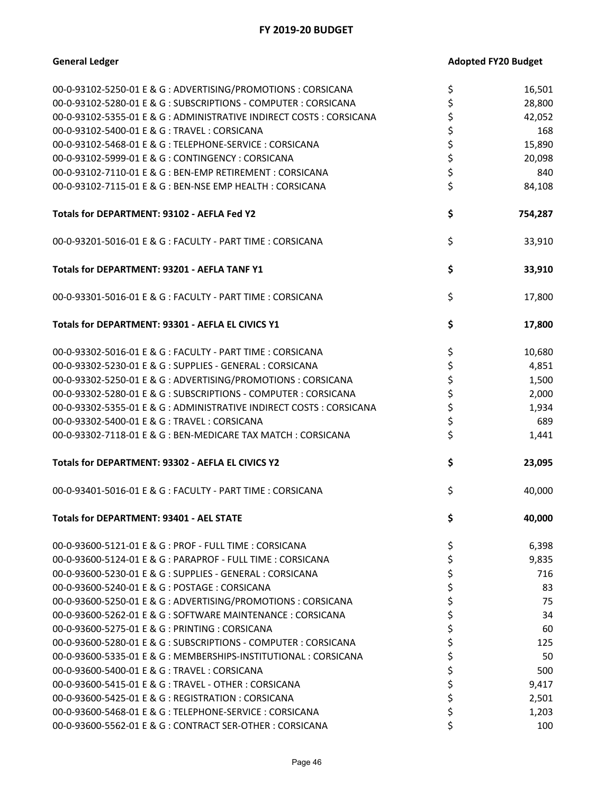| <b>General Ledger</b>                                                | <b>Adopted FY20 Budget</b> |
|----------------------------------------------------------------------|----------------------------|
| 00-0-93102-5250-01 E & G : ADVERTISING/PROMOTIONS : CORSICANA        | \$<br>16,501               |
| 00-0-93102-5280-01 E & G : SUBSCRIPTIONS - COMPUTER : CORSICANA      | \$<br>28,800               |
| 00-0-93102-5355-01 E & G : ADMINISTRATIVE INDIRECT COSTS : CORSICANA | \$<br>42,052               |
| 00-0-93102-5400-01 E & G: TRAVEL: CORSICANA                          | \$<br>168                  |
| 00-0-93102-5468-01 E & G: TELEPHONE-SERVICE: CORSICANA               | \$<br>15,890               |
| 00-0-93102-5999-01 E & G : CONTINGENCY : CORSICANA                   | \$<br>20,098               |
| 00-0-93102-7110-01 E & G : BEN-EMP RETIREMENT : CORSICANA            | \$<br>840                  |
| 00-0-93102-7115-01 E & G : BEN-NSE EMP HEALTH : CORSICANA            | \$<br>84,108               |
| Totals for DEPARTMENT: 93102 - AEFLA Fed Y2                          | \$<br>754,287              |
| 00-0-93201-5016-01 E & G : FACULTY - PART TIME : CORSICANA           | \$<br>33,910               |
| Totals for DEPARTMENT: 93201 - AEFLA TANF Y1                         | \$<br>33,910               |
| 00-0-93301-5016-01 E & G : FACULTY - PART TIME : CORSICANA           | \$<br>17,800               |
| Totals for DEPARTMENT: 93301 - AEFLA EL CIVICS Y1                    | \$<br>17,800               |
| 00-0-93302-5016-01 E & G : FACULTY - PART TIME : CORSICANA           | \$<br>10,680               |
| 00-0-93302-5230-01 E & G : SUPPLIES - GENERAL : CORSICANA            | \$<br>4,851                |
| 00-0-93302-5250-01 E & G : ADVERTISING/PROMOTIONS : CORSICANA        | \$<br>1,500                |
| 00-0-93302-5280-01 E & G : SUBSCRIPTIONS - COMPUTER : CORSICANA      | \$<br>2,000                |
| 00-0-93302-5355-01 E & G : ADMINISTRATIVE INDIRECT COSTS : CORSICANA | \$<br>1,934                |
| 00-0-93302-5400-01 E & G: TRAVEL: CORSICANA                          | \$<br>689                  |
| 00-0-93302-7118-01 E & G : BEN-MEDICARE TAX MATCH : CORSICANA        | \$<br>1,441                |
| Totals for DEPARTMENT: 93302 - AEFLA EL CIVICS Y2                    | \$<br>23,095               |
| 00-0-93401-5016-01 E & G : FACULTY - PART TIME : CORSICANA           | \$<br>40,000               |
| <b>Totals for DEPARTMENT: 93401 - AEL STATE</b>                      | \$<br>40,000               |
| 00-0-93600-5121-01 E & G : PROF - FULL TIME : CORSICANA              | \$<br>6,398                |
| 00-0-93600-5124-01 E & G : PARAPROF - FULL TIME : CORSICANA          | \$<br>9,835                |
| 00-0-93600-5230-01 E & G : SUPPLIES - GENERAL : CORSICANA            | \$<br>716                  |
| 00-0-93600-5240-01 E & G : POSTAGE : CORSICANA                       | \$<br>83                   |
| 00-0-93600-5250-01 E & G : ADVERTISING/PROMOTIONS : CORSICANA        | \$<br>75                   |
| 00-0-93600-5262-01 E & G: SOFTWARE MAINTENANCE: CORSICANA            | \$<br>34                   |
| 00-0-93600-5275-01 E & G : PRINTING : CORSICANA                      | \$<br>60                   |
| 00-0-93600-5280-01 E & G : SUBSCRIPTIONS - COMPUTER : CORSICANA      | \$<br>125                  |
| 00-0-93600-5335-01 E & G : MEMBERSHIPS-INSTITUTIONAL : CORSICANA     | \$<br>50                   |
| 00-0-93600-5400-01 E & G: TRAVEL: CORSICANA                          | \$<br>500                  |
| 00-0-93600-5415-01 E & G : TRAVEL - OTHER : CORSICANA                | \$<br>9,417                |
| 00-0-93600-5425-01 E & G : REGISTRATION : CORSICANA                  | \$<br>2,501                |
| 00-0-93600-5468-01 E & G : TELEPHONE-SERVICE : CORSICANA             | \$<br>1,203                |
| 00-0-93600-5562-01 E & G : CONTRACT SER-OTHER : CORSICANA            | \$<br>100                  |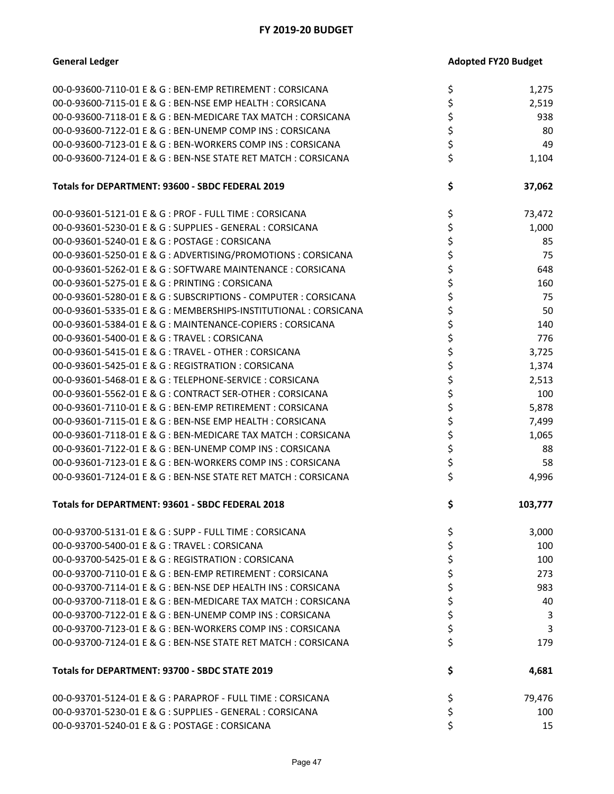| 00-0-93600-7110-01 E & G : BEN-EMP RETIREMENT : CORSICANA        | \$ | 1,275   |
|------------------------------------------------------------------|----|---------|
| 00-0-93600-7115-01 E & G : BEN-NSE EMP HEALTH : CORSICANA        | \$ | 2,519   |
| 00-0-93600-7118-01 E & G : BEN-MEDICARE TAX MATCH : CORSICANA    | \$ | 938     |
| 00-0-93600-7122-01 E & G : BEN-UNEMP COMP INS : CORSICANA        | \$ | 80      |
| 00-0-93600-7123-01 E & G : BEN-WORKERS COMP INS : CORSICANA      | \$ | 49      |
| 00-0-93600-7124-01 E & G : BEN-NSE STATE RET MATCH : CORSICANA   | \$ | 1,104   |
|                                                                  |    |         |
| Totals for DEPARTMENT: 93600 - SBDC FEDERAL 2019                 | \$ | 37,062  |
| 00-0-93601-5121-01 E & G : PROF - FULL TIME : CORSICANA          | \$ | 73,472  |
| 00-0-93601-5230-01 E & G : SUPPLIES - GENERAL : CORSICANA        | \$ | 1,000   |
| 00-0-93601-5240-01 E & G : POSTAGE : CORSICANA                   | \$ | 85      |
| 00-0-93601-5250-01 E & G : ADVERTISING/PROMOTIONS : CORSICANA    | \$ | 75      |
| 00-0-93601-5262-01 E & G : SOFTWARE MAINTENANCE : CORSICANA      | \$ | 648     |
| 00-0-93601-5275-01 E & G : PRINTING : CORSICANA                  | \$ | 160     |
| 00-0-93601-5280-01 E & G : SUBSCRIPTIONS - COMPUTER : CORSICANA  | \$ | 75      |
| 00-0-93601-5335-01 E & G : MEMBERSHIPS-INSTITUTIONAL : CORSICANA | \$ | 50      |
| 00-0-93601-5384-01 E & G : MAINTENANCE-COPIERS : CORSICANA       | \$ | 140     |
|                                                                  |    |         |
| 00-0-93601-5400-01 E & G: TRAVEL: CORSICANA                      | \$ | 776     |
| 00-0-93601-5415-01 E & G : TRAVEL - OTHER : CORSICANA            | \$ | 3,725   |
| 00-0-93601-5425-01 E & G : REGISTRATION : CORSICANA              | \$ | 1,374   |
| 00-0-93601-5468-01 E & G: TELEPHONE-SERVICE: CORSICANA           | \$ | 2,513   |
| 00-0-93601-5562-01 E & G : CONTRACT SER-OTHER : CORSICANA        | \$ | 100     |
| 00-0-93601-7110-01 E & G : BEN-EMP RETIREMENT : CORSICANA        | \$ | 5,878   |
| 00-0-93601-7115-01 E & G : BEN-NSE EMP HEALTH : CORSICANA        | \$ | 7,499   |
| 00-0-93601-7118-01 E & G : BEN-MEDICARE TAX MATCH : CORSICANA    | \$ | 1,065   |
| 00-0-93601-7122-01 E & G : BEN-UNEMP COMP INS : CORSICANA        | \$ | 88      |
| 00-0-93601-7123-01 E & G : BEN-WORKERS COMP INS : CORSICANA      | \$ | 58      |
| 00-0-93601-7124-01 E & G : BEN-NSE STATE RET MATCH : CORSICANA   | \$ | 4,996   |
| Totals for DEPARTMENT: 93601 - SBDC FEDERAL 2018                 | \$ | 103,777 |
| 00-0-93700-5131-01 E & G : SUPP - FULL TIME : CORSICANA          | \$ | 3,000   |
| 00-0-93700-5400-01 E & G: TRAVEL: CORSICANA                      | \$ | 100     |
| 00-0-93700-5425-01 E & G : REGISTRATION : CORSICANA              | \$ | 100     |
| 00-0-93700-7110-01 E & G : BEN-EMP RETIREMENT : CORSICANA        | \$ | 273     |
| 00-0-93700-7114-01 E & G : BEN-NSE DEP HEALTH INS : CORSICANA    | \$ | 983     |
| 00-0-93700-7118-01 E & G : BEN-MEDICARE TAX MATCH : CORSICANA    | \$ | 40      |
| 00-0-93700-7122-01 E & G : BEN-UNEMP COMP INS : CORSICANA        | \$ | 3       |
| 00-0-93700-7123-01 E & G : BEN-WORKERS COMP INS : CORSICANA      | \$ | 3       |
|                                                                  |    |         |
| 00-0-93700-7124-01 E & G : BEN-NSE STATE RET MATCH : CORSICANA   | \$ | 179     |
| Totals for DEPARTMENT: 93700 - SBDC STATE 2019                   | \$ | 4,681   |
| 00-0-93701-5124-01 E & G : PARAPROF - FULL TIME : CORSICANA      | \$ | 79,476  |
| 00-0-93701-5230-01 E & G : SUPPLIES - GENERAL : CORSICANA        | \$ | 100     |
| 00-0-93701-5240-01 E & G : POSTAGE : CORSICANA                   | Ś  | 15      |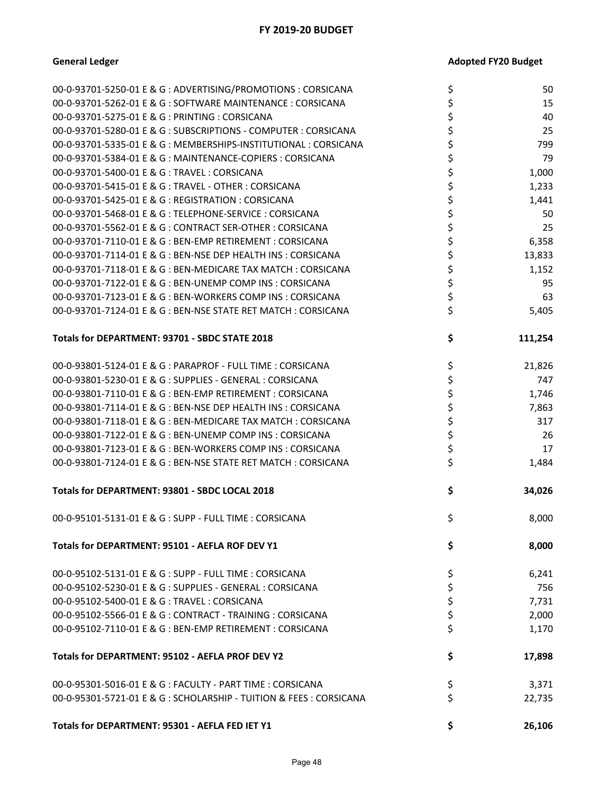| 00-0-93701-5250-01 E & G : ADVERTISING/PROMOTIONS : CORSICANA       | \$<br>50      |
|---------------------------------------------------------------------|---------------|
| 00-0-93701-5262-01 E & G: SOFTWARE MAINTENANCE: CORSICANA           | \$<br>15      |
| 00-0-93701-5275-01 E & G : PRINTING : CORSICANA                     | \$<br>40      |
| 00-0-93701-5280-01 E & G : SUBSCRIPTIONS - COMPUTER : CORSICANA     | \$<br>25      |
| 00-0-93701-5335-01 E & G : MEMBERSHIPS-INSTITUTIONAL : CORSICANA    | \$<br>799     |
| 00-0-93701-5384-01 E & G : MAINTENANCE-COPIERS : CORSICANA          | \$<br>79      |
| 00-0-93701-5400-01 E & G: TRAVEL: CORSICANA                         | \$<br>1,000   |
| 00-0-93701-5415-01 E & G : TRAVEL - OTHER : CORSICANA               | \$<br>1,233   |
| 00-0-93701-5425-01 E & G : REGISTRATION : CORSICANA                 | \$<br>1,441   |
| 00-0-93701-5468-01 E & G : TELEPHONE-SERVICE : CORSICANA            | \$<br>50      |
| 00-0-93701-5562-01 E & G : CONTRACT SER-OTHER : CORSICANA           | \$<br>25      |
| 00-0-93701-7110-01 E & G : BEN-EMP RETIREMENT : CORSICANA           | \$<br>6,358   |
| 00-0-93701-7114-01 E & G : BEN-NSE DEP HEALTH INS : CORSICANA       | \$<br>13,833  |
| 00-0-93701-7118-01 E & G : BEN-MEDICARE TAX MATCH : CORSICANA       | \$<br>1,152   |
| 00-0-93701-7122-01 E & G : BEN-UNEMP COMP INS : CORSICANA           | \$<br>95      |
| 00-0-93701-7123-01 E & G : BEN-WORKERS COMP INS : CORSICANA         | \$<br>63      |
| 00-0-93701-7124-01 E & G : BEN-NSE STATE RET MATCH : CORSICANA      | \$<br>5,405   |
|                                                                     |               |
| Totals for DEPARTMENT: 93701 - SBDC STATE 2018                      | \$<br>111,254 |
| 00-0-93801-5124-01 E & G : PARAPROF - FULL TIME : CORSICANA         | \$<br>21,826  |
| 00-0-93801-5230-01 E & G : SUPPLIES - GENERAL : CORSICANA           | \$<br>747     |
| 00-0-93801-7110-01 E & G : BEN-EMP RETIREMENT : CORSICANA           | \$<br>1,746   |
| 00-0-93801-7114-01 E & G : BEN-NSE DEP HEALTH INS : CORSICANA       | \$<br>7,863   |
| 00-0-93801-7118-01 E & G : BEN-MEDICARE TAX MATCH : CORSICANA       | \$<br>317     |
| 00-0-93801-7122-01 E & G : BEN-UNEMP COMP INS : CORSICANA           | \$<br>26      |
| 00-0-93801-7123-01 E & G : BEN-WORKERS COMP INS : CORSICANA         | \$<br>17      |
| 00-0-93801-7124-01 E & G : BEN-NSE STATE RET MATCH : CORSICANA      | \$<br>1,484   |
| Totals for DEPARTMENT: 93801 - SBDC LOCAL 2018                      | \$<br>34,026  |
| 00-0-95101-5131-01 E & G : SUPP - FULL TIME : CORSICANA             | \$<br>8,000   |
| Totals for DEPARTMENT: 95101 - AEFLA ROF DEV Y1                     | \$<br>8,000   |
| 00-0-95102-5131-01 E & G : SUPP - FULL TIME : CORSICANA             | \$<br>6,241   |
| 00-0-95102-5230-01 E & G : SUPPLIES - GENERAL : CORSICANA           | \$<br>756     |
| 00-0-95102-5400-01 E & G: TRAVEL: CORSICANA                         | \$<br>7,731   |
| 00-0-95102-5566-01 E & G : CONTRACT - TRAINING : CORSICANA          | \$<br>2,000   |
| 00-0-95102-7110-01 E & G : BEN-EMP RETIREMENT : CORSICANA           | \$<br>1,170   |
| Totals for DEPARTMENT: 95102 - AEFLA PROF DEV Y2                    | \$<br>17,898  |
| 00-0-95301-5016-01 E & G : FACULTY - PART TIME : CORSICANA          | \$<br>3,371   |
| 00-0-95301-5721-01 E & G : SCHOLARSHIP - TUITION & FEES : CORSICANA | \$<br>22,735  |
| Totals for DEPARTMENT: 95301 - AEFLA FED IET Y1                     | \$<br>26,106  |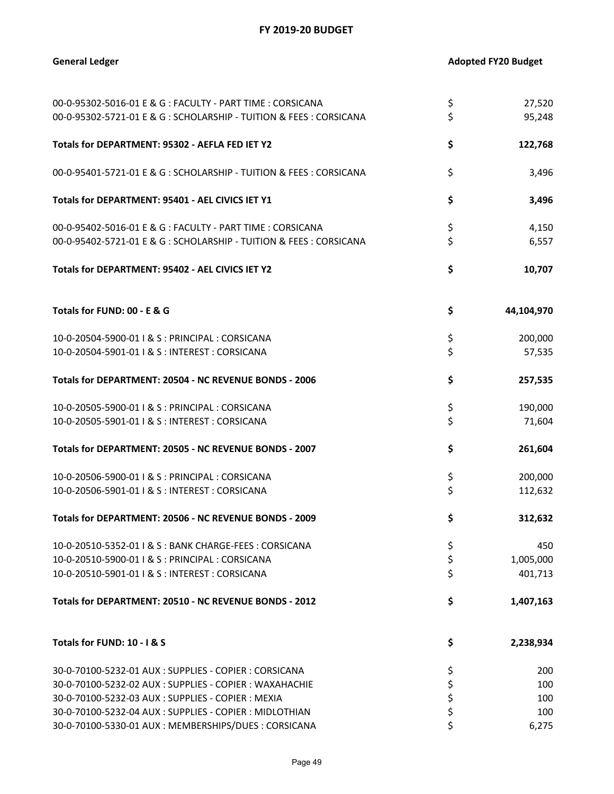| 00-0-95302-5016-01 E & G : FACULTY - PART TIME : CORSICANA          | \$<br>27,520     |
|---------------------------------------------------------------------|------------------|
| 00-0-95302-5721-01 E & G: SCHOLARSHIP - TUITION & FEES: CORSICANA   | \$<br>95,248     |
| Totals for DEPARTMENT: 95302 - AEFLA FED IET Y2                     | \$<br>122,768    |
| 00-0-95401-5721-01 E & G : SCHOLARSHIP - TUITION & FEES : CORSICANA | \$<br>3,496      |
| Totals for DEPARTMENT: 95401 - AEL CIVICS IET Y1                    | \$<br>3,496      |
| 00-0-95402-5016-01 E & G : FACULTY - PART TIME : CORSICANA          | \$<br>4,150      |
| 00-0-95402-5721-01 E & G: SCHOLARSHIP - TUITION & FEES: CORSICANA   | \$<br>6,557      |
| Totals for DEPARTMENT: 95402 - AEL CIVICS IET Y2                    | \$<br>10,707     |
| Totals for FUND: 00 - E & G                                         | \$<br>44,104,970 |
| 10-0-20504-5900-01   & S : PRINCIPAL : CORSICANA                    | \$<br>200,000    |
| 10-0-20504-5901-01   & S : INTEREST : CORSICANA                     | \$<br>57,535     |
| Totals for DEPARTMENT: 20504 - NC REVENUE BONDS - 2006              | \$<br>257,535    |
| 10-0-20505-5900-01   & S : PRINCIPAL : CORSICANA                    | \$<br>190,000    |
| 10-0-20505-5901-01   & S : INTEREST : CORSICANA                     | \$<br>71,604     |
| Totals for DEPARTMENT: 20505 - NC REVENUE BONDS - 2007              | \$<br>261,604    |
| 10-0-20506-5900-01   & S : PRINCIPAL : CORSICANA                    | \$<br>200,000    |
| 10-0-20506-5901-01   & S : INTEREST : CORSICANA                     | \$<br>112,632    |
| Totals for DEPARTMENT: 20506 - NC REVENUE BONDS - 2009              | \$<br>312,632    |
| 10-0-20510-5352-01   & S : BANK CHARGE-FEES : CORSICANA             | \$<br>450        |
| 10-0-20510-5900-01   & S : PRINCIPAL : CORSICANA                    | \$<br>1,005,000  |
| 10-0-20510-5901-01   & S : INTEREST : CORSICANA                     | \$<br>401,713    |
| Totals for DEPARTMENT: 20510 - NC REVENUE BONDS - 2012              | \$<br>1,407,163  |
| Totals for FUND: 10 - I & S                                         | \$<br>2,238,934  |
| 30-0-70100-5232-01 AUX : SUPPLIES - COPIER : CORSICANA              | \$<br>200        |
| 30-0-70100-5232-02 AUX : SUPPLIES - COPIER : WAXAHACHIE             | \$<br>100        |
| 30-0-70100-5232-03 AUX: SUPPLIES - COPIER: MEXIA                    | \$<br>100        |
| 30-0-70100-5232-04 AUX : SUPPLIES - COPIER : MIDLOTHIAN             | \$<br>100        |
| 30-0-70100-5330-01 AUX : MEMBERSHIPS/DUES : CORSICANA               | \$<br>6,275      |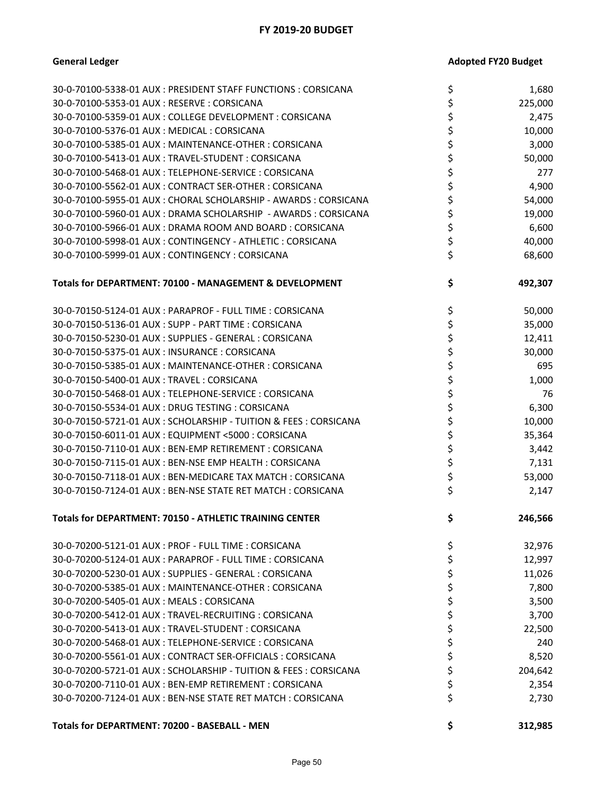| <b>Adopted FY20 Budget</b> |
|----------------------------|
|                            |

| 30-0-70100-5338-01 AUX : PRESIDENT STAFF FUNCTIONS : CORSICANA    | \$<br>1,680   |
|-------------------------------------------------------------------|---------------|
| 30-0-70100-5353-01 AUX: RESERVE: CORSICANA                        | \$<br>225,000 |
| 30-0-70100-5359-01 AUX : COLLEGE DEVELOPMENT : CORSICANA          | \$<br>2,475   |
| 30-0-70100-5376-01 AUX: MEDICAL: CORSICANA                        | \$<br>10,000  |
| 30-0-70100-5385-01 AUX : MAINTENANCE-OTHER : CORSICANA            | \$<br>3,000   |
| 30-0-70100-5413-01 AUX : TRAVEL-STUDENT : CORSICANA               | \$<br>50,000  |
| 30-0-70100-5468-01 AUX: TELEPHONE-SERVICE: CORSICANA              | \$<br>277     |
| 30-0-70100-5562-01 AUX: CONTRACT SER-OTHER: CORSICANA             | \$<br>4,900   |
| 30-0-70100-5955-01 AUX : CHORAL SCHOLARSHIP - AWARDS : CORSICANA  | \$<br>54,000  |
| 30-0-70100-5960-01 AUX : DRAMA SCHOLARSHIP - AWARDS : CORSICANA   | \$<br>19,000  |
| 30-0-70100-5966-01 AUX : DRAMA ROOM AND BOARD : CORSICANA         | \$<br>6,600   |
| 30-0-70100-5998-01 AUX: CONTINGENCY - ATHLETIC: CORSICANA         | \$<br>40,000  |
| 30-0-70100-5999-01 AUX: CONTINGENCY: CORSICANA                    | \$<br>68,600  |
| Totals for DEPARTMENT: 70100 - MANAGEMENT & DEVELOPMENT           | \$<br>492,307 |
| 30-0-70150-5124-01 AUX: PARAPROF - FULL TIME: CORSICANA           | \$<br>50,000  |
| 30-0-70150-5136-01 AUX: SUPP - PART TIME: CORSICANA               | \$<br>35,000  |
| 30-0-70150-5230-01 AUX: SUPPLIES - GENERAL: CORSICANA             | \$<br>12,411  |
| 30-0-70150-5375-01 AUX: INSURANCE: CORSICANA                      | \$<br>30,000  |
| 30-0-70150-5385-01 AUX: MAINTENANCE-OTHER: CORSICANA              | \$<br>695     |
| 30-0-70150-5400-01 AUX: TRAVEL: CORSICANA                         | \$<br>1,000   |
| 30-0-70150-5468-01 AUX : TELEPHONE-SERVICE : CORSICANA            | \$<br>76      |
| 30-0-70150-5534-01 AUX: DRUG TESTING: CORSICANA                   | \$<br>6,300   |
| 30-0-70150-5721-01 AUX: SCHOLARSHIP - TUITION & FEES: CORSICANA   | \$<br>10,000  |
| 30-0-70150-6011-01 AUX : EQUIPMENT <5000 : CORSICANA              | \$<br>35,364  |
| 30-0-70150-7110-01 AUX: BEN-EMP RETIREMENT: CORSICANA             | \$<br>3,442   |
| 30-0-70150-7115-01 AUX: BEN-NSE EMP HEALTH: CORSICANA             | \$<br>7,131   |
| 30-0-70150-7118-01 AUX: BEN-MEDICARE TAX MATCH: CORSICANA         | \$<br>53,000  |
| 30-0-70150-7124-01 AUX: BEN-NSE STATE RET MATCH: CORSICANA        | \$<br>2,147   |
| Totals for DEPARTMENT: 70150 - ATHLETIC TRAINING CENTER           | \$<br>246,566 |
| 30-0-70200-5121-01 AUX : PROF - FULL TIME : CORSICANA             | \$<br>32,976  |
| 30-0-70200-5124-01 AUX : PARAPROF - FULL TIME : CORSICANA         | \$<br>12,997  |
| 30-0-70200-5230-01 AUX : SUPPLIES - GENERAL : CORSICANA           | \$<br>11,026  |
| 30-0-70200-5385-01 AUX : MAINTENANCE-OTHER : CORSICANA            | \$<br>7,800   |
| 30-0-70200-5405-01 AUX : MEALS : CORSICANA                        | \$<br>3,500   |
| 30-0-70200-5412-01 AUX : TRAVEL-RECRUITING : CORSICANA            | \$<br>3,700   |
| 30-0-70200-5413-01 AUX: TRAVEL-STUDENT: CORSICANA                 | \$<br>22,500  |
| 30-0-70200-5468-01 AUX: TELEPHONE-SERVICE: CORSICANA              | \$<br>240     |
| 30-0-70200-5561-01 AUX: CONTRACT SER-OFFICIALS: CORSICANA         | \$<br>8,520   |
| 30-0-70200-5721-01 AUX : SCHOLARSHIP - TUITION & FEES : CORSICANA | \$<br>204,642 |
| 30-0-70200-7110-01 AUX : BEN-EMP RETIREMENT : CORSICANA           | \$<br>2,354   |
| 30-0-70200-7124-01 AUX: BEN-NSE STATE RET MATCH: CORSICANA        | \$<br>2,730   |
| Totals for DEPARTMENT: 70200 - BASEBALL - MEN                     | \$<br>312,985 |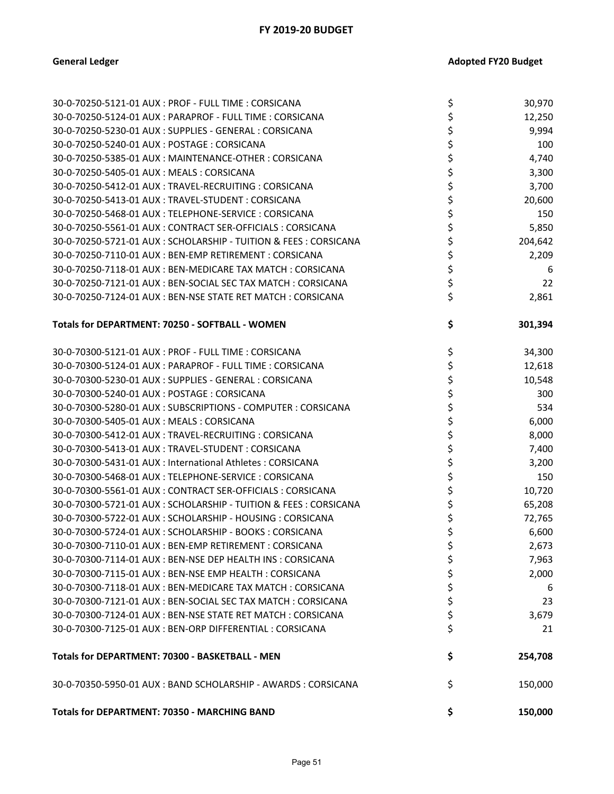| 30-0-70250-5121-01 AUX: PROF - FULL TIME: CORSICANA             | \$<br>30,970  |
|-----------------------------------------------------------------|---------------|
| 30-0-70250-5124-01 AUX : PARAPROF - FULL TIME : CORSICANA       | \$<br>12,250  |
| 30-0-70250-5230-01 AUX : SUPPLIES - GENERAL : CORSICANA         | \$<br>9,994   |
| 30-0-70250-5240-01 AUX: POSTAGE: CORSICANA                      | \$<br>100     |
| 30-0-70250-5385-01 AUX : MAINTENANCE-OTHER : CORSICANA          | \$<br>4,740   |
| 30-0-70250-5405-01 AUX: MEALS: CORSICANA                        | \$<br>3,300   |
| 30-0-70250-5412-01 AUX : TRAVEL-RECRUITING : CORSICANA          | \$<br>3,700   |
| 30-0-70250-5413-01 AUX: TRAVEL-STUDENT: CORSICANA               | \$<br>20,600  |
| 30-0-70250-5468-01 AUX: TELEPHONE-SERVICE: CORSICANA            | \$<br>150     |
| 30-0-70250-5561-01 AUX: CONTRACT SER-OFFICIALS: CORSICANA       | \$<br>5,850   |
| 30-0-70250-5721-01 AUX: SCHOLARSHIP - TUITION & FEES: CORSICANA | \$<br>204,642 |
| 30-0-70250-7110-01 AUX: BEN-EMP RETIREMENT: CORSICANA           | \$<br>2,209   |
| 30-0-70250-7118-01 AUX: BEN-MEDICARE TAX MATCH: CORSICANA       | \$<br>6       |
| 30-0-70250-7121-01 AUX : BEN-SOCIAL SEC TAX MATCH : CORSICANA   | \$<br>22      |
| 30-0-70250-7124-01 AUX: BEN-NSE STATE RET MATCH: CORSICANA      | \$<br>2,861   |
|                                                                 |               |
| Totals for DEPARTMENT: 70250 - SOFTBALL - WOMEN                 | \$<br>301,394 |
| 30-0-70300-5121-01 AUX: PROF - FULL TIME: CORSICANA             | \$<br>34,300  |
| 30-0-70300-5124-01 AUX : PARAPROF - FULL TIME : CORSICANA       | \$<br>12,618  |
| 30-0-70300-5230-01 AUX : SUPPLIES - GENERAL : CORSICANA         | \$<br>10,548  |
| 30-0-70300-5240-01 AUX: POSTAGE: CORSICANA                      | \$<br>300     |
| 30-0-70300-5280-01 AUX : SUBSCRIPTIONS - COMPUTER : CORSICANA   | \$<br>534     |
| 30-0-70300-5405-01 AUX: MEALS: CORSICANA                        | \$<br>6,000   |
| 30-0-70300-5412-01 AUX : TRAVEL-RECRUITING : CORSICANA          | \$<br>8,000   |
| 30-0-70300-5413-01 AUX: TRAVEL-STUDENT: CORSICANA               | \$<br>7,400   |
| 30-0-70300-5431-01 AUX : International Athletes : CORSICANA     | \$<br>3,200   |
| 30-0-70300-5468-01 AUX : TELEPHONE-SERVICE : CORSICANA          | \$<br>150     |
| 30-0-70300-5561-01 AUX: CONTRACT SER-OFFICIALS: CORSICANA       | \$<br>10,720  |
| 30-0-70300-5721-01 AUX: SCHOLARSHIP - TUITION & FEES: CORSICANA | \$<br>65,208  |
| 30-0-70300-5722-01 AUX : SCHOLARSHIP - HOUSING : CORSICANA      | \$<br>72,765  |
| 30-0-70300-5724-01 AUX: SCHOLARSHIP - BOOKS: CORSICANA          | \$<br>6,600   |
| 30-0-70300-7110-01 AUX : BEN-EMP RETIREMENT : CORSICANA         | \$<br>2,673   |
| 30-0-70300-7114-01 AUX : BEN-NSE DEP HEALTH INS : CORSICANA     | \$<br>7,963   |
| 30-0-70300-7115-01 AUX : BEN-NSE EMP HEALTH : CORSICANA         | \$<br>2,000   |
| 30-0-70300-7118-01 AUX: BEN-MEDICARE TAX MATCH: CORSICANA       | \$<br>6       |
| 30-0-70300-7121-01 AUX : BEN-SOCIAL SEC TAX MATCH : CORSICANA   | \$<br>23      |
| 30-0-70300-7124-01 AUX : BEN-NSE STATE RET MATCH : CORSICANA    | \$<br>3,679   |
| 30-0-70300-7125-01 AUX: BEN-ORP DIFFERENTIAL: CORSICANA         | \$<br>21      |
| Totals for DEPARTMENT: 70300 - BASKETBALL - MEN                 | \$<br>254,708 |
| 30-0-70350-5950-01 AUX: BAND SCHOLARSHIP - AWARDS: CORSICANA    | \$<br>150,000 |
| Totals for DEPARTMENT: 70350 - MARCHING BAND                    | \$<br>150,000 |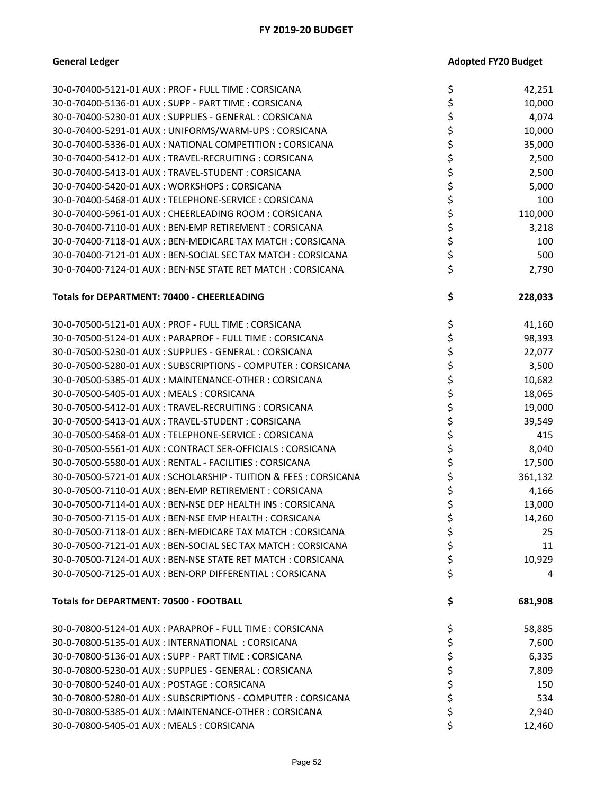| 30-0-70400-5121-01 AUX: PROF - FULL TIME: CORSICANA             | \$ | 42,251  |
|-----------------------------------------------------------------|----|---------|
| 30-0-70400-5136-01 AUX : SUPP - PART TIME : CORSICANA           | \$ | 10,000  |
| 30-0-70400-5230-01 AUX : SUPPLIES - GENERAL : CORSICANA         | \$ | 4,074   |
| 30-0-70400-5291-01 AUX: UNIFORMS/WARM-UPS: CORSICANA            | \$ | 10,000  |
| 30-0-70400-5336-01 AUX: NATIONAL COMPETITION: CORSICANA         | \$ | 35,000  |
| 30-0-70400-5412-01 AUX : TRAVEL-RECRUITING : CORSICANA          | \$ | 2,500   |
| 30-0-70400-5413-01 AUX: TRAVEL-STUDENT: CORSICANA               | \$ | 2,500   |
| 30-0-70400-5420-01 AUX: WORKSHOPS: CORSICANA                    | \$ | 5,000   |
| 30-0-70400-5468-01 AUX: TELEPHONE-SERVICE: CORSICANA            | \$ | 100     |
| 30-0-70400-5961-01 AUX: CHEERLEADING ROOM: CORSICANA            | \$ | 110,000 |
| 30-0-70400-7110-01 AUX: BEN-EMP RETIREMENT: CORSICANA           | \$ | 3,218   |
| 30-0-70400-7118-01 AUX: BEN-MEDICARE TAX MATCH: CORSICANA       | \$ | 100     |
| 30-0-70400-7121-01 AUX: BEN-SOCIAL SEC TAX MATCH: CORSICANA     | \$ | 500     |
| 30-0-70400-7124-01 AUX: BEN-NSE STATE RET MATCH: CORSICANA      | \$ | 2,790   |
|                                                                 |    |         |
| <b>Totals for DEPARTMENT: 70400 - CHEERLEADING</b>              | \$ | 228,033 |
| 30-0-70500-5121-01 AUX: PROF - FULL TIME: CORSICANA             | \$ | 41,160  |
| 30-0-70500-5124-01 AUX: PARAPROF - FULL TIME: CORSICANA         | \$ | 98,393  |
| 30-0-70500-5230-01 AUX : SUPPLIES - GENERAL : CORSICANA         | \$ | 22,077  |
| 30-0-70500-5280-01 AUX : SUBSCRIPTIONS - COMPUTER : CORSICANA   | \$ | 3,500   |
| 30-0-70500-5385-01 AUX : MAINTENANCE-OTHER : CORSICANA          | \$ | 10,682  |
| 30-0-70500-5405-01 AUX: MEALS: CORSICANA                        | \$ | 18,065  |
| 30-0-70500-5412-01 AUX: TRAVEL-RECRUITING: CORSICANA            | \$ | 19,000  |
| 30-0-70500-5413-01 AUX: TRAVEL-STUDENT: CORSICANA               | \$ | 39,549  |
| 30-0-70500-5468-01 AUX: TELEPHONE-SERVICE: CORSICANA            | \$ | 415     |
| 30-0-70500-5561-01 AUX: CONTRACT SER-OFFICIALS: CORSICANA       | \$ | 8,040   |
| 30-0-70500-5580-01 AUX: RENTAL - FACILITIES: CORSICANA          | \$ | 17,500  |
| 30-0-70500-5721-01 AUX: SCHOLARSHIP - TUITION & FEES: CORSICANA | \$ | 361,132 |
| 30-0-70500-7110-01 AUX: BEN-EMP RETIREMENT: CORSICANA           | \$ | 4,166   |
| 30-0-70500-7114-01 AUX: BEN-NSE DEP HEALTH INS: CORSICANA       | \$ | 13,000  |
| 30-0-70500-7115-01 AUX : BEN-NSE EMP HEALTH : CORSICANA         | \$ | 14,260  |
| 30-0-70500-7118-01 AUX: BEN-MEDICARE TAX MATCH: CORSICANA       | Ś  | 25      |
| 30-0-70500-7121-01 AUX: BEN-SOCIAL SEC TAX MATCH: CORSICANA     | \$ | 11      |
| 30-0-70500-7124-01 AUX: BEN-NSE STATE RET MATCH: CORSICANA      | \$ | 10,929  |
| 30-0-70500-7125-01 AUX : BEN-ORP DIFFERENTIAL : CORSICANA       | \$ | 4       |
| <b>Totals for DEPARTMENT: 70500 - FOOTBALL</b>                  | \$ | 681,908 |
| 30-0-70800-5124-01 AUX: PARAPROF - FULL TIME: CORSICANA         | \$ | 58,885  |
| 30-0-70800-5135-01 AUX : INTERNATIONAL : CORSICANA              | \$ | 7,600   |
| 30-0-70800-5136-01 AUX : SUPP - PART TIME : CORSICANA           | \$ | 6,335   |
| 30-0-70800-5230-01 AUX : SUPPLIES - GENERAL : CORSICANA         | \$ | 7,809   |
| 30-0-70800-5240-01 AUX: POSTAGE: CORSICANA                      | \$ | 150     |
| 30-0-70800-5280-01 AUX : SUBSCRIPTIONS - COMPUTER : CORSICANA   | \$ | 534     |
| 30-0-70800-5385-01 AUX : MAINTENANCE-OTHER : CORSICANA          | \$ | 2,940   |
| 30-0-70800-5405-01 AUX: MEALS: CORSICANA                        | \$ | 12,460  |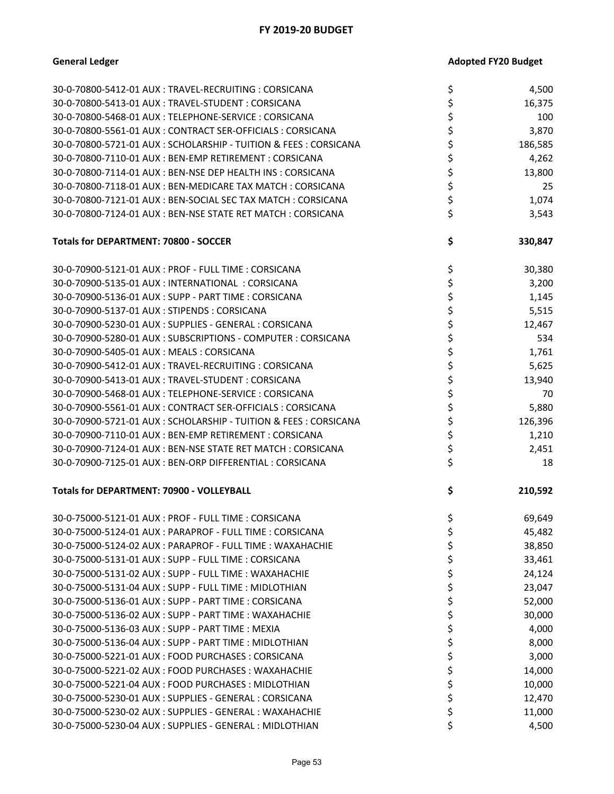| 30-0-70800-5412-01 AUX : TRAVEL-RECRUITING : CORSICANA            | \$<br>4,500   |
|-------------------------------------------------------------------|---------------|
| 30-0-70800-5413-01 AUX: TRAVEL-STUDENT: CORSICANA                 | \$<br>16,375  |
| 30-0-70800-5468-01 AUX : TELEPHONE-SERVICE : CORSICANA            | \$<br>100     |
| 30-0-70800-5561-01 AUX : CONTRACT SER-OFFICIALS : CORSICANA       | \$<br>3,870   |
| 30-0-70800-5721-01 AUX : SCHOLARSHIP - TUITION & FEES : CORSICANA | \$<br>186,585 |
| 30-0-70800-7110-01 AUX : BEN-EMP RETIREMENT : CORSICANA           | \$<br>4,262   |
| 30-0-70800-7114-01 AUX : BEN-NSE DEP HEALTH INS : CORSICANA       | \$<br>13,800  |
| 30-0-70800-7118-01 AUX: BEN-MEDICARE TAX MATCH: CORSICANA         | \$<br>25      |
| 30-0-70800-7121-01 AUX: BEN-SOCIAL SEC TAX MATCH: CORSICANA       | \$<br>1,074   |
| 30-0-70800-7124-01 AUX: BEN-NSE STATE RET MATCH: CORSICANA        | \$<br>3,543   |
| <b>Totals for DEPARTMENT: 70800 - SOCCER</b>                      | \$<br>330,847 |
| 30-0-70900-5121-01 AUX: PROF - FULL TIME: CORSICANA               | \$<br>30,380  |
| 30-0-70900-5135-01 AUX : INTERNATIONAL : CORSICANA                | \$<br>3,200   |
| 30-0-70900-5136-01 AUX : SUPP - PART TIME : CORSICANA             | \$<br>1,145   |
| 30-0-70900-5137-01 AUX: STIPENDS: CORSICANA                       | \$<br>5,515   |
| 30-0-70900-5230-01 AUX : SUPPLIES - GENERAL : CORSICANA           | \$<br>12,467  |
| 30-0-70900-5280-01 AUX : SUBSCRIPTIONS - COMPUTER : CORSICANA     | \$<br>534     |
| 30-0-70900-5405-01 AUX : MEALS : CORSICANA                        | \$<br>1,761   |
| 30-0-70900-5412-01 AUX : TRAVEL-RECRUITING : CORSICANA            | \$<br>5,625   |
| 30-0-70900-5413-01 AUX: TRAVEL-STUDENT: CORSICANA                 | \$<br>13,940  |
| 30-0-70900-5468-01 AUX : TELEPHONE-SERVICE : CORSICANA            | \$<br>70      |
| 30-0-70900-5561-01 AUX : CONTRACT SER-OFFICIALS : CORSICANA       | \$<br>5,880   |
| 30-0-70900-5721-01 AUX : SCHOLARSHIP - TUITION & FEES : CORSICANA | \$<br>126,396 |
| 30-0-70900-7110-01 AUX : BEN-EMP RETIREMENT : CORSICANA           | \$<br>1,210   |
| 30-0-70900-7124-01 AUX: BEN-NSE STATE RET MATCH: CORSICANA        | \$<br>2,451   |
| 30-0-70900-7125-01 AUX: BEN-ORP DIFFERENTIAL: CORSICANA           | \$<br>18      |
| Totals for DEPARTMENT: 70900 - VOLLEYBALL                         | \$<br>210,592 |
| 30-0-75000-5121-01 AUX: PROF - FULL TIME: CORSICANA               | \$<br>69,649  |
| 30-0-75000-5124-01 AUX: PARAPROF - FULL TIME: CORSICANA           | \$<br>45,482  |
| 30-0-75000-5124-02 AUX : PARAPROF - FULL TIME : WAXAHACHIE        | \$<br>38,850  |
| 30-0-75000-5131-01 AUX: SUPP - FULL TIME: CORSICANA               | \$<br>33,461  |
| 30-0-75000-5131-02 AUX: SUPP - FULL TIME: WAXAHACHIE              | \$<br>24,124  |
| 30-0-75000-5131-04 AUX : SUPP - FULL TIME : MIDLOTHIAN            | \$<br>23,047  |
| 30-0-75000-5136-01 AUX: SUPP - PART TIME: CORSICANA               | \$<br>52,000  |
| 30-0-75000-5136-02 AUX : SUPP - PART TIME : WAXAHACHIE            | \$<br>30,000  |
| 30-0-75000-5136-03 AUX: SUPP - PART TIME: MEXIA                   | \$<br>4,000   |
| 30-0-75000-5136-04 AUX: SUPP - PART TIME: MIDLOTHIAN              | \$<br>8,000   |
| 30-0-75000-5221-01 AUX : FOOD PURCHASES : CORSICANA               | \$<br>3,000   |
| 30-0-75000-5221-02 AUX : FOOD PURCHASES : WAXAHACHIE              | \$<br>14,000  |
| 30-0-75000-5221-04 AUX : FOOD PURCHASES : MIDLOTHIAN              | \$<br>10,000  |
| 30-0-75000-5230-01 AUX: SUPPLIES - GENERAL: CORSICANA             | \$<br>12,470  |
| 30-0-75000-5230-02 AUX : SUPPLIES - GENERAL : WAXAHACHIE          | \$<br>11,000  |
| 30-0-75000-5230-04 AUX : SUPPLIES - GENERAL : MIDLOTHIAN          | \$<br>4,500   |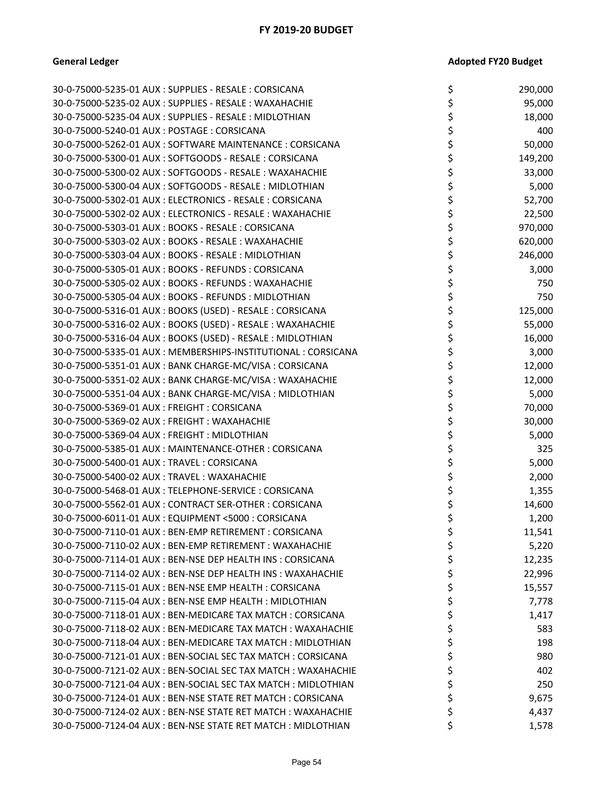| 30-0-75000-5235-01 AUX : SUPPLIES - RESALE : CORSICANA         | \$<br>290,000 |
|----------------------------------------------------------------|---------------|
| 30-0-75000-5235-02 AUX : SUPPLIES - RESALE : WAXAHACHIE        | \$<br>95,000  |
| 30-0-75000-5235-04 AUX: SUPPLIES - RESALE: MIDLOTHIAN          | \$<br>18,000  |
| 30-0-75000-5240-01 AUX: POSTAGE: CORSICANA                     | 400           |
| 30-0-75000-5262-01 AUX: SOFTWARE MAINTENANCE: CORSICANA        | \$<br>50,000  |
| 30-0-75000-5300-01 AUX: SOFTGOODS - RESALE: CORSICANA          | \$<br>149,200 |
| 30-0-75000-5300-02 AUX: SOFTGOODS - RESALE: WAXAHACHIE         | \$<br>33,000  |
| 30-0-75000-5300-04 AUX: SOFTGOODS - RESALE: MIDLOTHIAN         | \$<br>5,000   |
| 30-0-75000-5302-01 AUX : ELECTRONICS - RESALE : CORSICANA      | \$<br>52,700  |
| 30-0-75000-5302-02 AUX : ELECTRONICS - RESALE : WAXAHACHIE     | 22,500        |
| 30-0-75000-5303-01 AUX: BOOKS - RESALE: CORSICANA              | \$<br>970,000 |
| 30-0-75000-5303-02 AUX : BOOKS - RESALE : WAXAHACHIE           | \$<br>620,000 |
| 30-0-75000-5303-04 AUX: BOOKS - RESALE: MIDLOTHIAN             | 246,000       |
| 30-0-75000-5305-01 AUX: BOOKS - REFUNDS: CORSICANA             | \$<br>3,000   |
| 30-0-75000-5305-02 AUX : BOOKS - REFUNDS : WAXAHACHIE          | \$<br>750     |
| 30-0-75000-5305-04 AUX : BOOKS - REFUNDS : MIDLOTHIAN          | \$<br>750     |
| 30-0-75000-5316-01 AUX: BOOKS (USED) - RESALE: CORSICANA       | \$<br>125,000 |
| 30-0-75000-5316-02 AUX: BOOKS (USED) - RESALE: WAXAHACHIE      | \$<br>55,000  |
| 30-0-75000-5316-04 AUX : BOOKS (USED) - RESALE : MIDLOTHIAN    | \$<br>16,000  |
| 30-0-75000-5335-01 AUX: MEMBERSHIPS-INSTITUTIONAL: CORSICANA   | 3,000         |
| 30-0-75000-5351-01 AUX: BANK CHARGE-MC/VISA: CORSICANA         | \$<br>12,000  |
| 30-0-75000-5351-02 AUX: BANK CHARGE-MC/VISA: WAXAHACHIE        | \$<br>12,000  |
| 30-0-75000-5351-04 AUX: BANK CHARGE-MC/VISA: MIDLOTHIAN        | 5,000         |
| 30-0-75000-5369-01 AUX: FREIGHT: CORSICANA                     | \$<br>70,000  |
| 30-0-75000-5369-02 AUX: FREIGHT: WAXAHACHIE                    | \$<br>30,000  |
| 30-0-75000-5369-04 AUX : FREIGHT : MIDLOTHIAN                  | \$<br>5,000   |
| 30-0-75000-5385-01 AUX: MAINTENANCE-OTHER: CORSICANA           | \$<br>325     |
| 30-0-75000-5400-01 AUX: TRAVEL: CORSICANA                      | \$<br>5,000   |
| 30-0-75000-5400-02 AUX : TRAVEL : WAXAHACHIE                   | \$<br>2,000   |
| 30-0-75000-5468-01 AUX: TELEPHONE-SERVICE: CORSICANA           | \$<br>1,355   |
| 30-0-75000-5562-01 AUX: CONTRACT SER-OTHER: CORSICANA          | \$<br>14,600  |
| 30-0-75000-6011-01 AUX : EQUIPMENT <5000 : CORSICANA           | \$<br>1,200   |
| 30-0-75000-7110-01 AUX : BEN-EMP RETIREMENT : CORSICANA        | 11,541        |
| 30-0-75000-7110-02 AUX : BEN-EMP RETIREMENT : WAXAHACHIE       | \$<br>5,220   |
| 30-0-75000-7114-01 AUX : BEN-NSE DEP HEALTH INS : CORSICANA    | \$<br>12,235  |
| 30-0-75000-7114-02 AUX : BEN-NSE DEP HEALTH INS : WAXAHACHIE   | \$<br>22,996  |
| 30-0-75000-7115-01 AUX: BEN-NSE EMP HEALTH: CORSICANA          | \$<br>15,557  |
| 30-0-75000-7115-04 AUX : BEN-NSE EMP HEALTH : MIDLOTHIAN       | \$<br>7,778   |
| 30-0-75000-7118-01 AUX: BEN-MEDICARE TAX MATCH: CORSICANA      | \$<br>1,417   |
| 30-0-75000-7118-02 AUX : BEN-MEDICARE TAX MATCH : WAXAHACHIE   | 583           |
| 30-0-75000-7118-04 AUX : BEN-MEDICARE TAX MATCH : MIDLOTHIAN   | \$<br>198     |
| 30-0-75000-7121-01 AUX : BEN-SOCIAL SEC TAX MATCH : CORSICANA  | \$<br>980     |
| 30-0-75000-7121-02 AUX : BEN-SOCIAL SEC TAX MATCH : WAXAHACHIE | 402           |
| 30-0-75000-7121-04 AUX : BEN-SOCIAL SEC TAX MATCH : MIDLOTHIAN | \$<br>250     |
| 30-0-75000-7124-01 AUX: BEN-NSE STATE RET MATCH: CORSICANA     | \$<br>9,675   |
| 30-0-75000-7124-02 AUX : BEN-NSE STATE RET MATCH : WAXAHACHIE  | \$<br>4,437   |
| 30-0-75000-7124-04 AUX : BEN-NSE STATE RET MATCH : MIDLOTHIAN  | 1,578         |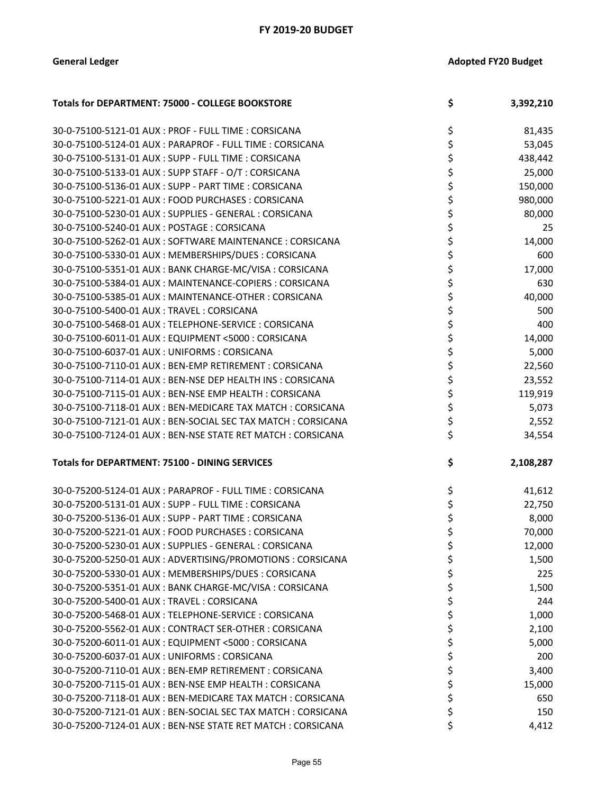| Totals for DEPARTMENT: 75000 - COLLEGE BOOKSTORE            | \$ | 3,392,210 |
|-------------------------------------------------------------|----|-----------|
| 30-0-75100-5121-01 AUX : PROF - FULL TIME : CORSICANA       | \$ | 81,435    |
| 30-0-75100-5124-01 AUX : PARAPROF - FULL TIME : CORSICANA   | \$ | 53,045    |
| 30-0-75100-5131-01 AUX: SUPP - FULL TIME: CORSICANA         | \$ | 438,442   |
| 30-0-75100-5133-01 AUX: SUPP STAFF - O/T: CORSICANA         | \$ | 25,000    |
| 30-0-75100-5136-01 AUX: SUPP - PART TIME: CORSICANA         | \$ | 150,000   |
| 30-0-75100-5221-01 AUX : FOOD PURCHASES : CORSICANA         | \$ | 980,000   |
| 30-0-75100-5230-01 AUX : SUPPLIES - GENERAL : CORSICANA     | \$ | 80,000    |
| 30-0-75100-5240-01 AUX: POSTAGE: CORSICANA                  | \$ | 25        |
| 30-0-75100-5262-01 AUX : SOFTWARE MAINTENANCE : CORSICANA   | \$ | 14,000    |
| 30-0-75100-5330-01 AUX: MEMBERSHIPS/DUES: CORSICANA         | \$ | 600       |
| 30-0-75100-5351-01 AUX: BANK CHARGE-MC/VISA: CORSICANA      | \$ | 17,000    |
| 30-0-75100-5384-01 AUX: MAINTENANCE-COPIERS: CORSICANA      | \$ | 630       |
| 30-0-75100-5385-01 AUX : MAINTENANCE-OTHER : CORSICANA      | \$ | 40,000    |
| 30-0-75100-5400-01 AUX : TRAVEL : CORSICANA                 | \$ | 500       |
| 30-0-75100-5468-01 AUX: TELEPHONE-SERVICE: CORSICANA        | \$ | 400       |
| 30-0-75100-6011-01 AUX: EQUIPMENT <5000: CORSICANA          | \$ | 14,000    |
| 30-0-75100-6037-01 AUX: UNIFORMS: CORSICANA                 | \$ | 5,000     |
| 30-0-75100-7110-01 AUX: BEN-EMP RETIREMENT: CORSICANA       | \$ | 22,560    |
| 30-0-75100-7114-01 AUX : BEN-NSE DEP HEALTH INS : CORSICANA | \$ | 23,552    |
| 30-0-75100-7115-01 AUX : BEN-NSE EMP HEALTH : CORSICANA     | \$ | 119,919   |
| 30-0-75100-7118-01 AUX : BEN-MEDICARE TAX MATCH : CORSICANA | \$ | 5,073     |
| 30-0-75100-7121-01 AUX: BEN-SOCIAL SEC TAX MATCH: CORSICANA | \$ | 2,552     |
| 30-0-75100-7124-01 AUX: BEN-NSE STATE RET MATCH: CORSICANA  | \$ | 34,554    |
|                                                             |    |           |
| <b>Totals for DEPARTMENT: 75100 - DINING SERVICES</b>       | \$ | 2,108,287 |
| 30-0-75200-5124-01 AUX: PARAPROF - FULL TIME: CORSICANA     | \$ | 41,612    |
| 30-0-75200-5131-01 AUX: SUPP - FULL TIME: CORSICANA         | \$ | 22,750    |
| 30-0-75200-5136-01 AUX: SUPP - PART TIME: CORSICANA         | \$ | 8,000     |
| 30-0-75200-5221-01 AUX: FOOD PURCHASES: CORSICANA           | \$ | 70,000    |
| 30-0-75200-5230-01 AUX: SUPPLIES - GENERAL: CORSICANA       | ሩ  | 12,000    |
| 30-0-75200-5250-01 AUX: ADVERTISING/PROMOTIONS: CORSICANA   | \$ | 1,500     |
| 30-0-75200-5330-01 AUX : MEMBERSHIPS/DUES : CORSICANA       | \$ | 225       |
| 30-0-75200-5351-01 AUX: BANK CHARGE-MC/VISA: CORSICANA      | \$ | 1,500     |
| 30-0-75200-5400-01 AUX: TRAVEL: CORSICANA                   | \$ | 244       |
| 30-0-75200-5468-01 AUX: TELEPHONE-SERVICE: CORSICANA        | \$ | 1,000     |
| 30-0-75200-5562-01 AUX : CONTRACT SER-OTHER : CORSICANA     | \$ | 2,100     |
| 30-0-75200-6011-01 AUX : EQUIPMENT <5000 : CORSICANA        | \$ | 5,000     |
| 30-0-75200-6037-01 AUX : UNIFORMS : CORSICANA               | \$ | 200       |
| 30-0-75200-7110-01 AUX : BEN-EMP RETIREMENT : CORSICANA     | \$ | 3,400     |
| 30-0-75200-7115-01 AUX : BEN-NSE EMP HEALTH : CORSICANA     | \$ | 15,000    |
| 30-0-75200-7118-01 AUX: BEN-MEDICARE TAX MATCH: CORSICANA   | \$ | 650       |
| 30-0-75200-7121-01 AUX: BEN-SOCIAL SEC TAX MATCH: CORSICANA | \$ | 150       |
| 30-0-75200-7124-01 AUX: BEN-NSE STATE RET MATCH: CORSICANA  | \$ | 4,412     |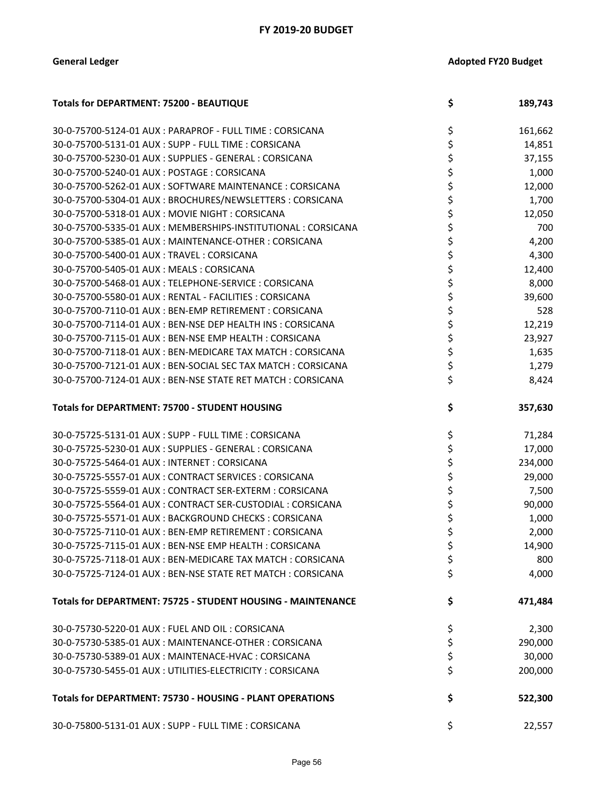| <b>Totals for DEPARTMENT: 75200 - BEAUTIQUE</b>                | \$<br>189,743 |
|----------------------------------------------------------------|---------------|
| 30-0-75700-5124-01 AUX: PARAPROF - FULL TIME: CORSICANA        | \$<br>161,662 |
| 30-0-75700-5131-01 AUX: SUPP - FULL TIME: CORSICANA            | \$<br>14,851  |
| 30-0-75700-5230-01 AUX : SUPPLIES - GENERAL : CORSICANA        | \$<br>37,155  |
| 30-0-75700-5240-01 AUX: POSTAGE: CORSICANA                     | \$<br>1,000   |
| 30-0-75700-5262-01 AUX: SOFTWARE MAINTENANCE: CORSICANA        | \$<br>12,000  |
| 30-0-75700-5304-01 AUX: BROCHURES/NEWSLETTERS: CORSICANA       | \$<br>1,700   |
| 30-0-75700-5318-01 AUX : MOVIE NIGHT : CORSICANA               | \$<br>12,050  |
| 30-0-75700-5335-01 AUX : MEMBERSHIPS-INSTITUTIONAL : CORSICANA | \$<br>700     |
| 30-0-75700-5385-01 AUX : MAINTENANCE-OTHER : CORSICANA         | \$<br>4,200   |
| 30-0-75700-5400-01 AUX: TRAVEL: CORSICANA                      | \$<br>4,300   |
| 30-0-75700-5405-01 AUX: MEALS: CORSICANA                       | \$<br>12,400  |
| 30-0-75700-5468-01 AUX: TELEPHONE-SERVICE: CORSICANA           | \$<br>8,000   |
| 30-0-75700-5580-01 AUX : RENTAL - FACILITIES : CORSICANA       | \$<br>39,600  |
| 30-0-75700-7110-01 AUX: BEN-EMP RETIREMENT: CORSICANA          | \$<br>528     |
| 30-0-75700-7114-01 AUX : BEN-NSE DEP HEALTH INS : CORSICANA    | \$<br>12,219  |
| 30-0-75700-7115-01 AUX : BEN-NSE EMP HEALTH : CORSICANA        | \$<br>23,927  |
| 30-0-75700-7118-01 AUX: BEN-MEDICARE TAX MATCH: CORSICANA      | \$<br>1,635   |
| 30-0-75700-7121-01 AUX: BEN-SOCIAL SEC TAX MATCH: CORSICANA    | \$<br>1,279   |
| 30-0-75700-7124-01 AUX: BEN-NSE STATE RET MATCH: CORSICANA     | \$<br>8,424   |
| Totals for DEPARTMENT: 75700 - STUDENT HOUSING                 | \$<br>357,630 |
| 30-0-75725-5131-01 AUX: SUPP - FULL TIME: CORSICANA            | \$<br>71,284  |
| 30-0-75725-5230-01 AUX: SUPPLIES - GENERAL: CORSICANA          | \$<br>17,000  |
| 30-0-75725-5464-01 AUX : INTERNET : CORSICANA                  | \$<br>234,000 |
| 30-0-75725-5557-01 AUX: CONTRACT SERVICES: CORSICANA           | \$<br>29,000  |
| 30-0-75725-5559-01 AUX: CONTRACT SER-EXTERM: CORSICANA         | \$<br>7,500   |
| 30-0-75725-5564-01 AUX: CONTRACT SER-CUSTODIAL: CORSICANA      | \$<br>90,000  |
| 30-0-75725-5571-01 AUX: BACKGROUND CHECKS: CORSICANA           | \$<br>1,000   |
| 30-0-75725-7110-01 AUX: BEN-EMP RETIREMENT: CORSICANA          | \$<br>2,000   |
| 30-0-75725-7115-01 AUX: BEN-NSE EMP HEALTH: CORSICANA          | \$<br>14,900  |
| 30-0-75725-7118-01 AUX: BEN-MEDICARE TAX MATCH: CORSICANA      | \$<br>800     |
| 30-0-75725-7124-01 AUX: BEN-NSE STATE RET MATCH: CORSICANA     | \$<br>4,000   |
| Totals for DEPARTMENT: 75725 - STUDENT HOUSING - MAINTENANCE   | \$<br>471,484 |
| 30-0-75730-5220-01 AUX : FUEL AND OIL : CORSICANA              | \$<br>2,300   |
| 30-0-75730-5385-01 AUX: MAINTENANCE-OTHER: CORSICANA           | \$<br>290,000 |
| 30-0-75730-5389-01 AUX: MAINTENACE-HVAC: CORSICANA             | \$<br>30,000  |
| 30-0-75730-5455-01 AUX: UTILITIES-ELECTRICITY: CORSICANA       | \$<br>200,000 |
| Totals for DEPARTMENT: 75730 - HOUSING - PLANT OPERATIONS      | \$<br>522,300 |
| 30-0-75800-5131-01 AUX: SUPP - FULL TIME: CORSICANA            | \$<br>22,557  |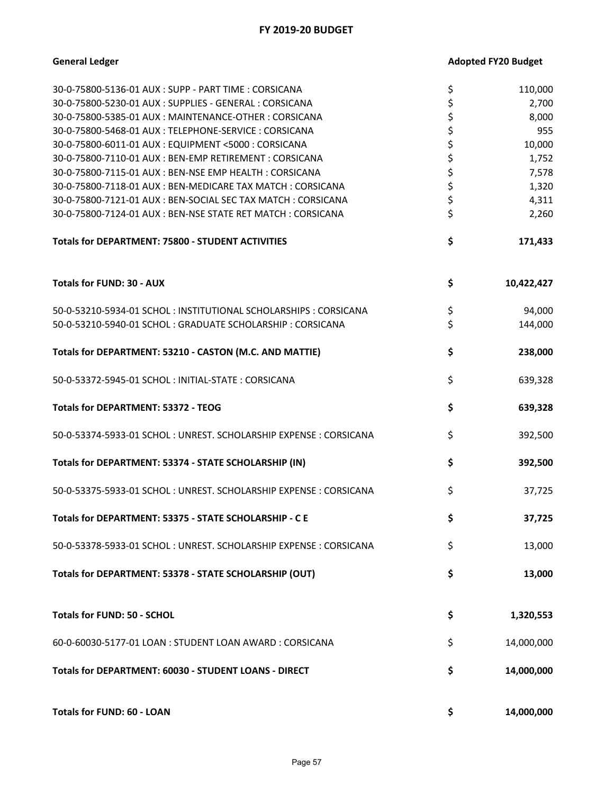| <b>General Ledger</b>                                            | <b>Adopted FY20 Budget</b> |            |
|------------------------------------------------------------------|----------------------------|------------|
| 30-0-75800-5136-01 AUX: SUPP - PART TIME: CORSICANA              | \$                         | 110,000    |
| 30-0-75800-5230-01 AUX : SUPPLIES - GENERAL : CORSICANA          | \$                         | 2,700      |
| 30-0-75800-5385-01 AUX: MAINTENANCE-OTHER: CORSICANA             | \$                         | 8,000      |
| 30-0-75800-5468-01 AUX : TELEPHONE-SERVICE : CORSICANA           | \$                         | 955        |
| 30-0-75800-6011-01 AUX : EQUIPMENT <5000 : CORSICANA             | \$                         | 10,000     |
| 30-0-75800-7110-01 AUX : BEN-EMP RETIREMENT : CORSICANA          | \$                         | 1,752      |
| 30-0-75800-7115-01 AUX: BEN-NSE EMP HEALTH: CORSICANA            | \$                         | 7,578      |
| 30-0-75800-7118-01 AUX: BEN-MEDICARE TAX MATCH: CORSICANA        | \$                         | 1,320      |
| 30-0-75800-7121-01 AUX: BEN-SOCIAL SEC TAX MATCH: CORSICANA      | \$                         | 4,311      |
| 30-0-75800-7124-01 AUX: BEN-NSE STATE RET MATCH: CORSICANA       | \$                         | 2,260      |
| Totals for DEPARTMENT: 75800 - STUDENT ACTIVITIES                | \$                         | 171,433    |
| <b>Totals for FUND: 30 - AUX</b>                                 | \$                         | 10,422,427 |
| 50-0-53210-5934-01 SCHOL: INSTITUTIONAL SCHOLARSHIPS: CORSICANA  | \$                         | 94,000     |
| 50-0-53210-5940-01 SCHOL: GRADUATE SCHOLARSHIP: CORSICANA        | \$                         | 144,000    |
| Totals for DEPARTMENT: 53210 - CASTON (M.C. AND MATTIE)          | \$                         | 238,000    |
| 50-0-53372-5945-01 SCHOL: INITIAL-STATE: CORSICANA               | \$                         | 639,328    |
| <b>Totals for DEPARTMENT: 53372 - TEOG</b>                       | \$                         | 639,328    |
| 50-0-53374-5933-01 SCHOL: UNREST. SCHOLARSHIP EXPENSE: CORSICANA | \$                         | 392,500    |
| Totals for DEPARTMENT: 53374 - STATE SCHOLARSHIP (IN)            | \$                         | 392,500    |
| 50-0-53375-5933-01 SCHOL: UNREST. SCHOLARSHIP EXPENSE: CORSICANA | \$                         | 37,725     |
| Totals for DEPARTMENT: 53375 - STATE SCHOLARSHIP - C E           | \$                         | 37,725     |
| 50-0-53378-5933-01 SCHOL: UNREST. SCHOLARSHIP EXPENSE: CORSICANA | \$                         | 13,000     |
| Totals for DEPARTMENT: 53378 - STATE SCHOLARSHIP (OUT)           | \$                         | 13,000     |
| <b>Totals for FUND: 50 - SCHOL</b>                               | \$                         | 1,320,553  |
| 60-0-60030-5177-01 LOAN: STUDENT LOAN AWARD: CORSICANA           | \$                         | 14,000,000 |
| Totals for DEPARTMENT: 60030 - STUDENT LOANS - DIRECT            | \$                         | 14,000,000 |
| Totals for FUND: 60 - LOAN                                       | \$                         | 14,000,000 |